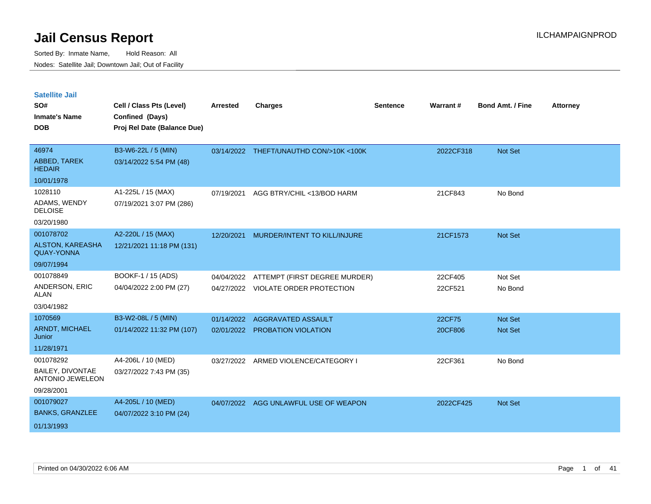| <b>Satellite Jail</b>                        |                             |                 |                                         |                 |           |                         |                 |
|----------------------------------------------|-----------------------------|-----------------|-----------------------------------------|-----------------|-----------|-------------------------|-----------------|
| SO#                                          | Cell / Class Pts (Level)    | <b>Arrested</b> | <b>Charges</b>                          | <b>Sentence</b> | Warrant#  | <b>Bond Amt. / Fine</b> | <b>Attorney</b> |
| <b>Inmate's Name</b>                         | Confined (Days)             |                 |                                         |                 |           |                         |                 |
| <b>DOB</b>                                   | Proj Rel Date (Balance Due) |                 |                                         |                 |           |                         |                 |
|                                              |                             |                 |                                         |                 |           |                         |                 |
| 46974                                        | B3-W6-22L / 5 (MIN)         |                 | 03/14/2022 THEFT/UNAUTHD CON/>10K <100K |                 | 2022CF318 | <b>Not Set</b>          |                 |
| <b>ABBED, TAREK</b><br><b>HEDAIR</b>         | 03/14/2022 5:54 PM (48)     |                 |                                         |                 |           |                         |                 |
| 10/01/1978                                   |                             |                 |                                         |                 |           |                         |                 |
| 1028110                                      | A1-225L / 15 (MAX)          | 07/19/2021      | AGG BTRY/CHIL <13/BOD HARM              |                 | 21CF843   | No Bond                 |                 |
| ADAMS, WENDY<br><b>DELOISE</b>               | 07/19/2021 3:07 PM (286)    |                 |                                         |                 |           |                         |                 |
| 03/20/1980                                   |                             |                 |                                         |                 |           |                         |                 |
| 001078702                                    | A2-220L / 15 (MAX)          | 12/20/2021      | MURDER/INTENT TO KILL/INJURE            |                 | 21CF1573  | <b>Not Set</b>          |                 |
| <b>ALSTON, KAREASHA</b><br><b>QUAY-YONNA</b> | 12/21/2021 11:18 PM (131)   |                 |                                         |                 |           |                         |                 |
| 09/07/1994                                   |                             |                 |                                         |                 |           |                         |                 |
| 001078849                                    | BOOKF-1 / 15 (ADS)          | 04/04/2022      | ATTEMPT (FIRST DEGREE MURDER)           |                 | 22CF405   | Not Set                 |                 |
| ANDERSON, ERIC<br>ALAN                       | 04/04/2022 2:00 PM (27)     |                 | 04/27/2022 VIOLATE ORDER PROTECTION     |                 | 22CF521   | No Bond                 |                 |
| 03/04/1982                                   |                             |                 |                                         |                 |           |                         |                 |
| 1070569                                      | B3-W2-08L / 5 (MIN)         | 01/14/2022      | AGGRAVATED ASSAULT                      |                 | 22CF75    | <b>Not Set</b>          |                 |
| <b>ARNDT, MICHAEL</b><br>Junior              | 01/14/2022 11:32 PM (107)   |                 | 02/01/2022 PROBATION VIOLATION          |                 | 20CF806   | Not Set                 |                 |
| 11/28/1971                                   |                             |                 |                                         |                 |           |                         |                 |
| 001078292                                    | A4-206L / 10 (MED)          |                 | 03/27/2022 ARMED VIOLENCE/CATEGORY I    |                 | 22CF361   | No Bond                 |                 |
| BAILEY, DIVONTAE<br><b>ANTONIO JEWELEON</b>  | 03/27/2022 7:43 PM (35)     |                 |                                         |                 |           |                         |                 |
| 09/28/2001                                   |                             |                 |                                         |                 |           |                         |                 |
| 001079027                                    | A4-205L / 10 (MED)          | 04/07/2022      | AGG UNLAWFUL USE OF WEAPON              |                 | 2022CF425 | <b>Not Set</b>          |                 |
| <b>BANKS, GRANZLEE</b>                       | 04/07/2022 3:10 PM (24)     |                 |                                         |                 |           |                         |                 |
| 01/13/1993                                   |                             |                 |                                         |                 |           |                         |                 |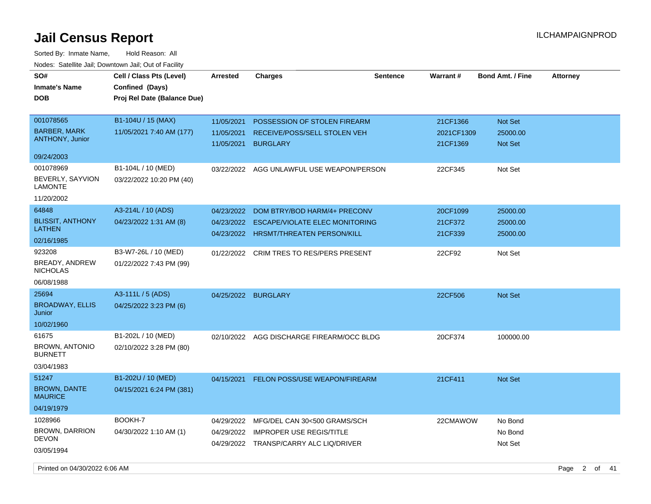| SO#<br><b>Inmate's Name</b><br><b>DOB</b> | Cell / Class Pts (Level)<br>Confined (Days)<br>Proj Rel Date (Balance Due) | Arrested                 | <b>Charges</b>                                  | <b>Sentence</b> | Warrant#               | <b>Bond Amt. / Fine</b>    | <b>Attorney</b> |                   |      |
|-------------------------------------------|----------------------------------------------------------------------------|--------------------------|-------------------------------------------------|-----------------|------------------------|----------------------------|-----------------|-------------------|------|
| 001078565<br><b>BARBER, MARK</b>          | B1-104U / 15 (MAX)                                                         | 11/05/2021               | POSSESSION OF STOLEN FIREARM                    |                 | 21CF1366               | Not Set                    |                 |                   |      |
| ANTHONY, Junior                           | 11/05/2021 7:40 AM (177)                                                   | 11/05/2021<br>11/05/2021 | RECEIVE/POSS/SELL STOLEN VEH<br><b>BURGLARY</b> |                 | 2021CF1309<br>21CF1369 | 25000.00<br><b>Not Set</b> |                 |                   |      |
| 09/24/2003                                |                                                                            |                          |                                                 |                 |                        |                            |                 |                   |      |
| 001078969                                 | B1-104L / 10 (MED)                                                         | 03/22/2022               | AGG UNLAWFUL USE WEAPON/PERSON                  |                 | 22CF345                | Not Set                    |                 |                   |      |
| BEVERLY, SAYVION<br><b>LAMONTE</b>        | 03/22/2022 10:20 PM (40)                                                   |                          |                                                 |                 |                        |                            |                 |                   |      |
| 11/20/2002                                |                                                                            |                          |                                                 |                 |                        |                            |                 |                   |      |
| 64848                                     | A3-214L / 10 (ADS)                                                         | 04/23/2022               | DOM BTRY/BOD HARM/4+ PRECONV                    |                 | 20CF1099               | 25000.00                   |                 |                   |      |
| <b>BLISSIT, ANTHONY</b>                   | 04/23/2022 1:31 AM (8)                                                     | 04/23/2022               | ESCAPE/VIOLATE ELEC MONITORING                  |                 | 21CF372                | 25000.00                   |                 |                   |      |
| <b>LATHEN</b>                             |                                                                            |                          | 04/23/2022 HRSMT/THREATEN PERSON/KILL           |                 | 21CF339                | 25000.00                   |                 |                   |      |
| 02/16/1985                                |                                                                            |                          |                                                 |                 |                        |                            |                 |                   |      |
| 923208                                    | B3-W7-26L / 10 (MED)                                                       | 01/22/2022               | <b>CRIM TRES TO RES/PERS PRESENT</b>            |                 | 22CF92                 | Not Set                    |                 |                   |      |
| BREADY, ANDREW<br><b>NICHOLAS</b>         | 01/22/2022 7:43 PM (99)                                                    |                          |                                                 |                 |                        |                            |                 |                   |      |
| 06/08/1988                                |                                                                            |                          |                                                 |                 |                        |                            |                 |                   |      |
| 25694                                     | A3-111L / 5 (ADS)                                                          |                          | 04/25/2022 BURGLARY                             |                 | 22CF506                | Not Set                    |                 |                   |      |
| <b>BROADWAY, ELLIS</b><br>Junior          | 04/25/2022 3:23 PM (6)                                                     |                          |                                                 |                 |                        |                            |                 |                   |      |
| 10/02/1960                                |                                                                            |                          |                                                 |                 |                        |                            |                 |                   |      |
| 61675                                     | B1-202L / 10 (MED)                                                         | 02/10/2022               | AGG DISCHARGE FIREARM/OCC BLDG                  |                 | 20CF374                | 100000.00                  |                 |                   |      |
| <b>BROWN, ANTONIO</b><br><b>BURNETT</b>   | 02/10/2022 3:28 PM (80)                                                    |                          |                                                 |                 |                        |                            |                 |                   |      |
| 03/04/1983                                |                                                                            |                          |                                                 |                 |                        |                            |                 |                   |      |
| 51247                                     | B1-202U / 10 (MED)                                                         | 04/15/2021               | FELON POSS/USE WEAPON/FIREARM                   |                 | 21CF411                | Not Set                    |                 |                   |      |
| <b>BROWN, DANTE</b><br><b>MAURICE</b>     | 04/15/2021 6:24 PM (381)                                                   |                          |                                                 |                 |                        |                            |                 |                   |      |
| 04/19/1979                                |                                                                            |                          |                                                 |                 |                        |                            |                 |                   |      |
| 1028966                                   | BOOKH-7                                                                    | 04/29/2022               | MFG/DEL CAN 30<500 GRAMS/SCH                    |                 | 22CMAWOW               | No Bond                    |                 |                   |      |
| <b>BROWN, DARRION</b><br><b>DEVON</b>     | 04/30/2022 1:10 AM (1)                                                     | 04/29/2022               | <b>IMPROPER USE REGIS/TITLE</b>                 |                 |                        | No Bond                    |                 |                   |      |
| 03/05/1994                                |                                                                            |                          | 04/29/2022 TRANSP/CARRY ALC LIQ/DRIVER          |                 |                        | Not Set                    |                 |                   |      |
| Printed on 04/30/2022 6:06 AM             |                                                                            |                          |                                                 |                 |                        |                            | Page            | $2^{\circ}$<br>of | - 41 |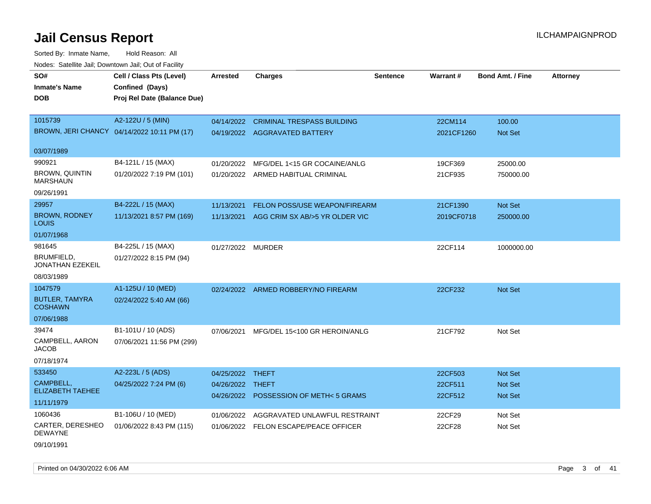Sorted By: Inmate Name, Hold Reason: All Nodes: Satellite Jail; Downtown Jail; Out of Facility

| SO#                                      | Cell / Class Pts (Level)                    | <b>Arrested</b>   | <b>Charges</b>                    | <b>Sentence</b> | Warrant#   | <b>Bond Amt. / Fine</b> | <b>Attorney</b> |
|------------------------------------------|---------------------------------------------|-------------------|-----------------------------------|-----------------|------------|-------------------------|-----------------|
| Inmate's Name                            | Confined (Days)                             |                   |                                   |                 |            |                         |                 |
| DOB                                      | Proj Rel Date (Balance Due)                 |                   |                                   |                 |            |                         |                 |
|                                          |                                             |                   |                                   |                 |            |                         |                 |
| 1015739                                  | A2-122U / 5 (MIN)                           | 04/14/2022        | <b>CRIMINAL TRESPASS BUILDING</b> |                 | 22CM114    | 100.00                  |                 |
|                                          | BROWN, JERI CHANCY 04/14/2022 10:11 PM (17) |                   | 04/19/2022 AGGRAVATED BATTERY     |                 | 2021CF1260 | <b>Not Set</b>          |                 |
|                                          |                                             |                   |                                   |                 |            |                         |                 |
| 03/07/1989                               |                                             |                   |                                   |                 |            |                         |                 |
| 990921                                   | B4-121L / 15 (MAX)                          | 01/20/2022        | MFG/DEL 1<15 GR COCAINE/ANLG      |                 | 19CF369    | 25000.00                |                 |
| <b>BROWN, QUINTIN</b><br><b>MARSHAUN</b> | 01/20/2022 7:19 PM (101)                    | 01/20/2022        | ARMED HABITUAL CRIMINAL           |                 | 21CF935    | 750000.00               |                 |
| 09/26/1991                               |                                             |                   |                                   |                 |            |                         |                 |
| 29957                                    | B4-222L / 15 (MAX)                          | 11/13/2021        | FELON POSS/USE WEAPON/FIREARM     |                 | 21CF1390   | <b>Not Set</b>          |                 |
| <b>BROWN, RODNEY</b><br>LOUIS            | 11/13/2021 8:57 PM (169)                    | 11/13/2021        | AGG CRIM SX AB/>5 YR OLDER VIC    |                 | 2019CF0718 | 250000.00               |                 |
| 01/07/1968                               |                                             |                   |                                   |                 |            |                         |                 |
| 981645                                   | B4-225L / 15 (MAX)                          | 01/27/2022 MURDER |                                   |                 | 22CF114    | 1000000.00              |                 |
| BRUMFIELD.<br>JONATHAN EZEKEIL           | 01/27/2022 8:15 PM (94)                     |                   |                                   |                 |            |                         |                 |
| 08/03/1989                               |                                             |                   |                                   |                 |            |                         |                 |
| 1047579                                  | A1-125U / 10 (MED)                          | 02/24/2022        | ARMED ROBBERY/NO FIREARM          |                 | 22CF232    | Not Set                 |                 |
| <b>BUTLER, TAMYRA</b><br><b>COSHAWN</b>  | 02/24/2022 5:40 AM (66)                     |                   |                                   |                 |            |                         |                 |
| 07/06/1988                               |                                             |                   |                                   |                 |            |                         |                 |
| 39474                                    | B1-101U / 10 (ADS)                          | 07/06/2021        | MFG/DEL 15<100 GR HEROIN/ANLG     |                 | 21CF792    | Not Set                 |                 |
| CAMPBELL, AARON<br><b>JACOB</b>          | 07/06/2021 11:56 PM (299)                   |                   |                                   |                 |            |                         |                 |
| 07/18/1974                               |                                             |                   |                                   |                 |            |                         |                 |
| 533450                                   | A2-223L / 5 (ADS)                           | 04/25/2022 THEFT  |                                   |                 | 22CF503    | <b>Not Set</b>          |                 |
| CAMPBELL,                                | 04/25/2022 7:24 PM (6)                      | 04/26/2022 THEFT  |                                   |                 | 22CF511    | Not Set                 |                 |
| <b>ELIZABETH TAEHEE</b>                  |                                             | 04/26/2022        | POSSESSION OF METH<5 GRAMS        |                 | 22CF512    | <b>Not Set</b>          |                 |
| 11/11/1979                               |                                             |                   |                                   |                 |            |                         |                 |
| 1060436                                  | B1-106U / 10 (MED)                          | 01/06/2022        | AGGRAVATED UNLAWFUL RESTRAINT     |                 | 22CF29     | Not Set                 |                 |
| CARTER, DERESHEO<br><b>DEWAYNE</b>       | 01/06/2022 8:43 PM (115)                    | 01/06/2022        | FELON ESCAPE/PEACE OFFICER        |                 | 22CF28     | Not Set                 |                 |
|                                          |                                             |                   |                                   |                 |            |                         |                 |

09/10/1991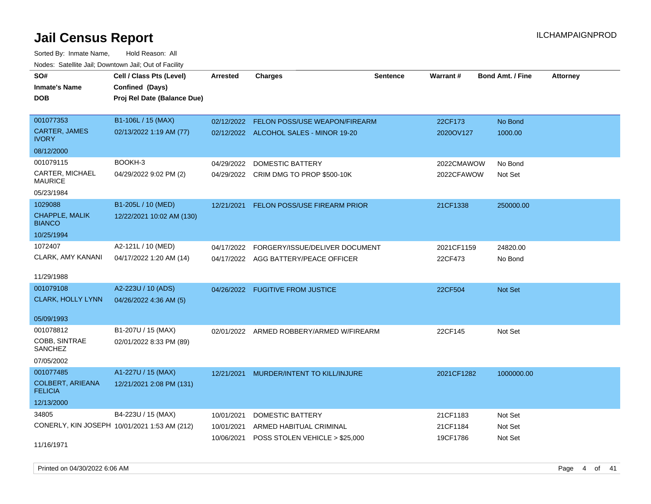Sorted By: Inmate Name, Hold Reason: All Nodes: Satellite Jail; Downtown Jail; Out of Facility

| SO#<br><b>Inmate's Name</b><br><b>DOB</b> | Cell / Class Pts (Level)<br>Confined (Days)<br>Proj Rel Date (Balance Due) | Arrested   | <b>Charges</b>                           | <b>Sentence</b> | Warrant#   | <b>Bond Amt. / Fine</b> | <b>Attorney</b> |
|-------------------------------------------|----------------------------------------------------------------------------|------------|------------------------------------------|-----------------|------------|-------------------------|-----------------|
| 001077353                                 | B1-106L / 15 (MAX)                                                         | 02/12/2022 | FELON POSS/USE WEAPON/FIREARM            |                 | 22CF173    | No Bond                 |                 |
| CARTER, JAMES<br><b>IVORY</b>             | 02/13/2022 1:19 AM (77)                                                    |            | 02/12/2022 ALCOHOL SALES - MINOR 19-20   |                 | 2020OV127  | 1000.00                 |                 |
| 08/12/2000                                |                                                                            |            |                                          |                 |            |                         |                 |
| 001079115                                 | BOOKH-3                                                                    | 04/29/2022 | <b>DOMESTIC BATTERY</b>                  |                 | 2022CMAWOW | No Bond                 |                 |
| <b>CARTER, MICHAEL</b><br><b>MAURICE</b>  | 04/29/2022 9:02 PM (2)                                                     |            | 04/29/2022 CRIM DMG TO PROP \$500-10K    |                 | 2022CFAWOW | Not Set                 |                 |
| 05/23/1984                                |                                                                            |            |                                          |                 |            |                         |                 |
| 1029088                                   | B1-205L / 10 (MED)                                                         | 12/21/2021 | FELON POSS/USE FIREARM PRIOR             |                 | 21CF1338   | 250000.00               |                 |
| CHAPPLE, MALIK<br><b>BIANCO</b>           | 12/22/2021 10:02 AM (130)                                                  |            |                                          |                 |            |                         |                 |
| 10/25/1994                                |                                                                            |            |                                          |                 |            |                         |                 |
| 1072407                                   | A2-121L / 10 (MED)                                                         | 04/17/2022 | FORGERY/ISSUE/DELIVER DOCUMENT           |                 | 2021CF1159 | 24820.00                |                 |
| CLARK, AMY KANANI                         | 04/17/2022 1:20 AM (14)                                                    |            | 04/17/2022 AGG BATTERY/PEACE OFFICER     |                 | 22CF473    | No Bond                 |                 |
| 11/29/1988                                |                                                                            |            |                                          |                 |            |                         |                 |
| 001079108                                 | A2-223U / 10 (ADS)                                                         |            | 04/26/2022 FUGITIVE FROM JUSTICE         |                 | 22CF504    | Not Set                 |                 |
| <b>CLARK, HOLLY LYNN</b>                  | 04/26/2022 4:36 AM (5)                                                     |            |                                          |                 |            |                         |                 |
| 05/09/1993                                |                                                                            |            |                                          |                 |            |                         |                 |
| 001078812                                 | B1-207U / 15 (MAX)                                                         |            | 02/01/2022 ARMED ROBBERY/ARMED W/FIREARM |                 | 22CF145    | Not Set                 |                 |
| COBB, SINTRAE<br>SANCHEZ                  | 02/01/2022 8:33 PM (89)                                                    |            |                                          |                 |            |                         |                 |
| 07/05/2002                                |                                                                            |            |                                          |                 |            |                         |                 |
| 001077485                                 | A1-227U / 15 (MAX)                                                         | 12/21/2021 | MURDER/INTENT TO KILL/INJURE             |                 | 2021CF1282 | 1000000.00              |                 |
| <b>COLBERT, ARIEANA</b><br><b>FELICIA</b> | 12/21/2021 2:08 PM (131)                                                   |            |                                          |                 |            |                         |                 |
| 12/13/2000                                |                                                                            |            |                                          |                 |            |                         |                 |
| 34805                                     | B4-223U / 15 (MAX)                                                         | 10/01/2021 | DOMESTIC BATTERY                         |                 | 21CF1183   | Not Set                 |                 |
|                                           | CONERLY, KIN JOSEPH 10/01/2021 1:53 AM (212)                               | 10/01/2021 | ARMED HABITUAL CRIMINAL                  |                 | 21CF1184   | Not Set                 |                 |
| 11/16/1971                                |                                                                            | 10/06/2021 | POSS STOLEN VEHICLE > \$25,000           |                 | 19CF1786   | Not Set                 |                 |

Printed on 04/30/2022 6:06 AM Page 4 of 41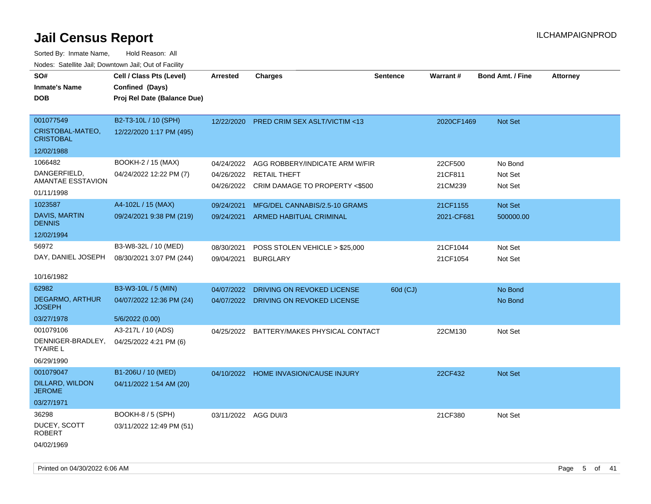| SO#<br><b>Inmate's Name</b><br><b>DOB</b>                          | Cell / Class Pts (Level)<br>Confined (Days)<br>Proj Rel Date (Balance Due) | <b>Arrested</b>                        | <b>Charges</b>                                                                          | <b>Sentence</b> | <b>Warrant#</b>               | <b>Bond Amt. / Fine</b>       | <b>Attorney</b> |
|--------------------------------------------------------------------|----------------------------------------------------------------------------|----------------------------------------|-----------------------------------------------------------------------------------------|-----------------|-------------------------------|-------------------------------|-----------------|
| 001077549<br>CRISTOBAL-MATEO,<br><b>CRISTOBAL</b><br>12/02/1988    | B2-T3-10L / 10 (SPH)<br>12/22/2020 1:17 PM (495)                           | 12/22/2020                             | <b>PRED CRIM SEX ASLT/VICTIM &lt;13</b>                                                 |                 | 2020CF1469                    | Not Set                       |                 |
| 1066482<br>DANGERFIELD,<br>AMANTAE ESSTAVION<br>01/11/1998         | BOOKH-2 / 15 (MAX)<br>04/24/2022 12:22 PM (7)                              | 04/24/2022<br>04/26/2022<br>04/26/2022 | AGG ROBBERY/INDICATE ARM W/FIR<br><b>RETAIL THEFT</b><br>CRIM DAMAGE TO PROPERTY <\$500 |                 | 22CF500<br>21CF811<br>21CM239 | No Bond<br>Not Set<br>Not Set |                 |
| 1023587<br>DAVIS, MARTIN<br><b>DENNIS</b><br>12/02/1994            | A4-102L / 15 (MAX)<br>09/24/2021 9:38 PM (219)                             | 09/24/2021<br>09/24/2021               | MFG/DEL CANNABIS/2.5-10 GRAMS<br>ARMED HABITUAL CRIMINAL                                |                 | 21CF1155<br>2021-CF681        | Not Set<br>500000.00          |                 |
| 56972<br>DAY, DANIEL JOSEPH<br>10/16/1982                          | B3-W8-32L / 10 (MED)<br>08/30/2021 3:07 PM (244)                           | 08/30/2021<br>09/04/2021               | POSS STOLEN VEHICLE > \$25,000<br><b>BURGLARY</b>                                       |                 | 21CF1044<br>21CF1054          | Not Set<br>Not Set            |                 |
| 62982<br><b>DEGARMO, ARTHUR</b><br><b>JOSEPH</b><br>03/27/1978     | B3-W3-10L / 5 (MIN)<br>04/07/2022 12:36 PM (24)<br>5/6/2022 (0.00)         | 04/07/2022<br>04/07/2022               | DRIVING ON REVOKED LICENSE<br>DRIVING ON REVOKED LICENSE                                | 60d (CJ)        |                               | No Bond<br>No Bond            |                 |
| 001079106<br>DENNIGER-BRADLEY,<br><b>TYAIRE L</b><br>06/29/1990    | A3-217L / 10 (ADS)<br>04/25/2022 4:21 PM (6)                               | 04/25/2022                             | BATTERY/MAKES PHYSICAL CONTACT                                                          |                 | 22CM130                       | Not Set                       |                 |
| 001079047<br><b>DILLARD, WILDON</b><br><b>JEROME</b><br>03/27/1971 | B1-206U / 10 (MED)<br>04/11/2022 1:54 AM (20)                              |                                        | 04/10/2022 HOME INVASION/CAUSE INJURY                                                   |                 | 22CF432                       | Not Set                       |                 |
| 36298<br>DUCEY, SCOTT<br><b>ROBERT</b><br>04/02/1969               | BOOKH-8 / 5 (SPH)<br>03/11/2022 12:49 PM (51)                              |                                        | 03/11/2022 AGG DUI/3                                                                    |                 | 21CF380                       | Not Set                       |                 |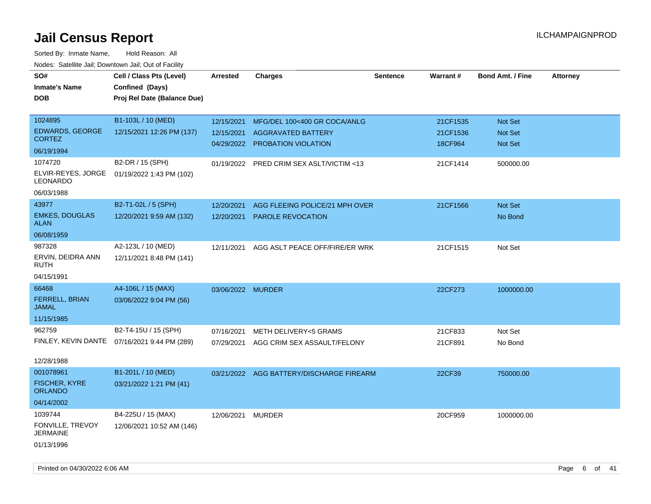| rouco. Calcinic Jan, Downtown Jan, Out of Facility |                                              |                   |                                          |                 |                 |                         |                 |
|----------------------------------------------------|----------------------------------------------|-------------------|------------------------------------------|-----------------|-----------------|-------------------------|-----------------|
| SO#                                                | Cell / Class Pts (Level)                     | <b>Arrested</b>   | <b>Charges</b>                           | <b>Sentence</b> | <b>Warrant#</b> | <b>Bond Amt. / Fine</b> | <b>Attorney</b> |
| <b>Inmate's Name</b>                               | Confined (Days)                              |                   |                                          |                 |                 |                         |                 |
| <b>DOB</b>                                         | Proj Rel Date (Balance Due)                  |                   |                                          |                 |                 |                         |                 |
|                                                    |                                              |                   |                                          |                 |                 |                         |                 |
| 1024895                                            | B1-103L / 10 (MED)                           | 12/15/2021        | MFG/DEL 100<400 GR COCA/ANLG             |                 | 21CF1535        | Not Set                 |                 |
| <b>EDWARDS, GEORGE</b>                             | 12/15/2021 12:26 PM (137)                    | 12/15/2021        | <b>AGGRAVATED BATTERY</b>                |                 | 21CF1536        | <b>Not Set</b>          |                 |
| <b>CORTEZ</b>                                      |                                              |                   | 04/29/2022 PROBATION VIOLATION           |                 | 18CF964         | Not Set                 |                 |
| 06/19/1994                                         |                                              |                   |                                          |                 |                 |                         |                 |
| 1074720                                            | B2-DR / 15 (SPH)                             |                   | 01/19/2022 PRED CRIM SEX ASLT/VICTIM <13 |                 | 21CF1414        | 500000.00               |                 |
| ELVIR-REYES, JORGE<br><b>LEONARDO</b>              | 01/19/2022 1:43 PM (102)                     |                   |                                          |                 |                 |                         |                 |
| 06/03/1988                                         |                                              |                   |                                          |                 |                 |                         |                 |
| 43977                                              | B2-T1-02L / 5 (SPH)                          | 12/20/2021        | AGG FLEEING POLICE/21 MPH OVER           |                 | 21CF1566        | Not Set                 |                 |
| <b>EMKES, DOUGLAS</b><br>ALAN                      | 12/20/2021 9:59 AM (132)                     | 12/20/2021        | PAROLE REVOCATION                        |                 |                 | No Bond                 |                 |
| 06/08/1959                                         |                                              |                   |                                          |                 |                 |                         |                 |
| 987328                                             | A2-123L / 10 (MED)                           | 12/11/2021        | AGG ASLT PEACE OFF/FIRE/ER WRK           |                 | 21CF1515        | Not Set                 |                 |
| ERVIN, DEIDRA ANN<br>RUTH                          | 12/11/2021 8:48 PM (141)                     |                   |                                          |                 |                 |                         |                 |
| 04/15/1991                                         |                                              |                   |                                          |                 |                 |                         |                 |
| 66468                                              | A4-106L / 15 (MAX)                           | 03/06/2022 MURDER |                                          |                 | 22CF273         | 1000000.00              |                 |
| <b>FERRELL, BRIAN</b><br>JAMAL                     | 03/06/2022 9:04 PM (56)                      |                   |                                          |                 |                 |                         |                 |
| 11/15/1985                                         |                                              |                   |                                          |                 |                 |                         |                 |
| 962759                                             | B2-T4-15U / 15 (SPH)                         | 07/16/2021        | METH DELIVERY<5 GRAMS                    |                 | 21CF833         | Not Set                 |                 |
|                                                    | FINLEY, KEVIN DANTE 07/16/2021 9:44 PM (289) | 07/29/2021        | AGG CRIM SEX ASSAULT/FELONY              |                 | 21CF891         | No Bond                 |                 |
| 12/28/1988                                         |                                              |                   |                                          |                 |                 |                         |                 |
| 001078961                                          | B1-201L / 10 (MED)                           |                   | 03/21/2022 AGG BATTERY/DISCHARGE FIREARM |                 | 22CF39          | 750000.00               |                 |
| <b>FISCHER, KYRE</b><br><b>ORLANDO</b>             | 03/21/2022 1:21 PM (41)                      |                   |                                          |                 |                 |                         |                 |
| 04/14/2002                                         |                                              |                   |                                          |                 |                 |                         |                 |
| 1039744                                            | B4-225U / 15 (MAX)                           | 12/06/2021 MURDER |                                          |                 | 20CF959         | 1000000.00              |                 |
| FONVILLE, TREVOY<br><b>JERMAINE</b>                | 12/06/2021 10:52 AM (146)                    |                   |                                          |                 |                 |                         |                 |
| 01/13/1996                                         |                                              |                   |                                          |                 |                 |                         |                 |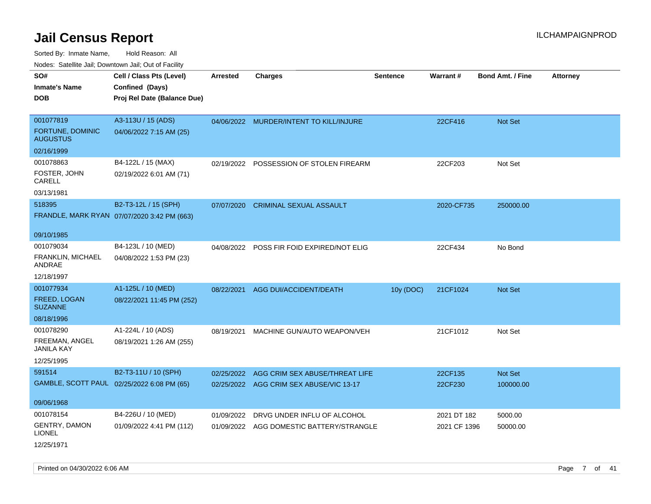Sorted By: Inmate Name, Hold Reason: All Nodes: Satellite Jail; Downtown Jail; Out of Facility

| roaco. Catolino dall, Downtown dall, Out of Fability |                                             |                 |                                           |                 |              |                         |                 |
|------------------------------------------------------|---------------------------------------------|-----------------|-------------------------------------------|-----------------|--------------|-------------------------|-----------------|
| SO#                                                  | Cell / Class Pts (Level)                    | <b>Arrested</b> | <b>Charges</b>                            | <b>Sentence</b> | Warrant#     | <b>Bond Amt. / Fine</b> | <b>Attorney</b> |
| <b>Inmate's Name</b>                                 | Confined (Days)                             |                 |                                           |                 |              |                         |                 |
| <b>DOB</b>                                           | Proj Rel Date (Balance Due)                 |                 |                                           |                 |              |                         |                 |
|                                                      |                                             |                 |                                           |                 |              |                         |                 |
| 001077819                                            | A3-113U / 15 (ADS)                          |                 | 04/06/2022 MURDER/INTENT TO KILL/INJURE   |                 | 22CF416      | Not Set                 |                 |
| FORTUNE, DOMINIC<br><b>AUGUSTUS</b>                  | 04/06/2022 7:15 AM (25)                     |                 |                                           |                 |              |                         |                 |
| 02/16/1999                                           |                                             |                 |                                           |                 |              |                         |                 |
| 001078863                                            | B4-122L / 15 (MAX)                          |                 | 02/19/2022 POSSESSION OF STOLEN FIREARM   |                 | 22CF203      | Not Set                 |                 |
| FOSTER, JOHN<br>CARELL                               | 02/19/2022 6:01 AM (71)                     |                 |                                           |                 |              |                         |                 |
| 03/13/1981                                           |                                             |                 |                                           |                 |              |                         |                 |
| 518395                                               | B2-T3-12L / 15 (SPH)                        | 07/07/2020      | <b>CRIMINAL SEXUAL ASSAULT</b>            |                 | 2020-CF735   | 250000.00               |                 |
|                                                      | FRANDLE, MARK RYAN 07/07/2020 3:42 PM (663) |                 |                                           |                 |              |                         |                 |
|                                                      |                                             |                 |                                           |                 |              |                         |                 |
| 09/10/1985                                           |                                             |                 |                                           |                 |              |                         |                 |
| 001079034                                            | B4-123L / 10 (MED)                          |                 | 04/08/2022 POSS FIR FOID EXPIRED/NOT ELIG |                 | 22CF434      | No Bond                 |                 |
| FRANKLIN, MICHAEL<br>ANDRAE                          | 04/08/2022 1:53 PM (23)                     |                 |                                           |                 |              |                         |                 |
| 12/18/1997                                           |                                             |                 |                                           |                 |              |                         |                 |
| 001077934                                            | A1-125L / 10 (MED)                          | 08/22/2021      | AGG DUI/ACCIDENT/DEATH                    | 10y (DOC)       | 21CF1024     | Not Set                 |                 |
| FREED, LOGAN<br><b>SUZANNE</b>                       | 08/22/2021 11:45 PM (252)                   |                 |                                           |                 |              |                         |                 |
| 08/18/1996                                           |                                             |                 |                                           |                 |              |                         |                 |
| 001078290                                            | A1-224L / 10 (ADS)                          | 08/19/2021      | MACHINE GUN/AUTO WEAPON/VEH               |                 | 21CF1012     | Not Set                 |                 |
| FREEMAN, ANGEL<br>JANILA KAY                         | 08/19/2021 1:26 AM (255)                    |                 |                                           |                 |              |                         |                 |
| 12/25/1995                                           |                                             |                 |                                           |                 |              |                         |                 |
| 591514                                               | B2-T3-11U / 10 (SPH)                        | 02/25/2022      | AGG CRIM SEX ABUSE/THREAT LIFE            |                 | 22CF135      | Not Set                 |                 |
|                                                      | GAMBLE, SCOTT PAUL 02/25/2022 6:08 PM (65)  |                 | 02/25/2022 AGG CRIM SEX ABUSE/VIC 13-17   |                 | 22CF230      | 100000.00               |                 |
|                                                      |                                             |                 |                                           |                 |              |                         |                 |
| 09/06/1968                                           |                                             |                 |                                           |                 |              |                         |                 |
| 001078154                                            | B4-226U / 10 (MED)                          | 01/09/2022      | DRVG UNDER INFLU OF ALCOHOL               |                 | 2021 DT 182  | 5000.00                 |                 |
| GENTRY, DAMON<br><b>LIONEL</b>                       | 01/09/2022 4:41 PM (112)                    |                 | 01/09/2022 AGG DOMESTIC BATTERY/STRANGLE  |                 | 2021 CF 1396 | 50000.00                |                 |
| 12/25/1971                                           |                                             |                 |                                           |                 |              |                         |                 |

Printed on 04/30/2022 6:06 AM Page 7 of 41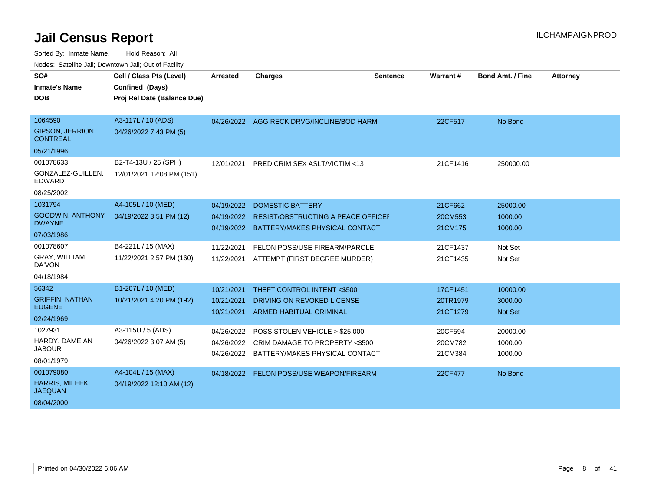| SO#                                       | Cell / Class Pts (Level)    | <b>Arrested</b> | <b>Charges</b>                            | <b>Sentence</b> | Warrant# | Bond Amt. / Fine | <b>Attorney</b> |
|-------------------------------------------|-----------------------------|-----------------|-------------------------------------------|-----------------|----------|------------------|-----------------|
| <b>Inmate's Name</b>                      | Confined (Days)             |                 |                                           |                 |          |                  |                 |
| <b>DOB</b>                                | Proj Rel Date (Balance Due) |                 |                                           |                 |          |                  |                 |
|                                           |                             |                 |                                           |                 |          |                  |                 |
| 1064590                                   | A3-117L / 10 (ADS)          |                 | 04/26/2022 AGG RECK DRVG/INCLINE/BOD HARM |                 | 22CF517  | No Bond          |                 |
| <b>GIPSON, JERRION</b><br><b>CONTREAL</b> | 04/26/2022 7:43 PM (5)      |                 |                                           |                 |          |                  |                 |
| 05/21/1996                                |                             |                 |                                           |                 |          |                  |                 |
| 001078633                                 | B2-T4-13U / 25 (SPH)        | 12/01/2021      | PRED CRIM SEX ASLT/VICTIM <13             |                 | 21CF1416 | 250000.00        |                 |
| GONZALEZ-GUILLEN,<br>EDWARD               | 12/01/2021 12:08 PM (151)   |                 |                                           |                 |          |                  |                 |
| 08/25/2002                                |                             |                 |                                           |                 |          |                  |                 |
| 1031794                                   | A4-105L / 10 (MED)          | 04/19/2022      | <b>DOMESTIC BATTERY</b>                   |                 | 21CF662  | 25000.00         |                 |
| GOODWIN, ANTHONY                          | 04/19/2022 3:51 PM (12)     | 04/19/2022      | RESIST/OBSTRUCTING A PEACE OFFICEI        |                 | 20CM553  | 1000.00          |                 |
| <b>DWAYNE</b>                             |                             | 04/19/2022      | BATTERY/MAKES PHYSICAL CONTACT            |                 | 21CM175  | 1000.00          |                 |
| 07/03/1986                                |                             |                 |                                           |                 |          |                  |                 |
| 001078607                                 | B4-221L / 15 (MAX)          | 11/22/2021      | FELON POSS/USE FIREARM/PAROLE             |                 | 21CF1437 | Not Set          |                 |
| GRAY, WILLIAM<br>DA'VON                   | 11/22/2021 2:57 PM (160)    | 11/22/2021      | ATTEMPT (FIRST DEGREE MURDER)             |                 | 21CF1435 | Not Set          |                 |
| 04/18/1984                                |                             |                 |                                           |                 |          |                  |                 |
| 56342                                     | B1-207L / 10 (MED)          | 10/21/2021      | THEFT CONTROL INTENT <\$500               |                 | 17CF1451 | 10000.00         |                 |
| <b>GRIFFIN, NATHAN</b>                    | 10/21/2021 4:20 PM (192)    | 10/21/2021      | DRIVING ON REVOKED LICENSE                |                 | 20TR1979 | 3000.00          |                 |
| <b>EUGENE</b>                             |                             | 10/21/2021      | <b>ARMED HABITUAL CRIMINAL</b>            |                 | 21CF1279 | Not Set          |                 |
| 02/24/1969                                |                             |                 |                                           |                 |          |                  |                 |
| 1027931                                   | A3-115U / 5 (ADS)           | 04/26/2022      | POSS STOLEN VEHICLE > \$25,000            |                 | 20CF594  | 20000.00         |                 |
| HARDY, DAMEIAN                            | 04/26/2022 3:07 AM (5)      |                 | 04/26/2022 CRIM DAMAGE TO PROPERTY <\$500 |                 | 20CM782  | 1000.00          |                 |
| <b>JABOUR</b>                             |                             |                 | 04/26/2022 BATTERY/MAKES PHYSICAL CONTACT |                 | 21CM384  | 1000.00          |                 |
| 08/01/1979                                |                             |                 |                                           |                 |          |                  |                 |
| 001079080                                 | A4-104L / 15 (MAX)          |                 | 04/18/2022 FELON POSS/USE WEAPON/FIREARM  |                 | 22CF477  | No Bond          |                 |
| <b>HARRIS, MILEEK</b><br><b>JAEQUAN</b>   | 04/19/2022 12:10 AM (12)    |                 |                                           |                 |          |                  |                 |
| 08/04/2000                                |                             |                 |                                           |                 |          |                  |                 |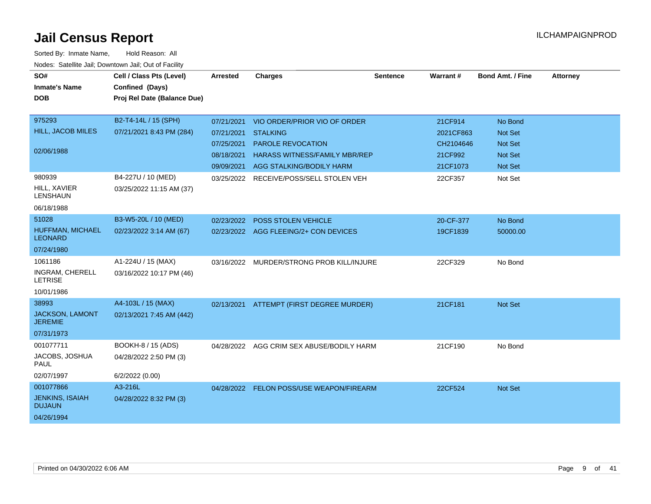| SO#<br><b>Inmate's Name</b><br><b>DOB</b>                          | Cell / Class Pts (Level)<br>Confined (Days)<br>Proj Rel Date (Balance Due) | <b>Arrested</b>                                      | <b>Charges</b>                                                                                                                                             | <b>Sentence</b> | Warrant#                                                 | <b>Bond Amt. / Fine</b>                                           | <b>Attorney</b> |
|--------------------------------------------------------------------|----------------------------------------------------------------------------|------------------------------------------------------|------------------------------------------------------------------------------------------------------------------------------------------------------------|-----------------|----------------------------------------------------------|-------------------------------------------------------------------|-----------------|
| 975293<br>HILL, JACOB MILES<br>02/06/1988                          | B2-T4-14L / 15 (SPH)<br>07/21/2021 8:43 PM (284)                           | 07/21/2021<br>07/21/2021<br>07/25/2021<br>08/18/2021 | VIO ORDER/PRIOR VIO OF ORDER<br><b>STALKING</b><br><b>PAROLE REVOCATION</b><br><b>HARASS WITNESS/FAMILY MBR/REP</b><br>09/09/2021 AGG STALKING/BODILY HARM |                 | 21CF914<br>2021CF863<br>CH2104646<br>21CF992<br>21CF1073 | No Bond<br>Not Set<br><b>Not Set</b><br><b>Not Set</b><br>Not Set |                 |
| 980939<br><b>HILL, XAVIER</b><br><b>LENSHAUN</b><br>06/18/1988     | B4-227U / 10 (MED)<br>03/25/2022 11:15 AM (37)                             | 03/25/2022                                           | RECEIVE/POSS/SELL STOLEN VEH                                                                                                                               |                 | 22CF357                                                  | Not Set                                                           |                 |
| 51028<br>HUFFMAN, MICHAEL<br><b>LEONARD</b><br>07/24/1980          | B3-W5-20L / 10 (MED)<br>02/23/2022 3:14 AM (67)                            | 02/23/2022                                           | <b>POSS STOLEN VEHICLE</b><br>02/23/2022 AGG FLEEING/2+ CON DEVICES                                                                                        |                 | 20-CF-377<br>19CF1839                                    | No Bond<br>50000.00                                               |                 |
| 1061186<br>INGRAM, CHERELL<br><b>LETRISE</b><br>10/01/1986         | A1-224U / 15 (MAX)<br>03/16/2022 10:17 PM (46)                             |                                                      | 03/16/2022 MURDER/STRONG PROB KILL/INJURE                                                                                                                  |                 | 22CF329                                                  | No Bond                                                           |                 |
| 38993<br>JACKSON, LAMONT<br><b>JEREMIE</b><br>07/31/1973           | A4-103L / 15 (MAX)<br>02/13/2021 7:45 AM (442)                             |                                                      | 02/13/2021 ATTEMPT (FIRST DEGREE MURDER)                                                                                                                   |                 | 21CF181                                                  | <b>Not Set</b>                                                    |                 |
| 001077711<br>JACOBS, JOSHUA<br><b>PAUL</b><br>02/07/1997           | BOOKH-8 / 15 (ADS)<br>04/28/2022 2:50 PM (3)<br>6/2/2022 (0.00)            | 04/28/2022                                           | AGG CRIM SEX ABUSE/BODILY HARM                                                                                                                             |                 | 21CF190                                                  | No Bond                                                           |                 |
| 001077866<br><b>JENKINS, ISAIAH</b><br><b>DUJAUN</b><br>04/26/1994 | A3-216L<br>04/28/2022 8:32 PM (3)                                          | 04/28/2022                                           | FELON POSS/USE WEAPON/FIREARM                                                                                                                              |                 | 22CF524                                                  | Not Set                                                           |                 |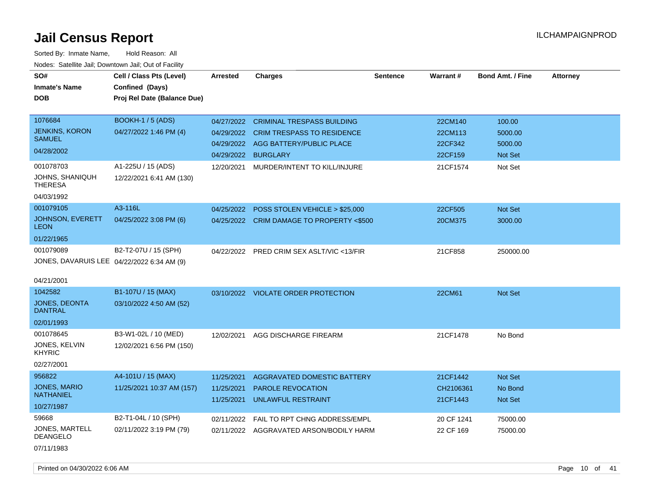| SO#                                        | Cell / Class Pts (Level)    | <b>Arrested</b>     |                                           | <b>Sentence</b> | <b>Warrant#</b> | <b>Bond Amt. / Fine</b> | <b>Attorney</b> |
|--------------------------------------------|-----------------------------|---------------------|-------------------------------------------|-----------------|-----------------|-------------------------|-----------------|
|                                            |                             |                     | <b>Charges</b>                            |                 |                 |                         |                 |
| <b>Inmate's Name</b>                       | Confined (Days)             |                     |                                           |                 |                 |                         |                 |
| DOB                                        | Proj Rel Date (Balance Due) |                     |                                           |                 |                 |                         |                 |
| 1076684                                    | <b>BOOKH-1 / 5 (ADS)</b>    | 04/27/2022          | <b>CRIMINAL TRESPASS BUILDING</b>         |                 | 22CM140         | 100.00                  |                 |
| <b>JENKINS, KORON</b>                      | 04/27/2022 1:46 PM (4)      | 04/29/2022          | <b>CRIM TRESPASS TO RESIDENCE</b>         |                 | 22CM113         | 5000.00                 |                 |
| <b>SAMUEL</b>                              |                             |                     | 04/29/2022 AGG BATTERY/PUBLIC PLACE       |                 | 22CF342         | 5000.00                 |                 |
| 04/28/2002                                 |                             | 04/29/2022 BURGLARY |                                           |                 | 22CF159         | Not Set                 |                 |
| 001078703                                  | A1-225U / 15 (ADS)          | 12/20/2021          | MURDER/INTENT TO KILL/INJURE              |                 | 21CF1574        | Not Set                 |                 |
| JOHNS, SHANIQUH<br><b>THERESA</b>          | 12/22/2021 6:41 AM (130)    |                     |                                           |                 |                 |                         |                 |
| 04/03/1992                                 |                             |                     |                                           |                 |                 |                         |                 |
| 001079105                                  | A3-116L                     | 04/25/2022          | POSS STOLEN VEHICLE > \$25,000            |                 | 22CF505         | Not Set                 |                 |
| JOHNSON, EVERETT<br><b>LEON</b>            | 04/25/2022 3:08 PM (6)      |                     | 04/25/2022 CRIM DAMAGE TO PROPERTY <\$500 |                 | 20CM375         | 3000.00                 |                 |
| 01/22/1965                                 |                             |                     |                                           |                 |                 |                         |                 |
| 001079089                                  | B2-T2-07U / 15 (SPH)        | 04/22/2022          | PRED CRIM SEX ASLT/VIC <13/FIR            |                 | 21CF858         | 250000.00               |                 |
| JONES, DAVARUIS LEE 04/22/2022 6:34 AM (9) |                             |                     |                                           |                 |                 |                         |                 |
|                                            |                             |                     |                                           |                 |                 |                         |                 |
| 04/21/2001                                 |                             |                     |                                           |                 |                 |                         |                 |
| 1042582                                    | B1-107U / 15 (MAX)          |                     | 03/10/2022 VIOLATE ORDER PROTECTION       |                 | 22CM61          | Not Set                 |                 |
| <b>JONES, DEONTA</b><br><b>DANTRAL</b>     | 03/10/2022 4:50 AM (52)     |                     |                                           |                 |                 |                         |                 |
| 02/01/1993                                 |                             |                     |                                           |                 |                 |                         |                 |
| 001078645                                  | B3-W1-02L / 10 (MED)        | 12/02/2021          | AGG DISCHARGE FIREARM                     |                 | 21CF1478        | No Bond                 |                 |
| JONES, KELVIN<br>KHYRIC                    | 12/02/2021 6:56 PM (150)    |                     |                                           |                 |                 |                         |                 |
| 02/27/2001                                 |                             |                     |                                           |                 |                 |                         |                 |
| 956822                                     | A4-101U / 15 (MAX)          | 11/25/2021          | AGGRAVATED DOMESTIC BATTERY               |                 | 21CF1442        | Not Set                 |                 |
| JONES, MARIO                               | 11/25/2021 10:37 AM (157)   | 11/25/2021          | <b>PAROLE REVOCATION</b>                  |                 | CH2106361       | No Bond                 |                 |
| <b>NATHANIEL</b>                           |                             | 11/25/2021          | <b>UNLAWFUL RESTRAINT</b>                 |                 | 21CF1443        | Not Set                 |                 |
| 10/27/1987                                 |                             |                     |                                           |                 |                 |                         |                 |
| 59668                                      | B2-T1-04L / 10 (SPH)        | 02/11/2022          | FAIL TO RPT CHNG ADDRESS/EMPL             |                 | 20 CF 1241      | 75000.00                |                 |
| JONES, MARTELL<br><b>DEANGELO</b>          | 02/11/2022 3:19 PM (79)     | 02/11/2022          | AGGRAVATED ARSON/BODILY HARM              |                 | 22 CF 169       | 75000.00                |                 |
| 07/11/1983                                 |                             |                     |                                           |                 |                 |                         |                 |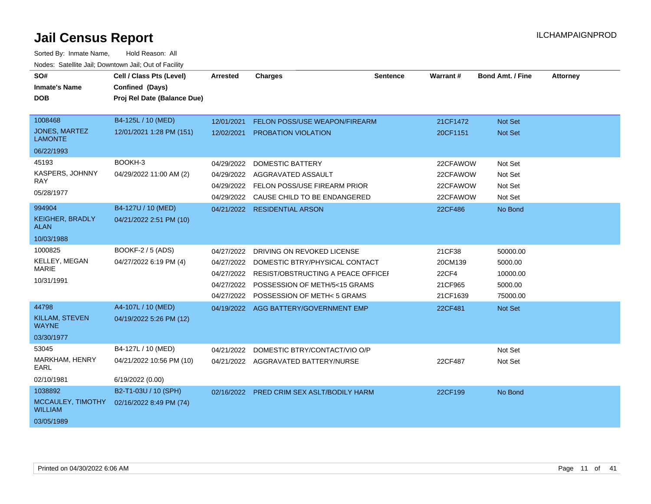| SO#<br><b>Inmate's Name</b><br><b>DOB</b> | Cell / Class Pts (Level)<br>Confined (Days)<br>Proj Rel Date (Balance Due) | <b>Arrested</b> | <b>Charges</b>                                | <b>Sentence</b> | Warrant# | <b>Bond Amt. / Fine</b> | <b>Attorney</b> |
|-------------------------------------------|----------------------------------------------------------------------------|-----------------|-----------------------------------------------|-----------------|----------|-------------------------|-----------------|
| 1008468                                   | B4-125L / 10 (MED)                                                         | 12/01/2021      | FELON POSS/USE WEAPON/FIREARM                 |                 | 21CF1472 | Not Set                 |                 |
| <b>JONES, MARTEZ</b><br><b>LAMONTE</b>    | 12/01/2021 1:28 PM (151)                                                   | 12/02/2021      | PROBATION VIOLATION                           |                 | 20CF1151 | Not Set                 |                 |
| 06/22/1993                                |                                                                            |                 |                                               |                 |          |                         |                 |
| 45193                                     | BOOKH-3                                                                    | 04/29/2022      | <b>DOMESTIC BATTERY</b>                       |                 | 22CFAWOW | Not Set                 |                 |
| KASPERS, JOHNNY                           | 04/29/2022 11:00 AM (2)                                                    | 04/29/2022      | AGGRAVATED ASSAULT                            |                 | 22CFAWOW | Not Set                 |                 |
| RAY.                                      |                                                                            |                 | 04/29/2022 FELON POSS/USE FIREARM PRIOR       |                 | 22CFAWOW | Not Set                 |                 |
| 05/28/1977                                |                                                                            |                 | 04/29/2022 CAUSE CHILD TO BE ENDANGERED       |                 | 22CFAWOW | Not Set                 |                 |
| 994904                                    | B4-127U / 10 (MED)                                                         |                 | 04/21/2022 RESIDENTIAL ARSON                  |                 | 22CF486  | No Bond                 |                 |
| <b>KEIGHER, BRADLY</b><br>ALAN            | 04/21/2022 2:51 PM (10)                                                    |                 |                                               |                 |          |                         |                 |
| 10/03/1988                                |                                                                            |                 |                                               |                 |          |                         |                 |
| 1000825                                   | BOOKF-2 / 5 (ADS)                                                          | 04/27/2022      | DRIVING ON REVOKED LICENSE                    |                 | 21CF38   | 50000.00                |                 |
| KELLEY, MEGAN                             | 04/27/2022 6:19 PM (4)                                                     | 04/27/2022      | DOMESTIC BTRY/PHYSICAL CONTACT                |                 | 20CM139  | 5000.00                 |                 |
| <b>MARIE</b>                              |                                                                            |                 | 04/27/2022 RESIST/OBSTRUCTING A PEACE OFFICEI |                 | 22CF4    | 10000.00                |                 |
| 10/31/1991                                |                                                                            | 04/27/2022      | POSSESSION OF METH/5<15 GRAMS                 |                 | 21CF965  | 5000.00                 |                 |
|                                           |                                                                            |                 | 04/27/2022 POSSESSION OF METH<5 GRAMS         |                 | 21CF1639 | 75000.00                |                 |
| 44798                                     | A4-107L / 10 (MED)                                                         |                 | 04/19/2022 AGG BATTERY/GOVERNMENT EMP         |                 | 22CF481  | Not Set                 |                 |
| KILLAM, STEVEN<br><b>WAYNE</b>            | 04/19/2022 5:26 PM (12)                                                    |                 |                                               |                 |          |                         |                 |
| 03/30/1977                                |                                                                            |                 |                                               |                 |          |                         |                 |
| 53045                                     | B4-127L / 10 (MED)                                                         | 04/21/2022      | DOMESTIC BTRY/CONTACT/VIO O/P                 |                 |          | Not Set                 |                 |
| MARKHAM, HENRY<br><b>EARL</b>             | 04/21/2022 10:56 PM (10)                                                   |                 | 04/21/2022 AGGRAVATED BATTERY/NURSE           |                 | 22CF487  | Not Set                 |                 |
| 02/10/1981                                | 6/19/2022 (0.00)                                                           |                 |                                               |                 |          |                         |                 |
| 1038892                                   | B2-T1-03U / 10 (SPH)                                                       |                 | 02/16/2022 PRED CRIM SEX ASLT/BODILY HARM     |                 | 22CF199  | No Bond                 |                 |
| MCCAULEY, TIMOTHY<br><b>WILLIAM</b>       | 02/16/2022 8:49 PM (74)                                                    |                 |                                               |                 |          |                         |                 |
| 03/05/1989                                |                                                                            |                 |                                               |                 |          |                         |                 |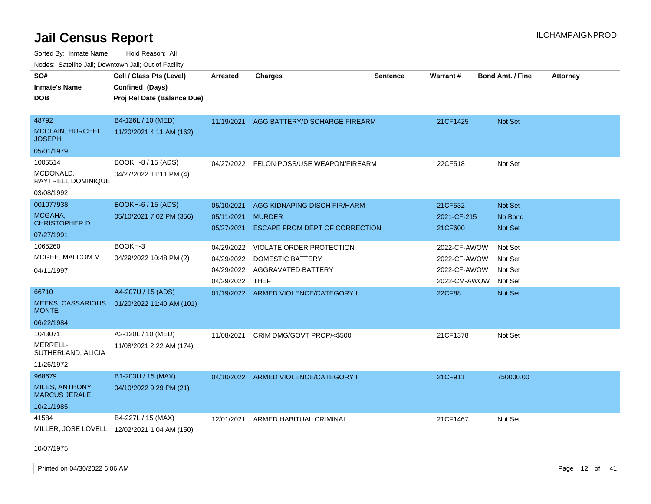Sorted By: Inmate Name, Hold Reason: All

| Nodes: Satellite Jail; Downtown Jail; Out of Facility |                             |                 |                                          |                 |              |                         |                 |
|-------------------------------------------------------|-----------------------------|-----------------|------------------------------------------|-----------------|--------------|-------------------------|-----------------|
| SO#                                                   | Cell / Class Pts (Level)    | <b>Arrested</b> | <b>Charges</b>                           | <b>Sentence</b> | Warrant#     | <b>Bond Amt. / Fine</b> | <b>Attorney</b> |
| <b>Inmate's Name</b>                                  | Confined (Days)             |                 |                                          |                 |              |                         |                 |
| <b>DOB</b>                                            | Proj Rel Date (Balance Due) |                 |                                          |                 |              |                         |                 |
|                                                       |                             |                 |                                          |                 |              |                         |                 |
| 48792                                                 | B4-126L / 10 (MED)          | 11/19/2021      | AGG BATTERY/DISCHARGE FIREARM            |                 | 21CF1425     | Not Set                 |                 |
| <b>MCCLAIN, HURCHEL</b><br><b>JOSEPH</b>              | 11/20/2021 4:11 AM (162)    |                 |                                          |                 |              |                         |                 |
| 05/01/1979                                            |                             |                 |                                          |                 |              |                         |                 |
| 1005514                                               | BOOKH-8 / 15 (ADS)          |                 | 04/27/2022 FELON POSS/USE WEAPON/FIREARM |                 | 22CF518      | Not Set                 |                 |
| MCDONALD,<br>RAYTRELL DOMINIQUE                       | 04/27/2022 11:11 PM (4)     |                 |                                          |                 |              |                         |                 |
| 03/08/1992                                            |                             |                 |                                          |                 |              |                         |                 |
| 001077938                                             | <b>BOOKH-6 / 15 (ADS)</b>   | 05/10/2021      | AGG KIDNAPING DISCH FIR/HARM             |                 | 21CF532      | Not Set                 |                 |
| MCGAHA,                                               | 05/10/2021 7:02 PM (356)    | 05/11/2021      | <b>MURDER</b>                            |                 | 2021-CF-215  | No Bond                 |                 |
| <b>CHRISTOPHER D</b>                                  |                             | 05/27/2021      | ESCAPE FROM DEPT OF CORRECTION           |                 | 21CF600      | Not Set                 |                 |
| 07/27/1991                                            |                             |                 |                                          |                 |              |                         |                 |
| 1065260                                               | BOOKH-3                     | 04/29/2022      | VIOLATE ORDER PROTECTION                 |                 | 2022-CF-AWOW | Not Set                 |                 |
| MCGEE, MALCOM M                                       | 04/29/2022 10:48 PM (2)     | 04/29/2022      | <b>DOMESTIC BATTERY</b>                  |                 | 2022-CF-AWOW | Not Set                 |                 |
| 04/11/1997                                            |                             | 04/29/2022      | AGGRAVATED BATTERY                       |                 | 2022-CF-AWOW | Not Set                 |                 |
|                                                       |                             | 04/29/2022      | <b>THEFT</b>                             |                 | 2022-CM-AWOW | Not Set                 |                 |
| 66710                                                 | A4-207U / 15 (ADS)          |                 | 01/19/2022 ARMED VIOLENCE/CATEGORY I     |                 | 22CF88       | Not Set                 |                 |
| <b>MEEKS, CASSARIOUS</b><br><b>MONTE</b>              | 01/20/2022 11:40 AM (101)   |                 |                                          |                 |              |                         |                 |
| 06/22/1984                                            |                             |                 |                                          |                 |              |                         |                 |
| 1043071                                               | A2-120L / 10 (MED)          | 11/08/2021      | CRIM DMG/GOVT PROP/<\$500                |                 | 21CF1378     | Not Set                 |                 |
| MERRELL-<br>SUTHERLAND, ALICIA                        | 11/08/2021 2:22 AM (174)    |                 |                                          |                 |              |                         |                 |
| 11/26/1972                                            |                             |                 |                                          |                 |              |                         |                 |
| 968679                                                | B1-203U / 15 (MAX)          | 04/10/2022      | ARMED VIOLENCE/CATEGORY I                |                 | 21CF911      | 750000.00               |                 |
| <b>MILES, ANTHONY</b><br><b>MARCUS JERALE</b>         | 04/10/2022 9:29 PM (21)     |                 |                                          |                 |              |                         |                 |
| 10/21/1985                                            |                             |                 |                                          |                 |              |                         |                 |
| 41584                                                 | B4-227L / 15 (MAX)          | 12/01/2021      | ARMED HABITUAL CRIMINAL                  |                 | 21CF1467     | Not Set                 |                 |
| MILLER, JOSE LOVELL                                   | 12/02/2021 1:04 AM (150)    |                 |                                          |                 |              |                         |                 |
|                                                       |                             |                 |                                          |                 |              |                         |                 |

10/07/1975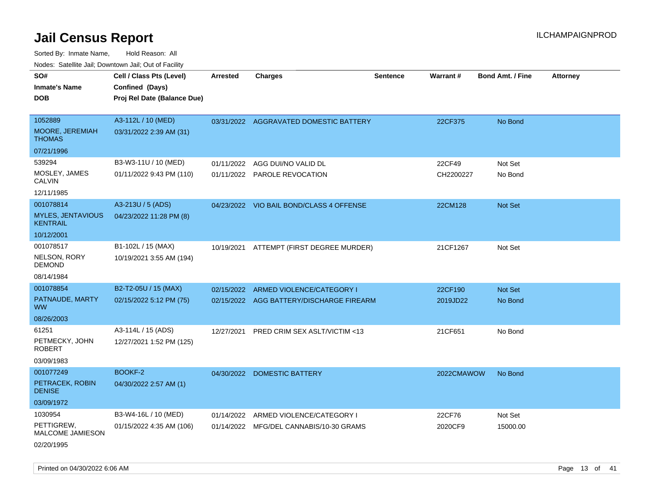| SO#<br><b>Inmate's Name</b>                       | Cell / Class Pts (Level)<br>Confined (Days)      | <b>Arrested</b> | <b>Charges</b>                                      | <b>Sentence</b> | <b>Warrant#</b>     | <b>Bond Amt. / Fine</b> | <b>Attorney</b> |
|---------------------------------------------------|--------------------------------------------------|-----------------|-----------------------------------------------------|-----------------|---------------------|-------------------------|-----------------|
| <b>DOB</b>                                        | Proj Rel Date (Balance Due)                      |                 |                                                     |                 |                     |                         |                 |
| 1052889<br>MOORE, JEREMIAH<br>THOMAS              | A3-112L / 10 (MED)<br>03/31/2022 2:39 AM (31)    |                 | 03/31/2022 AGGRAVATED DOMESTIC BATTERY              |                 | 22CF375             | No Bond                 |                 |
| 07/21/1996                                        |                                                  |                 |                                                     |                 |                     |                         |                 |
| 539294<br>MOSLEY, JAMES<br>CALVIN                 | B3-W3-11U / 10 (MED)<br>01/11/2022 9:43 PM (110) | 01/11/2022      | AGG DUI/NO VALID DL<br>01/11/2022 PAROLE REVOCATION |                 | 22CF49<br>CH2200227 | Not Set<br>No Bond      |                 |
| 12/11/1985                                        |                                                  |                 |                                                     |                 |                     |                         |                 |
| 001078814<br><b>MYLES, JENTAVIOUS</b><br>KENTRAIL | A3-213U / 5 (ADS)<br>04/23/2022 11:28 PM (8)     |                 | 04/23/2022 VIO BAIL BOND/CLASS 4 OFFENSE            |                 | 22CM128             | Not Set                 |                 |
| 10/12/2001                                        |                                                  |                 |                                                     |                 |                     |                         |                 |
| 001078517<br>NELSON, RORY<br>DEMOND               | B1-102L / 15 (MAX)<br>10/19/2021 3:55 AM (194)   |                 | 10/19/2021 ATTEMPT (FIRST DEGREE MURDER)            |                 | 21CF1267            | Not Set                 |                 |
| 08/14/1984                                        |                                                  |                 |                                                     |                 |                     |                         |                 |
| 001078854                                         | B2-T2-05U / 15 (MAX)                             | 02/15/2022      | ARMED VIOLENCE/CATEGORY I                           |                 | 22CF190             | <b>Not Set</b>          |                 |
| PATNAUDE, MARTY<br>WW.                            | 02/15/2022 5:12 PM (75)                          |                 | 02/15/2022 AGG BATTERY/DISCHARGE FIREARM            |                 | 2019JD22            | No Bond                 |                 |
| 08/26/2003                                        |                                                  |                 |                                                     |                 |                     |                         |                 |
| 61251<br>PETMECKY, JOHN<br>ROBERT<br>03/09/1983   | A3-114L / 15 (ADS)<br>12/27/2021 1:52 PM (125)   | 12/27/2021      | <b>PRED CRIM SEX ASLT/VICTIM &lt;13</b>             |                 | 21CF651             | No Bond                 |                 |
| 001077249                                         | BOOKF-2                                          | 04/30/2022      | <b>DOMESTIC BATTERY</b>                             |                 | 2022CMAWOW          | No Bond                 |                 |
| PETRACEK, ROBIN<br><b>DENISE</b>                  | 04/30/2022 2:57 AM (1)                           |                 |                                                     |                 |                     |                         |                 |
| 03/09/1972                                        |                                                  |                 |                                                     |                 |                     |                         |                 |
| 1030954                                           | B3-W4-16L / 10 (MED)                             | 01/14/2022      | ARMED VIOLENCE/CATEGORY I                           |                 | 22CF76              | Not Set                 |                 |
| PETTIGREW,<br>MALCOME JAMIESON                    | 01/15/2022 4:35 AM (106)                         |                 | 01/14/2022 MFG/DEL CANNABIS/10-30 GRAMS             |                 | 2020CF9             | 15000.00                |                 |
| 02/20/1995                                        |                                                  |                 |                                                     |                 |                     |                         |                 |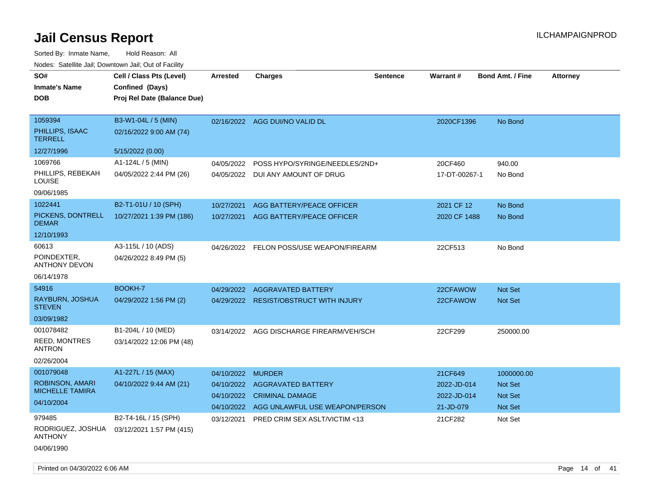| SO#                                 | Cell / Class Pts (Level)    | <b>Arrested</b> | <b>Charges</b>                           | Sentence | <b>Warrant#</b> | <b>Bond Amt. / Fine</b> | <b>Attorney</b> |
|-------------------------------------|-----------------------------|-----------------|------------------------------------------|----------|-----------------|-------------------------|-----------------|
| <b>Inmate's Name</b>                | Confined (Days)             |                 |                                          |          |                 |                         |                 |
| <b>DOB</b>                          | Proj Rel Date (Balance Due) |                 |                                          |          |                 |                         |                 |
|                                     |                             |                 |                                          |          |                 |                         |                 |
| 1059394                             | B3-W1-04L / 5 (MIN)         |                 | 02/16/2022 AGG DUI/NO VALID DL           |          | 2020CF1396      | No Bond                 |                 |
| PHILLIPS, ISAAC<br><b>TERRELL</b>   | 02/16/2022 9:00 AM (74)     |                 |                                          |          |                 |                         |                 |
| 12/27/1996                          | 5/15/2022 (0.00)            |                 |                                          |          |                 |                         |                 |
| 1069766                             | A1-124L / 5 (MIN)           | 04/05/2022      | POSS HYPO/SYRINGE/NEEDLES/2ND+           |          | 20CF460         | 940.00                  |                 |
| PHILLIPS, REBEKAH<br><b>LOUISE</b>  | 04/05/2022 2:44 PM (26)     |                 | 04/05/2022 DUI ANY AMOUNT OF DRUG        |          | 17-DT-00267-1   | No Bond                 |                 |
| 09/06/1985                          |                             |                 |                                          |          |                 |                         |                 |
| 1022441                             | B2-T1-01U / 10 (SPH)        | 10/27/2021      | AGG BATTERY/PEACE OFFICER                |          | 2021 CF 12      | No Bond                 |                 |
| PICKENS, DONTRELL<br><b>DEMAR</b>   | 10/27/2021 1:39 PM (186)    | 10/27/2021      | AGG BATTERY/PEACE OFFICER                |          | 2020 CF 1488    | No Bond                 |                 |
| 12/10/1993                          |                             |                 |                                          |          |                 |                         |                 |
| 60613                               | A3-115L / 10 (ADS)          |                 | 04/26/2022 FELON POSS/USE WEAPON/FIREARM |          | 22CF513         | No Bond                 |                 |
| POINDEXTER.<br><b>ANTHONY DEVON</b> | 04/26/2022 8:49 PM (5)      |                 |                                          |          |                 |                         |                 |
| 06/14/1978                          |                             |                 |                                          |          |                 |                         |                 |
| 54916                               | <b>BOOKH-7</b>              | 04/29/2022      | <b>AGGRAVATED BATTERY</b>                |          | 22CFAWOW        | <b>Not Set</b>          |                 |
| RAYBURN, JOSHUA<br><b>STEVEN</b>    | 04/29/2022 1:56 PM (2)      |                 | 04/29/2022 RESIST/OBSTRUCT WITH INJURY   |          | 22CFAWOW        | Not Set                 |                 |
| 03/09/1982                          |                             |                 |                                          |          |                 |                         |                 |
| 001078482                           | B1-204L / 10 (MED)          | 03/14/2022      | AGG DISCHARGE FIREARM/VEH/SCH            |          | 22CF299         | 250000.00               |                 |
| REED, MONTRES<br><b>ANTRON</b>      | 03/14/2022 12:06 PM (48)    |                 |                                          |          |                 |                         |                 |
| 02/26/2004                          |                             |                 |                                          |          |                 |                         |                 |
| 001079048                           | A1-227L / 15 (MAX)          | 04/10/2022      | <b>MURDER</b>                            |          | 21CF649         | 1000000.00              |                 |
| <b>ROBINSON, AMARI</b>              | 04/10/2022 9:44 AM (21)     | 04/10/2022      | <b>AGGRAVATED BATTERY</b>                |          | 2022-JD-014     | <b>Not Set</b>          |                 |
| <b>MICHELLE TAMIRA</b>              |                             |                 | 04/10/2022 CRIMINAL DAMAGE               |          | 2022-JD-014     | <b>Not Set</b>          |                 |
| 04/10/2004                          |                             | 04/10/2022      | AGG UNLAWFUL USE WEAPON/PERSON           |          | 21-JD-079       | Not Set                 |                 |
| 979485                              | B2-T4-16L / 15 (SPH)        | 03/12/2021      | PRED CRIM SEX ASLT/VICTIM <13            |          | 21CF282         | Not Set                 |                 |
| RODRIGUEZ, JOSHUA<br><b>ANTHONY</b> | 03/12/2021 1:57 PM (415)    |                 |                                          |          |                 |                         |                 |
| 04/06/1990                          |                             |                 |                                          |          |                 |                         |                 |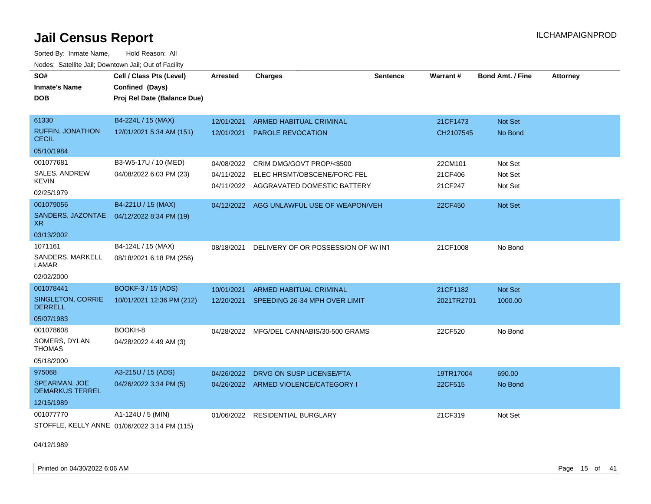Sorted By: Inmate Name, Hold Reason: All Nodes: Satellite Jail; Downtown Jail; Out of Facility

| SO#                                        | Cell / Class Pts (Level)                     | <b>Arrested</b> | <b>Charges</b>                         | <b>Sentence</b> | Warrant#   | <b>Bond Amt. / Fine</b> | <b>Attorney</b> |
|--------------------------------------------|----------------------------------------------|-----------------|----------------------------------------|-----------------|------------|-------------------------|-----------------|
| <b>Inmate's Name</b>                       | Confined (Days)                              |                 |                                        |                 |            |                         |                 |
| <b>DOB</b>                                 | Proj Rel Date (Balance Due)                  |                 |                                        |                 |            |                         |                 |
| 61330                                      | B4-224L / 15 (MAX)                           | 12/01/2021      | ARMED HABITUAL CRIMINAL                |                 | 21CF1473   | Not Set                 |                 |
| <b>RUFFIN, JONATHON</b><br><b>CECIL</b>    | 12/01/2021 5:34 AM (151)                     | 12/01/2021      | <b>PAROLE REVOCATION</b>               |                 | CH2107545  | No Bond                 |                 |
| 05/10/1984                                 |                                              |                 |                                        |                 |            |                         |                 |
| 001077681                                  | B3-W5-17U / 10 (MED)                         | 04/08/2022      | CRIM DMG/GOVT PROP/<\$500              |                 | 22CM101    | Not Set                 |                 |
| SALES, ANDREW                              | 04/08/2022 6:03 PM (23)                      | 04/11/2022      | ELEC HRSMT/OBSCENE/FORC FEL            |                 | 21CF406    | Not Set                 |                 |
| <b>KEVIN</b>                               |                                              |                 | 04/11/2022 AGGRAVATED DOMESTIC BATTERY |                 | 21CF247    | Not Set                 |                 |
| 02/25/1979                                 |                                              |                 |                                        |                 |            |                         |                 |
| 001079056<br>SANDERS, JAZONTAE             | B4-221U / 15 (MAX)                           | 04/12/2022      | AGG UNLAWFUL USE OF WEAPON/VEH         |                 | 22CF450    | <b>Not Set</b>          |                 |
| XR.                                        | 04/12/2022 8:34 PM (19)                      |                 |                                        |                 |            |                         |                 |
| 03/13/2002                                 |                                              |                 |                                        |                 |            |                         |                 |
| 1071161                                    | B4-124L / 15 (MAX)                           | 08/18/2021      | DELIVERY OF OR POSSESSION OF W/INT     |                 | 21CF1008   | No Bond                 |                 |
| SANDERS, MARKELL<br>LAMAR                  | 08/18/2021 6:18 PM (256)                     |                 |                                        |                 |            |                         |                 |
| 02/02/2000                                 |                                              |                 |                                        |                 |            |                         |                 |
| 001078441                                  | BOOKF-3 / 15 (ADS)                           | 10/01/2021      | <b>ARMED HABITUAL CRIMINAL</b>         |                 | 21CF1182   | <b>Not Set</b>          |                 |
| <b>SINGLETON, CORRIE</b><br><b>DERRELL</b> | 10/01/2021 12:36 PM (212)                    | 12/20/2021      | SPEEDING 26-34 MPH OVER LIMIT          |                 | 2021TR2701 | 1000.00                 |                 |
| 05/07/1983                                 |                                              |                 |                                        |                 |            |                         |                 |
| 001078608                                  | BOOKH-8                                      | 04/28/2022      | MFG/DEL CANNABIS/30-500 GRAMS          |                 | 22CF520    | No Bond                 |                 |
| SOMERS, DYLAN<br><b>THOMAS</b>             | 04/28/2022 4:49 AM (3)                       |                 |                                        |                 |            |                         |                 |
| 05/18/2000                                 |                                              |                 |                                        |                 |            |                         |                 |
| 975068                                     | A3-215U / 15 (ADS)                           | 04/26/2022      | DRVG ON SUSP LICENSE/FTA               |                 | 19TR17004  | 690.00                  |                 |
| SPEARMAN, JOE<br><b>DEMARKUS TERREL</b>    | 04/26/2022 3:34 PM (5)                       |                 | 04/26/2022 ARMED VIOLENCE/CATEGORY I   |                 | 22CF515    | No Bond                 |                 |
| 12/15/1989                                 |                                              |                 |                                        |                 |            |                         |                 |
| 001077770                                  | A1-124U / 5 (MIN)                            | 01/06/2022      | <b>RESIDENTIAL BURGLARY</b>            |                 | 21CF319    | Not Set                 |                 |
|                                            | STOFFLE, KELLY ANNE 01/06/2022 3:14 PM (115) |                 |                                        |                 |            |                         |                 |

04/12/1989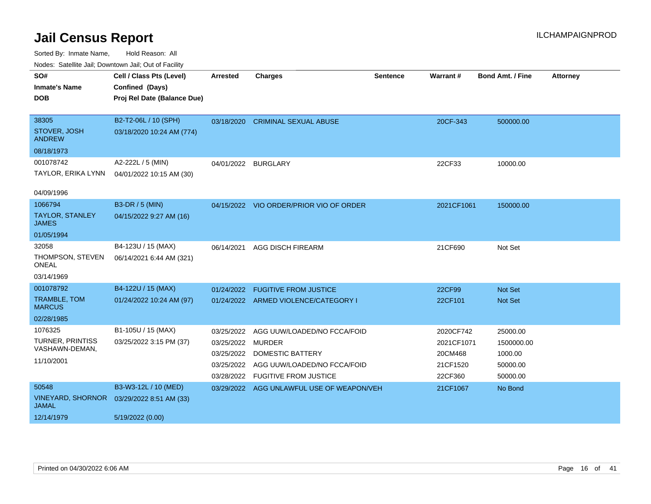| roaco. Calcinio can, Downlown can, Out or Fability |                             |                     |                                           |                 |            |                         |                 |
|----------------------------------------------------|-----------------------------|---------------------|-------------------------------------------|-----------------|------------|-------------------------|-----------------|
| SO#                                                | Cell / Class Pts (Level)    | <b>Arrested</b>     | <b>Charges</b>                            | <b>Sentence</b> | Warrant#   | <b>Bond Amt. / Fine</b> | <b>Attorney</b> |
| <b>Inmate's Name</b>                               | Confined (Days)             |                     |                                           |                 |            |                         |                 |
| <b>DOB</b>                                         | Proj Rel Date (Balance Due) |                     |                                           |                 |            |                         |                 |
|                                                    |                             |                     |                                           |                 |            |                         |                 |
| 38305                                              | B2-T2-06L / 10 (SPH)        | 03/18/2020          | <b>CRIMINAL SEXUAL ABUSE</b>              |                 | 20CF-343   | 500000.00               |                 |
| STOVER, JOSH<br><b>ANDREW</b>                      | 03/18/2020 10:24 AM (774)   |                     |                                           |                 |            |                         |                 |
| 08/18/1973                                         |                             |                     |                                           |                 |            |                         |                 |
| 001078742                                          | A2-222L / 5 (MIN)           | 04/01/2022 BURGLARY |                                           |                 | 22CF33     | 10000.00                |                 |
| TAYLOR, ERIKA LYNN                                 | 04/01/2022 10:15 AM (30)    |                     |                                           |                 |            |                         |                 |
|                                                    |                             |                     |                                           |                 |            |                         |                 |
| 04/09/1996                                         |                             |                     |                                           |                 |            |                         |                 |
| 1066794                                            | B3-DR / 5 (MIN)             |                     | 04/15/2022 VIO ORDER/PRIOR VIO OF ORDER   |                 | 2021CF1061 | 150000.00               |                 |
| <b>TAYLOR, STANLEY</b><br><b>JAMES</b>             | 04/15/2022 9:27 AM (16)     |                     |                                           |                 |            |                         |                 |
| 01/05/1994                                         |                             |                     |                                           |                 |            |                         |                 |
| 32058                                              | B4-123U / 15 (MAX)          | 06/14/2021          | <b>AGG DISCH FIREARM</b>                  |                 | 21CF690    | Not Set                 |                 |
| THOMPSON, STEVEN<br><b>ONEAL</b>                   | 06/14/2021 6:44 AM (321)    |                     |                                           |                 |            |                         |                 |
| 03/14/1969                                         |                             |                     |                                           |                 |            |                         |                 |
| 001078792                                          | B4-122U / 15 (MAX)          | 01/24/2022          | <b>FUGITIVE FROM JUSTICE</b>              |                 | 22CF99     | Not Set                 |                 |
| <b>TRAMBLE, TOM</b><br><b>MARCUS</b>               | 01/24/2022 10:24 AM (97)    |                     | 01/24/2022 ARMED VIOLENCE/CATEGORY I      |                 | 22CF101    | Not Set                 |                 |
| 02/28/1985                                         |                             |                     |                                           |                 |            |                         |                 |
| 1076325                                            | B1-105U / 15 (MAX)          | 03/25/2022          | AGG UUW/LOADED/NO FCCA/FOID               |                 | 2020CF742  | 25000.00                |                 |
| <b>TURNER, PRINTISS</b>                            | 03/25/2022 3:15 PM (37)     | 03/25/2022          | MURDER                                    |                 | 2021CF1071 | 1500000.00              |                 |
| VASHAWN-DEMAN,                                     |                             | 03/25/2022          | <b>DOMESTIC BATTERY</b>                   |                 | 20CM468    | 1000.00                 |                 |
| 11/10/2001                                         |                             | 03/25/2022          | AGG UUW/LOADED/NO FCCA/FOID               |                 | 21CF1520   | 50000.00                |                 |
|                                                    |                             | 03/28/2022          | <b>FUGITIVE FROM JUSTICE</b>              |                 | 22CF360    | 50000.00                |                 |
| 50548                                              | B3-W3-12L / 10 (MED)        |                     | 03/29/2022 AGG UNLAWFUL USE OF WEAPON/VEH |                 | 21CF1067   | No Bond                 |                 |
| <b>VINEYARD, SHORNOR</b><br><b>JAMAL</b>           | 03/29/2022 8:51 AM (33)     |                     |                                           |                 |            |                         |                 |
| 12/14/1979                                         | 5/19/2022 (0.00)            |                     |                                           |                 |            |                         |                 |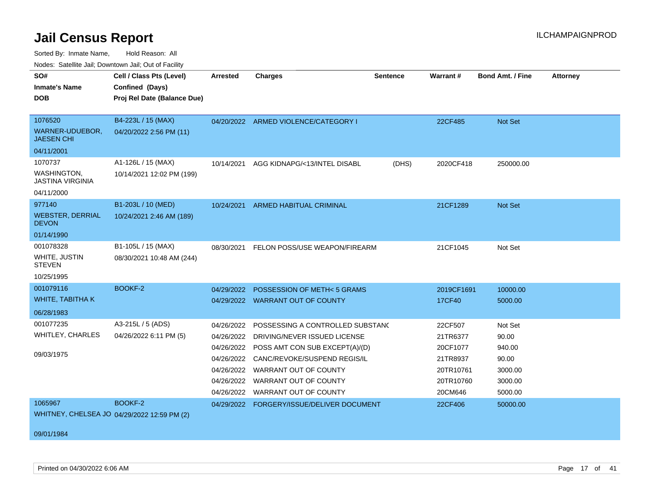Sorted By: Inmate Name, Hold Reason: All

Nodes: Satellite Jail; Downtown Jail; Out of Facility

| SO#                                           | Cell / Class Pts (Level)                    | <b>Arrested</b> | <b>Charges</b>                            | <b>Sentence</b> | <b>Warrant#</b> | <b>Bond Amt. / Fine</b> | <b>Attorney</b> |
|-----------------------------------------------|---------------------------------------------|-----------------|-------------------------------------------|-----------------|-----------------|-------------------------|-----------------|
| <b>Inmate's Name</b>                          | Confined (Days)                             |                 |                                           |                 |                 |                         |                 |
| <b>DOB</b>                                    | Proj Rel Date (Balance Due)                 |                 |                                           |                 |                 |                         |                 |
|                                               |                                             |                 |                                           |                 |                 |                         |                 |
| 1076520                                       | B4-223L / 15 (MAX)                          |                 | 04/20/2022 ARMED VIOLENCE/CATEGORY I      |                 | 22CF485         | Not Set                 |                 |
| WARNER-UDUEBOR,<br><b>JAESEN CHI</b>          | 04/20/2022 2:56 PM (11)                     |                 |                                           |                 |                 |                         |                 |
| 04/11/2001                                    |                                             |                 |                                           |                 |                 |                         |                 |
| 1070737                                       | A1-126L / 15 (MAX)                          | 10/14/2021      | AGG KIDNAPG/<13/INTEL DISABL              | (DHS)           | 2020CF418       | 250000.00               |                 |
| <b>WASHINGTON,</b><br><b>JASTINA VIRGINIA</b> | 10/14/2021 12:02 PM (199)                   |                 |                                           |                 |                 |                         |                 |
| 04/11/2000                                    |                                             |                 |                                           |                 |                 |                         |                 |
| 977140                                        | B1-203L / 10 (MED)                          | 10/24/2021      | ARMED HABITUAL CRIMINAL                   |                 | 21CF1289        | Not Set                 |                 |
| <b>WEBSTER, DERRIAL</b><br><b>DEVON</b>       | 10/24/2021 2:46 AM (189)                    |                 |                                           |                 |                 |                         |                 |
| 01/14/1990                                    |                                             |                 |                                           |                 |                 |                         |                 |
| 001078328                                     | B1-105L / 15 (MAX)                          | 08/30/2021      | FELON POSS/USE WEAPON/FIREARM             |                 | 21CF1045        | Not Set                 |                 |
| WHITE, JUSTIN<br><b>STEVEN</b>                | 08/30/2021 10:48 AM (244)                   |                 |                                           |                 |                 |                         |                 |
| 10/25/1995                                    |                                             |                 |                                           |                 |                 |                         |                 |
| 001079116                                     | BOOKF-2                                     | 04/29/2022      | POSSESSION OF METH<5 GRAMS                |                 | 2019CF1691      | 10000.00                |                 |
| WHITE, TABITHA K                              |                                             |                 | 04/29/2022 WARRANT OUT OF COUNTY          |                 | <b>17CF40</b>   | 5000.00                 |                 |
| 06/28/1983                                    |                                             |                 |                                           |                 |                 |                         |                 |
| 001077235                                     | A3-215L / 5 (ADS)                           | 04/26/2022      | POSSESSING A CONTROLLED SUBSTANC          |                 | 22CF507         | Not Set                 |                 |
| <b>WHITLEY, CHARLES</b>                       | 04/26/2022 6:11 PM (5)                      | 04/26/2022      | DRIVING/NEVER ISSUED LICENSE              |                 | 21TR6377        | 90.00                   |                 |
|                                               |                                             | 04/26/2022      | POSS AMT CON SUB EXCEPT(A)/(D)            |                 | 20CF1077        | 940.00                  |                 |
| 09/03/1975                                    |                                             | 04/26/2022      | CANC/REVOKE/SUSPEND REGIS/IL              |                 | 21TR8937        | 90.00                   |                 |
|                                               |                                             | 04/26/2022      | WARRANT OUT OF COUNTY                     |                 | 20TR10761       | 3000.00                 |                 |
|                                               |                                             | 04/26/2022      | WARRANT OUT OF COUNTY                     |                 | 20TR10760       | 3000.00                 |                 |
|                                               |                                             |                 | 04/26/2022 WARRANT OUT OF COUNTY          |                 | 20CM646         | 5000.00                 |                 |
| 1065967                                       | BOOKF-2                                     |                 | 04/29/2022 FORGERY/ISSUE/DELIVER DOCUMENT |                 | 22CF406         | 50000.00                |                 |
|                                               | WHITNEY, CHELSEA JO 04/29/2022 12:59 PM (2) |                 |                                           |                 |                 |                         |                 |
| 09/01/1984                                    |                                             |                 |                                           |                 |                 |                         |                 |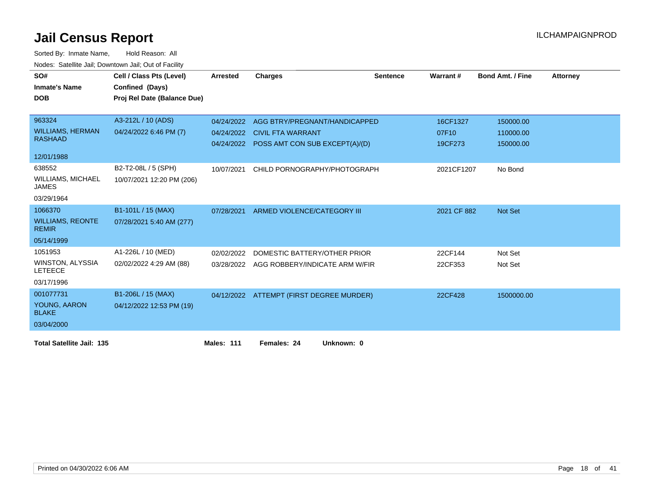| SO#                                       | Cell / Class Pts (Level)    | <b>Arrested</b>   | <b>Charges</b>                            | <b>Sentence</b> | Warrant#    | <b>Bond Amt. / Fine</b> | <b>Attorney</b> |
|-------------------------------------------|-----------------------------|-------------------|-------------------------------------------|-----------------|-------------|-------------------------|-----------------|
| <b>Inmate's Name</b>                      | Confined (Days)             |                   |                                           |                 |             |                         |                 |
| <b>DOB</b>                                | Proj Rel Date (Balance Due) |                   |                                           |                 |             |                         |                 |
|                                           |                             |                   |                                           |                 |             |                         |                 |
| 963324                                    | A3-212L / 10 (ADS)          | 04/24/2022        | AGG BTRY/PREGNANT/HANDICAPPED             |                 | 16CF1327    | 150000.00               |                 |
| <b>WILLIAMS, HERMAN</b>                   | 04/24/2022 6:46 PM (7)      | 04/24/2022        | <b>CIVIL FTA WARRANT</b>                  |                 | 07F10       | 110000.00               |                 |
| <b>RASHAAD</b>                            |                             |                   | 04/24/2022 POSS AMT CON SUB EXCEPT(A)/(D) |                 | 19CF273     | 150000.00               |                 |
| 12/01/1988                                |                             |                   |                                           |                 |             |                         |                 |
| 638552                                    | B2-T2-08L / 5 (SPH)         | 10/07/2021        | CHILD PORNOGRAPHY/PHOTOGRAPH              |                 | 2021CF1207  | No Bond                 |                 |
| <b>WILLIAMS, MICHAEL</b><br><b>JAMES</b>  | 10/07/2021 12:20 PM (206)   |                   |                                           |                 |             |                         |                 |
| 03/29/1964                                |                             |                   |                                           |                 |             |                         |                 |
| 1066370                                   | B1-101L / 15 (MAX)          | 07/28/2021        | ARMED VIOLENCE/CATEGORY III               |                 | 2021 CF 882 | Not Set                 |                 |
| <b>WILLIAMS, REONTE</b><br><b>REMIR</b>   | 07/28/2021 5:40 AM (277)    |                   |                                           |                 |             |                         |                 |
| 05/14/1999                                |                             |                   |                                           |                 |             |                         |                 |
| 1051953                                   | A1-226L / 10 (MED)          | 02/02/2022        | DOMESTIC BATTERY/OTHER PRIOR              |                 | 22CF144     | Not Set                 |                 |
| <b>WINSTON, ALYSSIA</b><br><b>LETEECE</b> | 02/02/2022 4:29 AM (88)     | 03/28/2022        | AGG ROBBERY/INDICATE ARM W/FIR            |                 | 22CF353     | Not Set                 |                 |
| 03/17/1996                                |                             |                   |                                           |                 |             |                         |                 |
| 001077731                                 | B1-206L / 15 (MAX)          |                   | 04/12/2022 ATTEMPT (FIRST DEGREE MURDER)  |                 | 22CF428     | 1500000.00              |                 |
| YOUNG, AARON<br><b>BLAKE</b>              | 04/12/2022 12:53 PM (19)    |                   |                                           |                 |             |                         |                 |
| 03/04/2000                                |                             |                   |                                           |                 |             |                         |                 |
| <b>Total Satellite Jail: 135</b>          |                             | <b>Males: 111</b> | Females: 24<br>Unknown: 0                 |                 |             |                         |                 |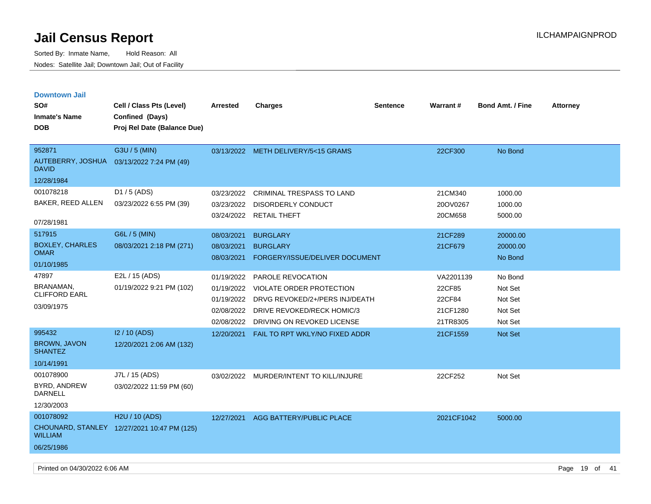| <b>Downtown Jail</b><br>SO#<br><b>Inmate's Name</b><br><b>DOB</b> | Cell / Class Pts (Level)<br>Confined (Days)<br>Proj Rel Date (Balance Due) | <b>Arrested</b>                                                    | <b>Charges</b>                                                                                                                              | <b>Sentence</b> | <b>Warrant#</b>                                       | <b>Bond Amt. / Fine</b>                             | <b>Attorney</b> |
|-------------------------------------------------------------------|----------------------------------------------------------------------------|--------------------------------------------------------------------|---------------------------------------------------------------------------------------------------------------------------------------------|-----------------|-------------------------------------------------------|-----------------------------------------------------|-----------------|
| 952871<br>AUTEBERRY, JOSHUA<br><b>DAVID</b><br>12/28/1984         | G3U / 5 (MIN)<br>03/13/2022 7:24 PM (49)                                   |                                                                    | 03/13/2022 METH DELIVERY/5<15 GRAMS                                                                                                         |                 | 22CF300                                               | No Bond                                             |                 |
| 001078218<br>BAKER, REED ALLEN<br>07/28/1981                      | D1 / 5 (ADS)<br>03/23/2022 6:55 PM (39)                                    | 03/23/2022<br>03/23/2022<br>03/24/2022                             | CRIMINAL TRESPASS TO LAND<br>DISORDERLY CONDUCT<br><b>RETAIL THEFT</b>                                                                      |                 | 21CM340<br>20OV0267<br>20CM658                        | 1000.00<br>1000.00<br>5000.00                       |                 |
| 517915<br><b>BOXLEY, CHARLES</b><br><b>OMAR</b><br>01/10/1985     | G6L / 5 (MIN)<br>08/03/2021 2:18 PM (271)                                  | 08/03/2021<br>08/03/2021<br>08/03/2021                             | <b>BURGLARY</b><br><b>BURGLARY</b><br>FORGERY/ISSUE/DELIVER DOCUMENT                                                                        |                 | 21CF289<br>21CF679                                    | 20000.00<br>20000.00<br>No Bond                     |                 |
| 47897<br>BRANAMAN,<br><b>CLIFFORD EARL</b><br>03/09/1975          | E2L / 15 (ADS)<br>01/19/2022 9:21 PM (102)                                 | 01/19/2022<br>01/19/2022<br>01/19/2022<br>02/08/2022<br>02/08/2022 | PAROLE REVOCATION<br>VIOLATE ORDER PROTECTION<br>DRVG REVOKED/2+/PERS INJ/DEATH<br>DRIVE REVOKED/RECK HOMIC/3<br>DRIVING ON REVOKED LICENSE |                 | VA2201139<br>22CF85<br>22CF84<br>21CF1280<br>21TR8305 | No Bond<br>Not Set<br>Not Set<br>Not Set<br>Not Set |                 |
| 995432<br><b>BROWN, JAVON</b><br><b>SHANTEZ</b><br>10/14/1991     | I2 / 10 (ADS)<br>12/20/2021 2:06 AM (132)                                  | 12/20/2021                                                         | FAIL TO RPT WKLY/NO FIXED ADDR                                                                                                              |                 | 21CF1559                                              | <b>Not Set</b>                                      |                 |
| 001078900<br>BYRD, ANDREW<br>DARNELL<br>12/30/2003                | J7L / 15 (ADS)<br>03/02/2022 11:59 PM (60)                                 | 03/02/2022                                                         | MURDER/INTENT TO KILL/INJURE                                                                                                                |                 | 22CF252                                               | Not Set                                             |                 |
| 001078092<br><b>WILLIAM</b><br>06/25/1986                         | H <sub>2</sub> U / 10 (ADS)<br>CHOUNARD, STANLEY 12/27/2021 10:47 PM (125) | 12/27/2021                                                         | AGG BATTERY/PUBLIC PLACE                                                                                                                    |                 | 2021CF1042                                            | 5000.00                                             |                 |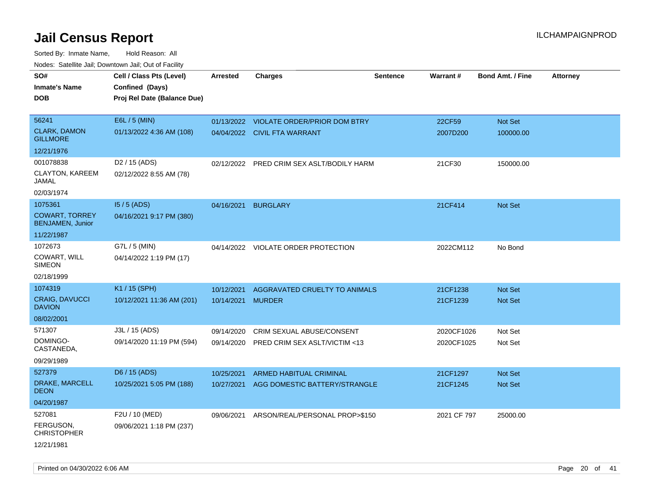Sorted By: Inmate Name, Hold Reason: All Nodes: Satellite Jail; Downtown Jail; Out of Facility

| SO#<br><b>Inmate's Name</b><br><b>DOB</b>        | Cell / Class Pts (Level)<br>Confined (Days)<br>Proj Rel Date (Balance Due) | <b>Arrested</b> | <b>Charges</b>                            | <b>Sentence</b> | Warrant#    | <b>Bond Amt. / Fine</b> | <b>Attorney</b> |
|--------------------------------------------------|----------------------------------------------------------------------------|-----------------|-------------------------------------------|-----------------|-------------|-------------------------|-----------------|
| 56241                                            | E6L / 5 (MIN)                                                              |                 | 01/13/2022 VIOLATE ORDER/PRIOR DOM BTRY   |                 | 22CF59      | Not Set                 |                 |
| <b>CLARK, DAMON</b><br><b>GILLMORE</b>           | 01/13/2022 4:36 AM (108)                                                   |                 | 04/04/2022 CIVIL FTA WARRANT              |                 | 2007D200    | 100000.00               |                 |
| 12/21/1976                                       |                                                                            |                 |                                           |                 |             |                         |                 |
| 001078838                                        | D <sub>2</sub> / 15 (ADS)                                                  |                 | 02/12/2022 PRED CRIM SEX ASLT/BODILY HARM |                 | 21CF30      | 150000.00               |                 |
| CLAYTON, KAREEM<br>JAMAL                         | 02/12/2022 8:55 AM (78)                                                    |                 |                                           |                 |             |                         |                 |
| 02/03/1974                                       |                                                                            |                 |                                           |                 |             |                         |                 |
| 1075361                                          | $15/5$ (ADS)                                                               | 04/16/2021      | <b>BURGLARY</b>                           |                 | 21CF414     | Not Set                 |                 |
| <b>COWART, TORREY</b><br><b>BENJAMEN, Junior</b> | 04/16/2021 9:17 PM (380)                                                   |                 |                                           |                 |             |                         |                 |
| 11/22/1987                                       |                                                                            |                 |                                           |                 |             |                         |                 |
| 1072673                                          | G7L / 5 (MIN)                                                              |                 | 04/14/2022 VIOLATE ORDER PROTECTION       |                 | 2022CM112   | No Bond                 |                 |
| COWART, WILL<br><b>SIMEON</b>                    | 04/14/2022 1:19 PM (17)                                                    |                 |                                           |                 |             |                         |                 |
| 02/18/1999                                       |                                                                            |                 |                                           |                 |             |                         |                 |
| 1074319                                          | K1 / 15 (SPH)                                                              | 10/12/2021      | AGGRAVATED CRUELTY TO ANIMALS             |                 | 21CF1238    | <b>Not Set</b>          |                 |
| <b>CRAIG, DAVUCCI</b><br><b>DAVION</b>           | 10/12/2021 11:36 AM (201)                                                  | 10/14/2021      | <b>MURDER</b>                             |                 | 21CF1239    | <b>Not Set</b>          |                 |
| 08/02/2001                                       |                                                                            |                 |                                           |                 |             |                         |                 |
| 571307                                           | J3L / 15 (ADS)                                                             | 09/14/2020      | CRIM SEXUAL ABUSE/CONSENT                 |                 | 2020CF1026  | Not Set                 |                 |
| DOMINGO-<br>CASTANEDA,                           | 09/14/2020 11:19 PM (594)                                                  | 09/14/2020      | PRED CRIM SEX ASLT/VICTIM <13             |                 | 2020CF1025  | Not Set                 |                 |
| 09/29/1989                                       |                                                                            |                 |                                           |                 |             |                         |                 |
| 527379                                           | D6 / 15 (ADS)                                                              | 10/25/2021      | ARMED HABITUAL CRIMINAL                   |                 | 21CF1297    | Not Set                 |                 |
| DRAKE, MARCELL<br><b>DEON</b>                    | 10/25/2021 5:05 PM (188)                                                   | 10/27/2021      | AGG DOMESTIC BATTERY/STRANGLE             |                 | 21CF1245    | Not Set                 |                 |
| 04/20/1987                                       |                                                                            |                 |                                           |                 |             |                         |                 |
| 527081                                           | F2U / 10 (MED)                                                             | 09/06/2021      | ARSON/REAL/PERSONAL PROP>\$150            |                 | 2021 CF 797 | 25000.00                |                 |
| FERGUSON,<br><b>CHRISTOPHER</b>                  | 09/06/2021 1:18 PM (237)                                                   |                 |                                           |                 |             |                         |                 |
| 12/21/1981                                       |                                                                            |                 |                                           |                 |             |                         |                 |

Printed on 04/30/2022 6:06 AM Page 20 of 41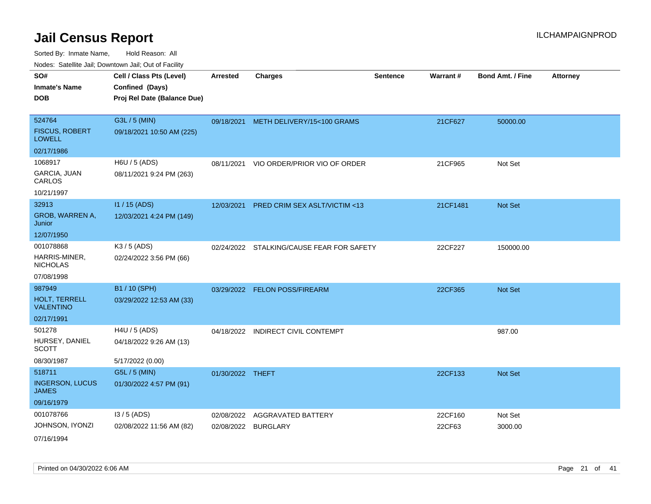Sorted By: Inmate Name, Hold Reason: All Nodes: Satellite Jail; Downtown Jail; Out of Facility

| ivouss. Satellite Jali, Downtown Jali, Out of Facility |                             |                  |                                         |                 |          |                         |                 |
|--------------------------------------------------------|-----------------------------|------------------|-----------------------------------------|-----------------|----------|-------------------------|-----------------|
| SO#                                                    | Cell / Class Pts (Level)    | <b>Arrested</b>  | <b>Charges</b>                          | <b>Sentence</b> | Warrant# | <b>Bond Amt. / Fine</b> | <b>Attorney</b> |
| <b>Inmate's Name</b>                                   | Confined (Days)             |                  |                                         |                 |          |                         |                 |
| <b>DOB</b>                                             | Proj Rel Date (Balance Due) |                  |                                         |                 |          |                         |                 |
|                                                        |                             |                  |                                         |                 |          |                         |                 |
| 524764                                                 | G3L / 5 (MIN)               |                  | 09/18/2021 METH DELIVERY/15<100 GRAMS   |                 | 21CF627  | 50000.00                |                 |
| <b>FISCUS, ROBERT</b><br>LOWELL                        | 09/18/2021 10:50 AM (225)   |                  |                                         |                 |          |                         |                 |
| 02/17/1986                                             |                             |                  |                                         |                 |          |                         |                 |
| 1068917                                                | H6U / 5 (ADS)               | 08/11/2021       | VIO ORDER/PRIOR VIO OF ORDER            |                 | 21CF965  | Not Set                 |                 |
| <b>GARCIA, JUAN</b><br>CARLOS                          | 08/11/2021 9:24 PM (263)    |                  |                                         |                 |          |                         |                 |
| 10/21/1997                                             |                             |                  |                                         |                 |          |                         |                 |
| 32913                                                  | I1 / 15 (ADS)               | 12/03/2021       | <b>PRED CRIM SEX ASLT/VICTIM &lt;13</b> |                 | 21CF1481 | <b>Not Set</b>          |                 |
| GROB, WARREN A,<br>Junior                              | 12/03/2021 4:24 PM (149)    |                  |                                         |                 |          |                         |                 |
| 12/07/1950                                             |                             |                  |                                         |                 |          |                         |                 |
| 001078868                                              | K3 / 5 (ADS)                | 02/24/2022       | STALKING/CAUSE FEAR FOR SAFETY          |                 | 22CF227  | 150000.00               |                 |
| HARRIS-MINER,<br><b>NICHOLAS</b>                       | 02/24/2022 3:56 PM (66)     |                  |                                         |                 |          |                         |                 |
| 07/08/1998                                             |                             |                  |                                         |                 |          |                         |                 |
| 987949                                                 | B1 / 10 (SPH)               |                  | 03/29/2022 FELON POSS/FIREARM           |                 | 22CF365  | <b>Not Set</b>          |                 |
| <b>HOLT, TERRELL</b><br><b>VALENTINO</b>               | 03/29/2022 12:53 AM (33)    |                  |                                         |                 |          |                         |                 |
| 02/17/1991                                             |                             |                  |                                         |                 |          |                         |                 |
| 501278                                                 | H4U / 5 (ADS)               |                  | 04/18/2022 INDIRECT CIVIL CONTEMPT      |                 |          | 987.00                  |                 |
| HURSEY, DANIEL<br>SCOTT                                | 04/18/2022 9:26 AM (13)     |                  |                                         |                 |          |                         |                 |
| 08/30/1987                                             | 5/17/2022 (0.00)            |                  |                                         |                 |          |                         |                 |
| 518711                                                 | G5L / 5 (MIN)               | 01/30/2022 THEFT |                                         |                 | 22CF133  | <b>Not Set</b>          |                 |
| <b>INGERSON, LUCUS</b><br>JAMES                        | 01/30/2022 4:57 PM (91)     |                  |                                         |                 |          |                         |                 |
| 09/16/1979                                             |                             |                  |                                         |                 |          |                         |                 |
| 001078766                                              | $13/5$ (ADS)                | 02/08/2022       | AGGRAVATED BATTERY                      |                 | 22CF160  | Not Set                 |                 |
| JOHNSON, IYONZI                                        | 02/08/2022 11:56 AM (82)    |                  | 02/08/2022 BURGLARY                     |                 | 22CF63   | 3000.00                 |                 |
| 0711011001                                             |                             |                  |                                         |                 |          |                         |                 |

07/16/1994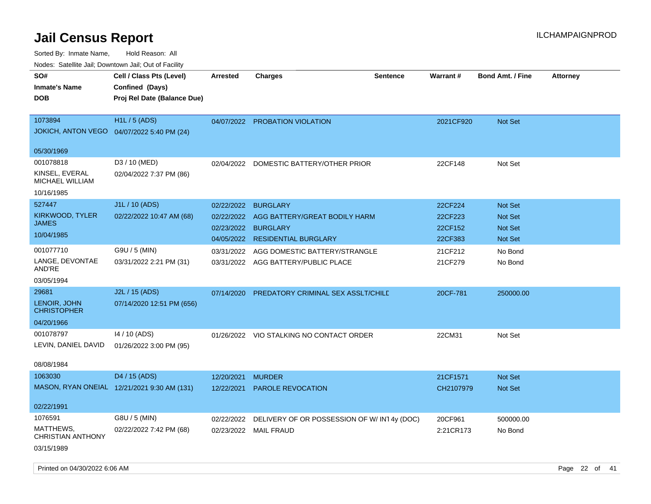| ivuutos. Saltiilit Jali, Duwilluwii Jali, Oul of Facility |                                             |                 |                                             |                 |                 |                         |                 |
|-----------------------------------------------------------|---------------------------------------------|-----------------|---------------------------------------------|-----------------|-----------------|-------------------------|-----------------|
| SO#                                                       | Cell / Class Pts (Level)                    | <b>Arrested</b> | <b>Charges</b>                              | <b>Sentence</b> | <b>Warrant#</b> | <b>Bond Amt. / Fine</b> | <b>Attorney</b> |
| <b>Inmate's Name</b>                                      | Confined (Days)                             |                 |                                             |                 |                 |                         |                 |
| <b>DOB</b>                                                | Proj Rel Date (Balance Due)                 |                 |                                             |                 |                 |                         |                 |
|                                                           |                                             |                 |                                             |                 |                 |                         |                 |
| 1073894                                                   | <b>H1L / 5 (ADS)</b>                        |                 | 04/07/2022 PROBATION VIOLATION              |                 | 2021CF920       | <b>Not Set</b>          |                 |
| <b>JOKICH, ANTON VEGO</b>                                 | 04/07/2022 5:40 PM (24)                     |                 |                                             |                 |                 |                         |                 |
|                                                           |                                             |                 |                                             |                 |                 |                         |                 |
| 05/30/1969                                                |                                             |                 |                                             |                 |                 |                         |                 |
| 001078818                                                 | D3 / 10 (MED)                               | 02/04/2022      | DOMESTIC BATTERY/OTHER PRIOR                |                 | 22CF148         | Not Set                 |                 |
| KINSEL, EVERAL<br>MICHAEL WILLIAM                         | 02/04/2022 7:37 PM (86)                     |                 |                                             |                 |                 |                         |                 |
| 10/16/1985                                                |                                             |                 |                                             |                 |                 |                         |                 |
| 527447                                                    | J1L / 10 (ADS)                              | 02/22/2022      | <b>BURGLARY</b>                             |                 | 22CF224         | <b>Not Set</b>          |                 |
| KIRKWOOD, TYLER                                           | 02/22/2022 10:47 AM (68)                    | 02/22/2022      | AGG BATTERY/GREAT BODILY HARM               |                 | 22CF223         | <b>Not Set</b>          |                 |
| <b>JAMES</b>                                              |                                             | 02/23/2022      | <b>BURGLARY</b>                             |                 | 22CF152         | <b>Not Set</b>          |                 |
| 10/04/1985                                                |                                             |                 | 04/05/2022 RESIDENTIAL BURGLARY             |                 | 22CF383         | Not Set                 |                 |
| 001077710                                                 | G9U / 5 (MIN)                               | 03/31/2022      | AGG DOMESTIC BATTERY/STRANGLE               |                 | 21CF212         | No Bond                 |                 |
| LANGE, DEVONTAE<br>AND'RE                                 | 03/31/2022 2:21 PM (31)                     |                 | 03/31/2022 AGG BATTERY/PUBLIC PLACE         |                 | 21CF279         | No Bond                 |                 |
| 03/05/1994                                                |                                             |                 |                                             |                 |                 |                         |                 |
| 29681                                                     | J2L / 15 (ADS)                              | 07/14/2020      | PREDATORY CRIMINAL SEX ASSLT/CHILE          |                 | 20CF-781        | 250000.00               |                 |
| LENOIR, JOHN<br><b>CHRISTOPHER</b>                        | 07/14/2020 12:51 PM (656)                   |                 |                                             |                 |                 |                         |                 |
| 04/20/1966                                                |                                             |                 |                                             |                 |                 |                         |                 |
| 001078797                                                 | 14 / 10 (ADS)                               |                 | 01/26/2022 VIO STALKING NO CONTACT ORDER    |                 | 22CM31          | Not Set                 |                 |
| LEVIN, DANIEL DAVID                                       | 01/26/2022 3:00 PM (95)                     |                 |                                             |                 |                 |                         |                 |
|                                                           |                                             |                 |                                             |                 |                 |                         |                 |
| 08/08/1984                                                |                                             |                 |                                             |                 |                 |                         |                 |
| 1063030                                                   | D4 / 15 (ADS)                               | 12/20/2021      | <b>MURDER</b>                               |                 | 21CF1571        | <b>Not Set</b>          |                 |
|                                                           | MASON, RYAN ONEIAL 12/21/2021 9:30 AM (131) | 12/22/2021      | <b>PAROLE REVOCATION</b>                    |                 | CH2107979       | <b>Not Set</b>          |                 |
|                                                           |                                             |                 |                                             |                 |                 |                         |                 |
| 02/22/1991                                                |                                             |                 |                                             |                 |                 |                         |                 |
| 1076591                                                   | G8U / 5 (MIN)                               | 02/22/2022      | DELIVERY OF OR POSSESSION OF W/ IN14y (DOC) |                 | 20CF961         | 500000.00               |                 |
| MATTHEWS,<br>CHRISTIAN ANTHONY                            | 02/22/2022 7:42 PM (68)                     |                 | 02/23/2022 MAIL FRAUD                       |                 | 2:21CR173       | No Bond                 |                 |
| 03/15/1989                                                |                                             |                 |                                             |                 |                 |                         |                 |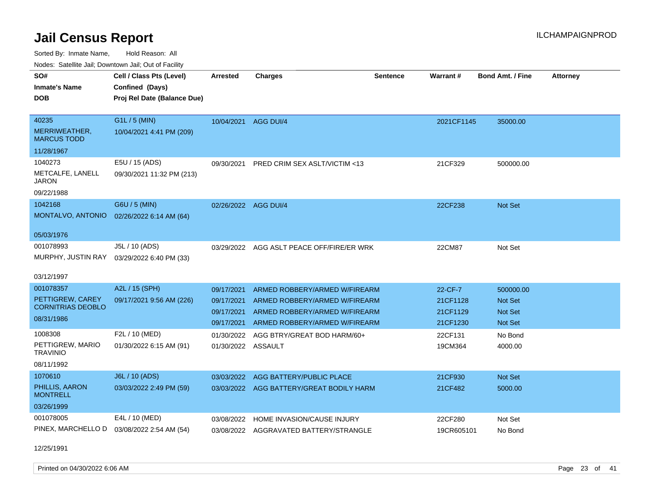Sorted By: Inmate Name, Hold Reason: All

| Nodes: Satellite Jail: Downtown Jail: Out of Facility |                             |                    |                                          |                 |            |                         |                 |
|-------------------------------------------------------|-----------------------------|--------------------|------------------------------------------|-----------------|------------|-------------------------|-----------------|
| SO#                                                   | Cell / Class Pts (Level)    | <b>Arrested</b>    | <b>Charges</b>                           | <b>Sentence</b> | Warrant#   | <b>Bond Amt. / Fine</b> | <b>Attorney</b> |
| <b>Inmate's Name</b>                                  | Confined (Days)             |                    |                                          |                 |            |                         |                 |
| <b>DOB</b>                                            | Proj Rel Date (Balance Due) |                    |                                          |                 |            |                         |                 |
|                                                       |                             |                    |                                          |                 |            |                         |                 |
| 40235                                                 | G1L / 5 (MIN)               |                    | 10/04/2021 AGG DUI/4                     |                 | 2021CF1145 | 35000.00                |                 |
| MERRIWEATHER,<br><b>MARCUS TODD</b>                   | 10/04/2021 4:41 PM (209)    |                    |                                          |                 |            |                         |                 |
| 11/28/1967                                            |                             |                    |                                          |                 |            |                         |                 |
| 1040273                                               | E5U / 15 (ADS)              | 09/30/2021         | PRED CRIM SEX ASLT/VICTIM <13            |                 | 21CF329    | 500000.00               |                 |
| METCALFE, LANELL<br><b>JARON</b>                      | 09/30/2021 11:32 PM (213)   |                    |                                          |                 |            |                         |                 |
| 09/22/1988                                            |                             |                    |                                          |                 |            |                         |                 |
| 1042168                                               | G6U / 5 (MIN)               |                    | 02/26/2022 AGG DUI/4                     |                 | 22CF238    | Not Set                 |                 |
| MONTALVO, ANTONIO                                     | 02/26/2022 6:14 AM (64)     |                    |                                          |                 |            |                         |                 |
|                                                       |                             |                    |                                          |                 |            |                         |                 |
| 05/03/1976                                            |                             |                    |                                          |                 |            |                         |                 |
| 001078993                                             | J5L / 10 (ADS)              | 03/29/2022         | AGG ASLT PEACE OFF/FIRE/ER WRK           |                 | 22CM87     | Not Set                 |                 |
| MURPHY, JUSTIN RAY                                    | 03/29/2022 6:40 PM (33)     |                    |                                          |                 |            |                         |                 |
| 03/12/1997                                            |                             |                    |                                          |                 |            |                         |                 |
| 001078357                                             | A2L / 15 (SPH)              | 09/17/2021         | ARMED ROBBERY/ARMED W/FIREARM            |                 | 22-CF-7    | 500000.00               |                 |
| PETTIGREW, CAREY                                      | 09/17/2021 9:56 AM (226)    | 09/17/2021         | ARMED ROBBERY/ARMED W/FIREARM            |                 | 21CF1128   | Not Set                 |                 |
| <b>CORNITRIAS DEOBLO</b>                              |                             | 09/17/2021         | ARMED ROBBERY/ARMED W/FIREARM            |                 | 21CF1129   | Not Set                 |                 |
| 08/31/1986                                            |                             | 09/17/2021         | ARMED ROBBERY/ARMED W/FIREARM            |                 | 21CF1230   | Not Set                 |                 |
| 1008308                                               | F2L / 10 (MED)              | 01/30/2022         | AGG BTRY/GREAT BOD HARM/60+              |                 | 22CF131    | No Bond                 |                 |
| PETTIGREW, MARIO<br><b>TRAVINIO</b>                   | 01/30/2022 6:15 AM (91)     | 01/30/2022 ASSAULT |                                          |                 | 19CM364    | 4000.00                 |                 |
| 08/11/1992                                            |                             |                    |                                          |                 |            |                         |                 |
| 1070610                                               | J6L / 10 (ADS)              | 03/03/2022         | AGG BATTERY/PUBLIC PLACE                 |                 | 21CF930    | Not Set                 |                 |
| PHILLIS, AARON                                        | 03/03/2022 2:49 PM (59)     |                    | 03/03/2022 AGG BATTERY/GREAT BODILY HARM |                 | 21CF482    | 5000.00                 |                 |
| <b>MONTRELL</b>                                       |                             |                    |                                          |                 |            |                         |                 |
| 03/26/1999                                            |                             |                    |                                          |                 |            |                         |                 |
| 001078005                                             | E4L / 10 (MED)              | 03/08/2022         | HOME INVASION/CAUSE INJURY               |                 | 22CF280    | Not Set                 |                 |
| PINEX, MARCHELLO D                                    | 03/08/2022 2:54 AM (54)     |                    | 03/08/2022 AGGRAVATED BATTERY/STRANGLE   |                 | 19CR605101 | No Bond                 |                 |
|                                                       |                             |                    |                                          |                 |            |                         |                 |

12/25/1991

Printed on 04/30/2022 6:06 AM Page 23 of 41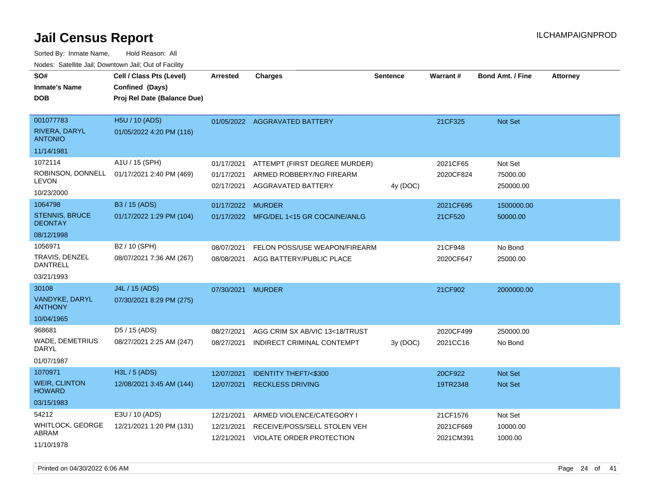Sorted By: Inmate Name, Hold Reason: All Nodes: Satellite Jail; Downtown Jail; Out of Facility

| SO#<br><b>Inmate's Name</b>                                | Cell / Class Pts (Level)<br>Confined (Days) | <b>Arrested</b>                        | <b>Charges</b>                                                                  | <b>Sentence</b> | Warrant#               | <b>Bond Amt. / Fine</b>          | <b>Attorney</b> |
|------------------------------------------------------------|---------------------------------------------|----------------------------------------|---------------------------------------------------------------------------------|-----------------|------------------------|----------------------------------|-----------------|
| <b>DOB</b>                                                 | Proj Rel Date (Balance Due)                 |                                        |                                                                                 |                 |                        |                                  |                 |
| 001077783<br><b>RIVERA, DARYL</b><br><b>ANTONIO</b>        | H5U / 10 (ADS)<br>01/05/2022 4:20 PM (116)  |                                        | 01/05/2022 AGGRAVATED BATTERY                                                   |                 | 21CF325                | Not Set                          |                 |
| 11/14/1981                                                 |                                             |                                        |                                                                                 |                 |                        |                                  |                 |
| 1072114<br>ROBINSON, DONNELL<br><b>LEVON</b><br>10/23/2000 | A1U / 15 (SPH)<br>01/17/2021 2:40 PM (469)  | 01/17/2021<br>01/17/2021<br>02/17/2021 | ATTEMPT (FIRST DEGREE MURDER)<br>ARMED ROBBERY/NO FIREARM<br>AGGRAVATED BATTERY | 4y (DOC)        | 2021CF65<br>2020CF824  | Not Set<br>75000.00<br>250000.00 |                 |
| 1064798                                                    | B3 / 15 (ADS)                               | 01/17/2022 MURDER                      |                                                                                 |                 | 2021CF695              | 1500000.00                       |                 |
| <b>STENNIS, BRUCE</b><br><b>DEONTAY</b>                    | 01/17/2022 1:29 PM (104)                    |                                        | 01/17/2022 MFG/DEL 1<15 GR COCAINE/ANLG                                         |                 | 21CF520                | 50000.00                         |                 |
| 08/12/1998                                                 |                                             |                                        |                                                                                 |                 |                        |                                  |                 |
| 1056971<br>TRAVIS, DENZEL<br>DANTRELL                      | B2 / 10 (SPH)<br>08/07/2021 7:36 AM (267)   | 08/07/2021<br>08/08/2021               | FELON POSS/USE WEAPON/FIREARM<br>AGG BATTERY/PUBLIC PLACE                       |                 | 21CF948<br>2020CF647   | No Bond<br>25000.00              |                 |
| 03/21/1993                                                 |                                             |                                        |                                                                                 |                 |                        |                                  |                 |
| 30108<br>VANDYKE, DARYL<br><b>ANTHONY</b>                  | J4L / 15 (ADS)<br>07/30/2021 8:29 PM (275)  | 07/30/2021                             | <b>MURDER</b>                                                                   |                 | 21CF902                | 2000000.00                       |                 |
| 10/04/1965                                                 |                                             |                                        |                                                                                 |                 |                        |                                  |                 |
| 968681<br><b>WADE, DEMETRIUS</b><br>DARYL<br>01/07/1987    | D5 / 15 (ADS)<br>08/27/2021 2:25 AM (247)   | 08/27/2021<br>08/27/2021               | AGG CRIM SX AB/VIC 13<18/TRUST<br>INDIRECT CRIMINAL CONTEMPT                    | 3y(DOC)         | 2020CF499<br>2021CC16  | 250000.00<br>No Bond             |                 |
| 1070971                                                    | H3L / 5 (ADS)                               | 12/07/2021                             | <b>IDENTITY THEFT/&lt;\$300</b>                                                 |                 | 20CF922                | <b>Not Set</b>                   |                 |
| <b>WEIR, CLINTON</b><br><b>HOWARD</b>                      | 12/08/2021 3:45 AM (144)                    | 12/07/2021                             | <b>RECKLESS DRIVING</b>                                                         |                 | 19TR2348               | <b>Not Set</b>                   |                 |
| 03/15/1983                                                 |                                             |                                        |                                                                                 |                 |                        |                                  |                 |
| 54212<br><b>WHITLOCK, GEORGE</b>                           | E3U / 10 (ADS)<br>12/21/2021 1:20 PM (131)  | 12/21/2021                             | ARMED VIOLENCE/CATEGORY I<br>RECEIVE/POSS/SELL STOLEN VEH                       |                 | 21CF1576               | Not Set                          |                 |
| ABRAM<br>11/10/1978                                        |                                             | 12/21/2021<br>12/21/2021               | VIOLATE ORDER PROTECTION                                                        |                 | 2021CF669<br>2021CM391 | 10000.00<br>1000.00              |                 |

Printed on 04/30/2022 6:06 AM Page 24 of 41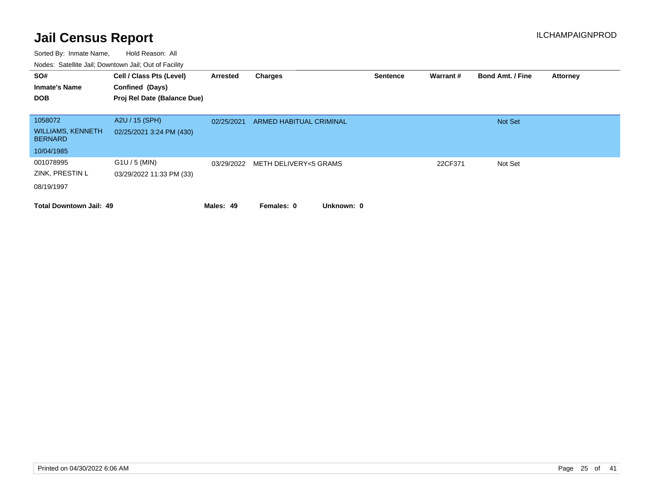| SO#<br><b>Inmate's Name</b><br><b>DOB</b>                           | Cell / Class Pts (Level)<br>Confined (Days)<br>Proj Rel Date (Balance Due) | Arrested   | Charges                  | <b>Sentence</b> | <b>Warrant#</b> | <b>Bond Amt. / Fine</b> | <b>Attorney</b> |
|---------------------------------------------------------------------|----------------------------------------------------------------------------|------------|--------------------------|-----------------|-----------------|-------------------------|-----------------|
| 1058072<br><b>WILLIAMS, KENNETH</b><br><b>BERNARD</b><br>10/04/1985 | A2U / 15 (SPH)<br>02/25/2021 3:24 PM (430)                                 | 02/25/2021 | ARMED HABITUAL CRIMINAL  |                 |                 | <b>Not Set</b>          |                 |
| 001078995<br>ZINK, PRESTIN L<br>08/19/1997                          | $G1U / 5$ (MIN)<br>03/29/2022 11:33 PM (33)                                | 03/29/2022 | METH DELIVERY<5 GRAMS    |                 | 22CF371         | Not Set                 |                 |
| <b>Total Downtown Jail: 49</b>                                      |                                                                            | Males: 49  | Unknown: 0<br>Females: 0 |                 |                 |                         |                 |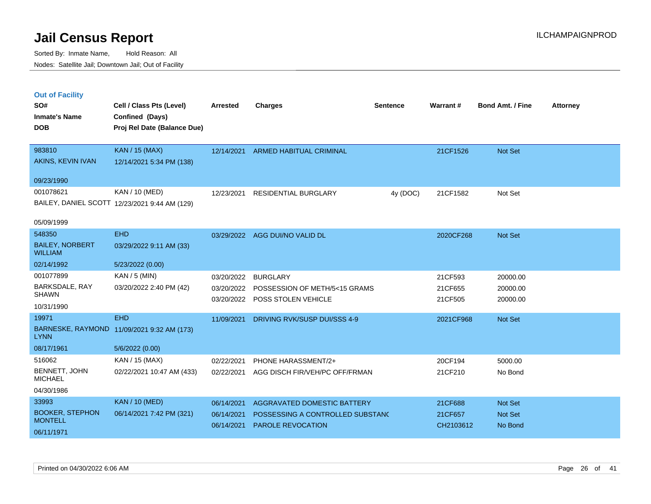|  | <b>Out of Facility</b> |  |
|--|------------------------|--|
|  |                        |  |
|  |                        |  |

| SO#<br><b>Inmate's Name</b><br><b>DOB</b> | Cell / Class Pts (Level)<br>Confined (Days)<br>Proj Rel Date (Balance Due) | <b>Arrested</b> | <b>Charges</b>                   | <b>Sentence</b> | Warrant#  | <b>Bond Amt. / Fine</b> | <b>Attorney</b> |
|-------------------------------------------|----------------------------------------------------------------------------|-----------------|----------------------------------|-----------------|-----------|-------------------------|-----------------|
| 983810                                    | KAN / 15 (MAX)                                                             | 12/14/2021      | ARMED HABITUAL CRIMINAL          |                 | 21CF1526  | Not Set                 |                 |
| AKINS, KEVIN IVAN                         | 12/14/2021 5:34 PM (138)                                                   |                 |                                  |                 |           |                         |                 |
| 09/23/1990                                |                                                                            |                 |                                  |                 |           |                         |                 |
| 001078621                                 | KAN / 10 (MED)                                                             | 12/23/2021      | <b>RESIDENTIAL BURGLARY</b>      | 4y (DOC)        | 21CF1582  | Not Set                 |                 |
|                                           | BAILEY, DANIEL SCOTT 12/23/2021 9:44 AM (129)                              |                 |                                  |                 |           |                         |                 |
| 05/09/1999                                |                                                                            |                 |                                  |                 |           |                         |                 |
| 548350                                    | <b>EHD</b>                                                                 |                 | 03/29/2022 AGG DUI/NO VALID DL   |                 | 2020CF268 | Not Set                 |                 |
| <b>BAILEY, NORBERT</b><br><b>WILLIAM</b>  | 03/29/2022 9:11 AM (33)                                                    |                 |                                  |                 |           |                         |                 |
| 02/14/1992                                | 5/23/2022 (0.00)                                                           |                 |                                  |                 |           |                         |                 |
| 001077899                                 | KAN / 5 (MIN)                                                              | 03/20/2022      | <b>BURGLARY</b>                  |                 | 21CF593   | 20000.00                |                 |
| BARKSDALE, RAY<br><b>SHAWN</b>            | 03/20/2022 2:40 PM (42)                                                    | 03/20/2022      | POSSESSION OF METH/5<15 GRAMS    |                 | 21CF655   | 20000.00                |                 |
| 10/31/1990                                |                                                                            | 03/20/2022      | POSS STOLEN VEHICLE              |                 | 21CF505   | 20000.00                |                 |
| 19971                                     | <b>EHD</b>                                                                 | 11/09/2021      | DRIVING RVK/SUSP DUI/SSS 4-9     |                 | 2021CF968 | Not Set                 |                 |
| <b>LYNN</b>                               | BARNESKE, RAYMOND 11/09/2021 9:32 AM (173)                                 |                 |                                  |                 |           |                         |                 |
| 08/17/1961                                | 5/6/2022 (0.00)                                                            |                 |                                  |                 |           |                         |                 |
| 516062                                    | KAN / 15 (MAX)                                                             | 02/22/2021      | PHONE HARASSMENT/2+              |                 | 20CF194   | 5000.00                 |                 |
| BENNETT, JOHN<br><b>MICHAEL</b>           | 02/22/2021 10:47 AM (433)                                                  | 02/22/2021      | AGG DISCH FIR/VEH/PC OFF/FRMAN   |                 | 21CF210   | No Bond                 |                 |
| 04/30/1986                                |                                                                            |                 |                                  |                 |           |                         |                 |
| 33993                                     | KAN / 10 (MED)                                                             | 06/14/2021      | AGGRAVATED DOMESTIC BATTERY      |                 | 21CF688   | Not Set                 |                 |
| <b>BOOKER, STEPHON</b><br><b>MONTELL</b>  | 06/14/2021 7:42 PM (321)                                                   | 06/14/2021      | POSSESSING A CONTROLLED SUBSTAND |                 | 21CF657   | Not Set                 |                 |
| 06/11/1971                                |                                                                            | 06/14/2021      | <b>PAROLE REVOCATION</b>         |                 | CH2103612 | No Bond                 |                 |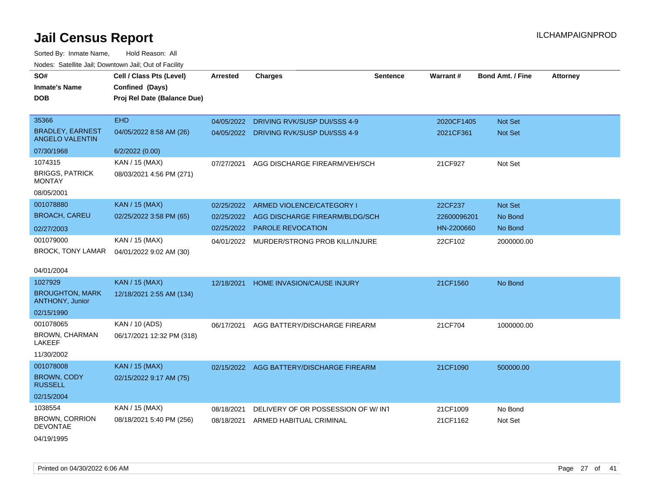| rouco. Calcinic Jan, Downtown Jan, Out of Facility |                                                                            |            |                                    |                 |                 |                         |                 |
|----------------------------------------------------|----------------------------------------------------------------------------|------------|------------------------------------|-----------------|-----------------|-------------------------|-----------------|
| SO#<br>Inmate's Name<br>DOB                        | Cell / Class Pts (Level)<br>Confined (Days)<br>Proj Rel Date (Balance Due) | Arrested   | <b>Charges</b>                     | <b>Sentence</b> | <b>Warrant#</b> | <b>Bond Amt. / Fine</b> | <b>Attorney</b> |
|                                                    |                                                                            |            |                                    |                 |                 |                         |                 |
| 35366                                              | <b>EHD</b>                                                                 | 04/05/2022 | DRIVING RVK/SUSP DUI/SSS 4-9       |                 | 2020CF1405      | <b>Not Set</b>          |                 |
| <b>BRADLEY, EARNEST</b><br><b>ANGELO VALENTIN</b>  | 04/05/2022 8:58 AM (26)                                                    | 04/05/2022 | DRIVING RVK/SUSP DUI/SSS 4-9       |                 | 2021CF361       | <b>Not Set</b>          |                 |
| 07/30/1968                                         | 6/2/2022 (0.00)                                                            |            |                                    |                 |                 |                         |                 |
| 1074315                                            | KAN / 15 (MAX)                                                             | 07/27/2021 | AGG DISCHARGE FIREARM/VEH/SCH      |                 | 21CF927         | Not Set                 |                 |
| <b>BRIGGS, PATRICK</b><br>MONTAY                   | 08/03/2021 4:56 PM (271)                                                   |            |                                    |                 |                 |                         |                 |
| 08/05/2001                                         |                                                                            |            |                                    |                 |                 |                         |                 |
| 001078880                                          | KAN / 15 (MAX)                                                             | 02/25/2022 | ARMED VIOLENCE/CATEGORY I          |                 | 22CF237         | <b>Not Set</b>          |                 |
| <b>BROACH, CAREU</b>                               | 02/25/2022 3:58 PM (65)                                                    | 02/25/2022 | AGG DISCHARGE FIREARM/BLDG/SCH     |                 | 22600096201     | No Bond                 |                 |
| 02/27/2003                                         |                                                                            | 02/25/2022 | <b>PAROLE REVOCATION</b>           |                 | HN-2200660      | No Bond                 |                 |
| 001079000                                          | KAN / 15 (MAX)                                                             | 04/01/2022 | MURDER/STRONG PROB KILL/INJURE     |                 | 22CF102         | 2000000.00              |                 |
| BROCK, TONY LAMAR                                  | 04/01/2022 9:02 AM (30)                                                    |            |                                    |                 |                 |                         |                 |
| 04/01/2004                                         |                                                                            |            |                                    |                 |                 |                         |                 |
| 1027929                                            | <b>KAN / 15 (MAX)</b>                                                      | 12/18/2021 | HOME INVASION/CAUSE INJURY         |                 | 21CF1560        | No Bond                 |                 |
| <b>BROUGHTON, MARK</b><br><b>ANTHONY, Junior</b>   | 12/18/2021 2:55 AM (134)                                                   |            |                                    |                 |                 |                         |                 |
| 02/15/1990                                         |                                                                            |            |                                    |                 |                 |                         |                 |
| 001078065                                          | KAN / 10 (ADS)                                                             | 06/17/2021 | AGG BATTERY/DISCHARGE FIREARM      |                 | 21CF704         | 1000000.00              |                 |
| BROWN, CHARMAN<br>LAKEEF                           | 06/17/2021 12:32 PM (318)                                                  |            |                                    |                 |                 |                         |                 |
| 11/30/2002                                         |                                                                            |            |                                    |                 |                 |                         |                 |
| 001078008                                          | <b>KAN / 15 (MAX)</b>                                                      | 02/15/2022 | AGG BATTERY/DISCHARGE FIREARM      |                 | 21CF1090        | 500000.00               |                 |
| BROWN, CODY<br><b>RUSSELL</b>                      | 02/15/2022 9:17 AM (75)                                                    |            |                                    |                 |                 |                         |                 |
| 02/15/2004                                         |                                                                            |            |                                    |                 |                 |                         |                 |
| 1038554                                            | KAN / 15 (MAX)                                                             | 08/18/2021 | DELIVERY OF OR POSSESSION OF W/INT |                 | 21CF1009        | No Bond                 |                 |
| <b>BROWN, CORRION</b><br>DEVONTAE                  | 08/18/2021 5:40 PM (256)                                                   | 08/18/2021 | ARMED HABITUAL CRIMINAL            |                 | 21CF1162        | Not Set                 |                 |
| 04/19/1995                                         |                                                                            |            |                                    |                 |                 |                         |                 |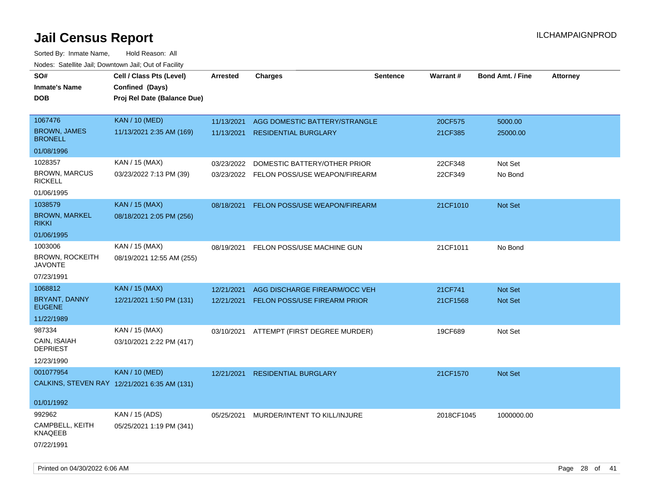| SO#<br><b>Inmate's Name</b>              | Cell / Class Pts (Level)<br>Confined (Days)  | Arrested   | <b>Charges</b>                           | <b>Sentence</b> | <b>Warrant#</b> | <b>Bond Amt. / Fine</b> | <b>Attorney</b> |
|------------------------------------------|----------------------------------------------|------------|------------------------------------------|-----------------|-----------------|-------------------------|-----------------|
| <b>DOB</b>                               | Proj Rel Date (Balance Due)                  |            |                                          |                 |                 |                         |                 |
| 1067476                                  | <b>KAN / 10 (MED)</b>                        | 11/13/2021 | AGG DOMESTIC BATTERY/STRANGLE            |                 | 20CF575         | 5000.00                 |                 |
| <b>BROWN, JAMES</b><br><b>BRONELL</b>    | 11/13/2021 2:35 AM (169)                     | 11/13/2021 | <b>RESIDENTIAL BURGLARY</b>              |                 | 21CF385         | 25000.00                |                 |
| 01/08/1996                               |                                              |            |                                          |                 |                 |                         |                 |
| 1028357                                  | KAN / 15 (MAX)                               | 03/23/2022 | DOMESTIC BATTERY/OTHER PRIOR             |                 | 22CF348         | Not Set                 |                 |
| <b>BROWN, MARCUS</b><br><b>RICKELL</b>   | 03/23/2022 7:13 PM (39)                      |            | 03/23/2022 FELON POSS/USE WEAPON/FIREARM |                 | 22CF349         | No Bond                 |                 |
| 01/06/1995                               |                                              |            |                                          |                 |                 |                         |                 |
| 1038579                                  | <b>KAN / 15 (MAX)</b>                        | 08/18/2021 | FELON POSS/USE WEAPON/FIREARM            |                 | 21CF1010        | Not Set                 |                 |
| <b>BROWN, MARKEL</b><br><b>RIKKI</b>     | 08/18/2021 2:05 PM (256)                     |            |                                          |                 |                 |                         |                 |
| 01/06/1995                               |                                              |            |                                          |                 |                 |                         |                 |
| 1003006                                  | KAN / 15 (MAX)                               | 08/19/2021 | FELON POSS/USE MACHINE GUN               |                 | 21CF1011        | No Bond                 |                 |
| <b>BROWN, ROCKEITH</b><br><b>JAVONTE</b> | 08/19/2021 12:55 AM (255)                    |            |                                          |                 |                 |                         |                 |
| 07/23/1991                               |                                              |            |                                          |                 |                 |                         |                 |
| 1068812                                  | <b>KAN / 15 (MAX)</b>                        | 12/21/2021 | AGG DISCHARGE FIREARM/OCC VEH            |                 | 21CF741         | <b>Not Set</b>          |                 |
| <b>BRYANT, DANNY</b><br><b>EUGENE</b>    | 12/21/2021 1:50 PM (131)                     | 12/21/2021 | <b>FELON POSS/USE FIREARM PRIOR</b>      |                 | 21CF1568        | Not Set                 |                 |
| 11/22/1989                               |                                              |            |                                          |                 |                 |                         |                 |
| 987334                                   | KAN / 15 (MAX)                               |            | 03/10/2021 ATTEMPT (FIRST DEGREE MURDER) |                 | 19CF689         | Not Set                 |                 |
| CAIN, ISAIAH<br><b>DEPRIEST</b>          | 03/10/2021 2:22 PM (417)                     |            |                                          |                 |                 |                         |                 |
| 12/23/1990                               |                                              |            |                                          |                 |                 |                         |                 |
| 001077954                                | <b>KAN / 10 (MED)</b>                        | 12/21/2021 | <b>RESIDENTIAL BURGLARY</b>              |                 | 21CF1570        | <b>Not Set</b>          |                 |
|                                          | CALKINS, STEVEN RAY 12/21/2021 6:35 AM (131) |            |                                          |                 |                 |                         |                 |
| 01/01/1992                               |                                              |            |                                          |                 |                 |                         |                 |
| 992962                                   | KAN / 15 (ADS)                               | 05/25/2021 | MURDER/INTENT TO KILL/INJURE             |                 | 2018CF1045      | 1000000.00              |                 |
| CAMPBELL, KEITH<br>KNAQEEB               | 05/25/2021 1:19 PM (341)                     |            |                                          |                 |                 |                         |                 |
| 07/22/1991                               |                                              |            |                                          |                 |                 |                         |                 |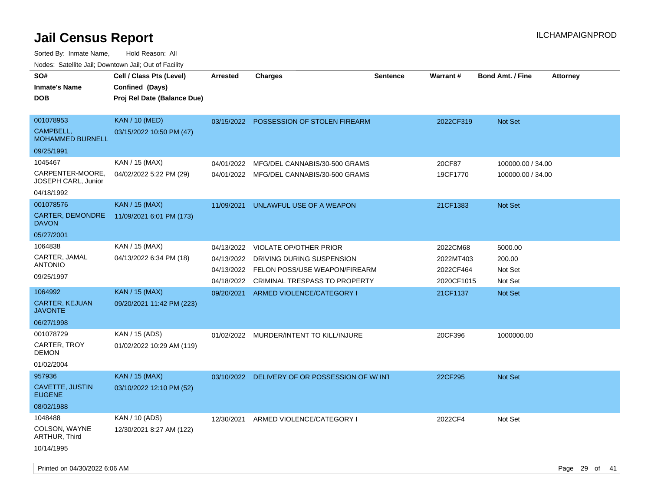| SO#                                     | Cell / Class Pts (Level)    | <b>Arrested</b> | <b>Charges</b>                           | <b>Sentence</b> | Warrant#   | <b>Bond Amt. / Fine</b><br><b>Attorney</b> |
|-----------------------------------------|-----------------------------|-----------------|------------------------------------------|-----------------|------------|--------------------------------------------|
| <b>Inmate's Name</b>                    | Confined (Days)             |                 |                                          |                 |            |                                            |
| <b>DOB</b>                              | Proj Rel Date (Balance Due) |                 |                                          |                 |            |                                            |
|                                         |                             |                 |                                          |                 |            |                                            |
| 001078953                               | <b>KAN / 10 (MED)</b>       | 03/15/2022      | POSSESSION OF STOLEN FIREARM             |                 | 2022CF319  | Not Set                                    |
| CAMPBELL,<br><b>MOHAMMED BURNELL</b>    | 03/15/2022 10:50 PM (47)    |                 |                                          |                 |            |                                            |
| 09/25/1991                              |                             |                 |                                          |                 |            |                                            |
| 1045467                                 | KAN / 15 (MAX)              | 04/01/2022      | MFG/DEL CANNABIS/30-500 GRAMS            |                 | 20CF87     | 100000.00 / 34.00                          |
| CARPENTER-MOORE,<br>JOSEPH CARL, Junior | 04/02/2022 5:22 PM (29)     |                 | 04/01/2022 MFG/DEL CANNABIS/30-500 GRAMS |                 | 19CF1770   | 100000.00 / 34.00                          |
| 04/18/1992                              |                             |                 |                                          |                 |            |                                            |
| 001078576                               | KAN / 15 (MAX)              | 11/09/2021      | UNLAWFUL USE OF A WEAPON                 |                 | 21CF1383   | Not Set                                    |
| CARTER, DEMONDRE<br><b>DAVON</b>        | 11/09/2021 6:01 PM (173)    |                 |                                          |                 |            |                                            |
| 05/27/2001                              |                             |                 |                                          |                 |            |                                            |
| 1064838                                 | KAN / 15 (MAX)              | 04/13/2022      | <b>VIOLATE OP/OTHER PRIOR</b>            |                 | 2022CM68   | 5000.00                                    |
| CARTER, JAMAL                           | 04/13/2022 6:34 PM (18)     | 04/13/2022      | DRIVING DURING SUSPENSION                |                 | 2022MT403  | 200.00                                     |
| <b>ANTONIO</b>                          |                             | 04/13/2022      | FELON POSS/USE WEAPON/FIREARM            |                 | 2022CF464  | Not Set                                    |
| 09/25/1997                              |                             | 04/18/2022      | CRIMINAL TRESPASS TO PROPERTY            |                 | 2020CF1015 | Not Set                                    |
| 1064992                                 | <b>KAN / 15 (MAX)</b>       | 09/20/2021      | ARMED VIOLENCE/CATEGORY I                |                 | 21CF1137   | Not Set                                    |
| CARTER, KEJUAN<br><b>JAVONTE</b>        | 09/20/2021 11:42 PM (223)   |                 |                                          |                 |            |                                            |
| 06/27/1998                              |                             |                 |                                          |                 |            |                                            |
| 001078729                               | KAN / 15 (ADS)              |                 | 01/02/2022 MURDER/INTENT TO KILL/INJURE  |                 | 20CF396    | 1000000.00                                 |
| <b>CARTER, TROY</b><br><b>DEMON</b>     | 01/02/2022 10:29 AM (119)   |                 |                                          |                 |            |                                            |
| 01/02/2004                              |                             |                 |                                          |                 |            |                                            |
| 957936                                  | <b>KAN / 15 (MAX)</b>       | 03/10/2022      | DELIVERY OF OR POSSESSION OF W/INT       |                 | 22CF295    | Not Set                                    |
| CAVETTE, JUSTIN<br><b>EUGENE</b>        | 03/10/2022 12:10 PM (52)    |                 |                                          |                 |            |                                            |
| 08/02/1988                              |                             |                 |                                          |                 |            |                                            |
| 1048488                                 | KAN / 10 (ADS)              | 12/30/2021      | ARMED VIOLENCE/CATEGORY I                |                 | 2022CF4    | Not Set                                    |
| COLSON, WAYNE<br>ARTHUR, Third          | 12/30/2021 8:27 AM (122)    |                 |                                          |                 |            |                                            |
| 10/14/1995                              |                             |                 |                                          |                 |            |                                            |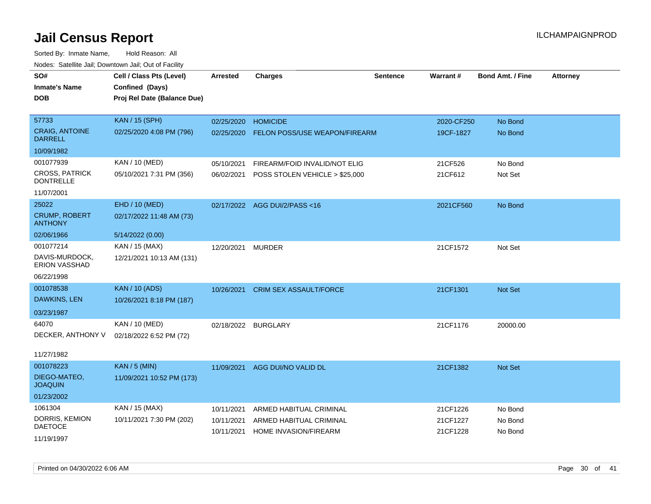| wacs. Calcillic Jali, Downtown Jali, Out of Facility |                             |                 |                                |                 |                 |                         |                 |
|------------------------------------------------------|-----------------------------|-----------------|--------------------------------|-----------------|-----------------|-------------------------|-----------------|
| SO#                                                  | Cell / Class Pts (Level)    | <b>Arrested</b> | <b>Charges</b>                 | <b>Sentence</b> | <b>Warrant#</b> | <b>Bond Amt. / Fine</b> | <b>Attorney</b> |
| <b>Inmate's Name</b>                                 | Confined (Days)             |                 |                                |                 |                 |                         |                 |
| DOB                                                  | Proj Rel Date (Balance Due) |                 |                                |                 |                 |                         |                 |
|                                                      |                             |                 |                                |                 |                 |                         |                 |
| 57733                                                | <b>KAN / 15 (SPH)</b>       | 02/25/2020      | <b>HOMICIDE</b>                |                 | 2020-CF250      | No Bond                 |                 |
| <b>CRAIG, ANTOINE</b><br><b>DARRELL</b>              | 02/25/2020 4:08 PM (796)    | 02/25/2020      | FELON POSS/USE WEAPON/FIREARM  |                 | 19CF-1827       | No Bond                 |                 |
| 10/09/1982                                           |                             |                 |                                |                 |                 |                         |                 |
| 001077939                                            | KAN / 10 (MED)              | 05/10/2021      | FIREARM/FOID INVALID/NOT ELIG  |                 | 21CF526         | No Bond                 |                 |
| <b>CROSS, PATRICK</b><br><b>DONTRELLE</b>            | 05/10/2021 7:31 PM (356)    | 06/02/2021      | POSS STOLEN VEHICLE > \$25,000 |                 | 21CF612         | Not Set                 |                 |
| 11/07/2001                                           |                             |                 |                                |                 |                 |                         |                 |
| 25022                                                | EHD / 10 (MED)              |                 | 02/17/2022 AGG DUI/2/PASS<16   |                 | 2021CF560       | No Bond                 |                 |
| <b>CRUMP, ROBERT</b><br><b>ANTHONY</b>               | 02/17/2022 11:48 AM (73)    |                 |                                |                 |                 |                         |                 |
| 02/06/1966                                           | 5/14/2022 (0.00)            |                 |                                |                 |                 |                         |                 |
| 001077214                                            | KAN / 15 (MAX)              | 12/20/2021      | <b>MURDER</b>                  |                 | 21CF1572        | Not Set                 |                 |
| DAVIS-MURDOCK,<br><b>ERION VASSHAD</b>               | 12/21/2021 10:13 AM (131)   |                 |                                |                 |                 |                         |                 |
| 06/22/1998                                           |                             |                 |                                |                 |                 |                         |                 |
| 001078538                                            | <b>KAN / 10 (ADS)</b>       | 10/26/2021      | <b>CRIM SEX ASSAULT/FORCE</b>  |                 | 21CF1301        | <b>Not Set</b>          |                 |
| DAWKINS, LEN                                         | 10/26/2021 8:18 PM (187)    |                 |                                |                 |                 |                         |                 |
| 03/23/1987                                           |                             |                 |                                |                 |                 |                         |                 |
| 64070                                                | KAN / 10 (MED)              |                 | 02/18/2022 BURGLARY            |                 | 21CF1176        | 20000.00                |                 |
| DECKER, ANTHONY V                                    | 02/18/2022 6:52 PM (72)     |                 |                                |                 |                 |                         |                 |
|                                                      |                             |                 |                                |                 |                 |                         |                 |
| 11/27/1982                                           |                             |                 |                                |                 |                 |                         |                 |
| 001078223                                            | <b>KAN / 5 (MIN)</b>        | 11/09/2021      | AGG DUI/NO VALID DL            |                 | 21CF1382        | <b>Not Set</b>          |                 |
| DIEGO-MATEO,<br><b>JOAQUIN</b>                       | 11/09/2021 10:52 PM (173)   |                 |                                |                 |                 |                         |                 |
| 01/23/2002                                           |                             |                 |                                |                 |                 |                         |                 |
| 1061304                                              | KAN / 15 (MAX)              | 10/11/2021      | ARMED HABITUAL CRIMINAL        |                 | 21CF1226        | No Bond                 |                 |
| DORRIS, KEMION                                       | 10/11/2021 7:30 PM (202)    | 10/11/2021      | ARMED HABITUAL CRIMINAL        |                 | 21CF1227        | No Bond                 |                 |
| <b>DAETOCE</b>                                       |                             | 10/11/2021      | HOME INVASION/FIREARM          |                 | 21CF1228        | No Bond                 |                 |
| 11/19/1997                                           |                             |                 |                                |                 |                 |                         |                 |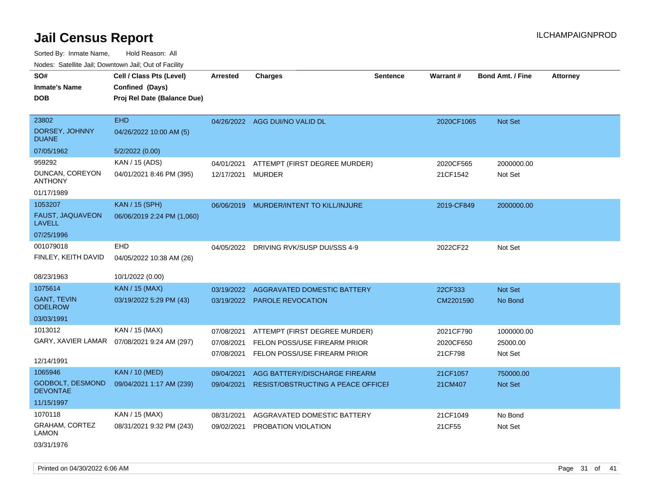Sorted By: Inmate Name, Hold Reason: All Nodes: Satellite Jail; Downtown Jail; Out of Facility

| SO#                                        | Cell / Class Pts (Level)    | <b>Arrested</b> | <b>Charges</b>                            | <b>Sentence</b> | <b>Warrant#</b> | <b>Bond Amt. / Fine</b> | <b>Attorney</b> |
|--------------------------------------------|-----------------------------|-----------------|-------------------------------------------|-----------------|-----------------|-------------------------|-----------------|
| <b>Inmate's Name</b>                       | Confined (Days)             |                 |                                           |                 |                 |                         |                 |
| <b>DOB</b>                                 | Proj Rel Date (Balance Due) |                 |                                           |                 |                 |                         |                 |
|                                            |                             |                 |                                           |                 |                 |                         |                 |
| 23802                                      | <b>EHD</b>                  |                 | 04/26/2022 AGG DUI/NO VALID DL            |                 | 2020CF1065      | Not Set                 |                 |
| DORSEY, JOHNNY<br><b>DUANE</b>             | 04/26/2022 10:00 AM (5)     |                 |                                           |                 |                 |                         |                 |
| 07/05/1962                                 | 5/2/2022 (0.00)             |                 |                                           |                 |                 |                         |                 |
| 959292                                     | KAN / 15 (ADS)              | 04/01/2021      | ATTEMPT (FIRST DEGREE MURDER)             |                 | 2020CF565       | 2000000.00              |                 |
| DUNCAN, COREYON<br><b>ANTHONY</b>          | 04/01/2021 8:46 PM (395)    | 12/17/2021      | <b>MURDER</b>                             |                 | 21CF1542        | Not Set                 |                 |
| 01/17/1989                                 |                             |                 |                                           |                 |                 |                         |                 |
| 1053207                                    | <b>KAN / 15 (SPH)</b>       |                 | 06/06/2019 MURDER/INTENT TO KILL/INJURE   |                 | 2019-CF849      | 2000000.00              |                 |
| FAUST, JAQUAVEON<br><b>LAVELL</b>          | 06/06/2019 2:24 PM (1,060)  |                 |                                           |                 |                 |                         |                 |
| 07/25/1996                                 |                             |                 |                                           |                 |                 |                         |                 |
| 001079018                                  | <b>EHD</b>                  | 04/05/2022      | DRIVING RVK/SUSP DUI/SSS 4-9              |                 | 2022CF22        | Not Set                 |                 |
| FINLEY, KEITH DAVID                        | 04/05/2022 10:38 AM (26)    |                 |                                           |                 |                 |                         |                 |
|                                            |                             |                 |                                           |                 |                 |                         |                 |
| 08/23/1963                                 | 10/1/2022 (0.00)            |                 |                                           |                 |                 |                         |                 |
| 1075614                                    | <b>KAN / 15 (MAX)</b>       | 03/19/2022      | <b>AGGRAVATED DOMESTIC BATTERY</b>        |                 | 22CF333         | Not Set                 |                 |
| <b>GANT, TEVIN</b><br><b>ODELROW</b>       | 03/19/2022 5:29 PM (43)     |                 | 03/19/2022 PAROLE REVOCATION              |                 | CM2201590       | No Bond                 |                 |
| 03/03/1991                                 |                             |                 |                                           |                 |                 |                         |                 |
| 1013012                                    | KAN / 15 (MAX)              | 07/08/2021      | ATTEMPT (FIRST DEGREE MURDER)             |                 | 2021CF790       | 1000000.00              |                 |
| GARY, XAVIER LAMAR                         | 07/08/2021 9:24 AM (297)    | 07/08/2021      | FELON POSS/USE FIREARM PRIOR              |                 | 2020CF650       | 25000.00                |                 |
|                                            |                             | 07/08/2021      | FELON POSS/USE FIREARM PRIOR              |                 | 21CF798         | Not Set                 |                 |
| 12/14/1991                                 |                             |                 |                                           |                 |                 |                         |                 |
| 1065946                                    | <b>KAN / 10 (MED)</b>       | 09/04/2021      | AGG BATTERY/DISCHARGE FIREARM             |                 | 21CF1057        | 750000.00               |                 |
| <b>GODBOLT, DESMOND</b><br><b>DEVONTAE</b> | 09/04/2021 1:17 AM (239)    | 09/04/2021      | <b>RESIST/OBSTRUCTING A PEACE OFFICEF</b> |                 | 21CM407         | Not Set                 |                 |
| 11/15/1997                                 |                             |                 |                                           |                 |                 |                         |                 |
| 1070118                                    | KAN / 15 (MAX)              | 08/31/2021      | AGGRAVATED DOMESTIC BATTERY               |                 | 21CF1049        | No Bond                 |                 |
| GRAHAM, CORTEZ<br><b>LAMON</b>             | 08/31/2021 9:32 PM (243)    | 09/02/2021      | PROBATION VIOLATION                       |                 | 21CF55          | Not Set                 |                 |

03/31/1976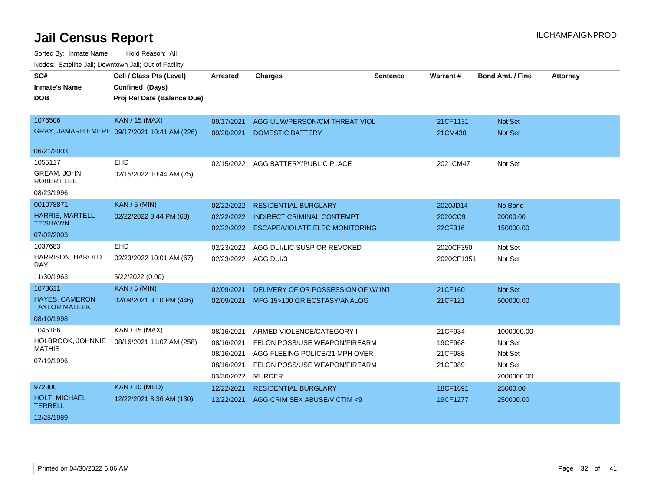| SO#                                           | Cell / Class Pts (Level)                     | <b>Arrested</b>      | <b>Charges</b>                        | <b>Sentence</b> | Warrant#   | <b>Bond Amt. / Fine</b> | <b>Attorney</b> |
|-----------------------------------------------|----------------------------------------------|----------------------|---------------------------------------|-----------------|------------|-------------------------|-----------------|
| <b>Inmate's Name</b>                          | Confined (Days)                              |                      |                                       |                 |            |                         |                 |
| <b>DOB</b>                                    | Proj Rel Date (Balance Due)                  |                      |                                       |                 |            |                         |                 |
|                                               |                                              |                      |                                       |                 |            |                         |                 |
| 1076506                                       | <b>KAN / 15 (MAX)</b>                        | 09/17/2021           | AGG UUW/PERSON/CM THREAT VIOL         |                 | 21CF1131   | <b>Not Set</b>          |                 |
|                                               | GRAY, JAMARH EMERE 09/17/2021 10:41 AM (226) | 09/20/2021           | <b>DOMESTIC BATTERY</b>               |                 | 21CM430    | Not Set                 |                 |
|                                               |                                              |                      |                                       |                 |            |                         |                 |
| 06/21/2003                                    |                                              |                      |                                       |                 |            |                         |                 |
| 1055117                                       | <b>EHD</b>                                   |                      | 02/15/2022 AGG BATTERY/PUBLIC PLACE   |                 | 2021CM47   | Not Set                 |                 |
| GREAM, JOHN<br><b>ROBERT LEE</b>              | 02/15/2022 10:44 AM (75)                     |                      |                                       |                 |            |                         |                 |
| 08/23/1996                                    |                                              |                      |                                       |                 |            |                         |                 |
| 001078871                                     | <b>KAN / 5 (MIN)</b>                         | 02/22/2022           | <b>RESIDENTIAL BURGLARY</b>           |                 | 2020JD14   | No Bond                 |                 |
| <b>HARRIS, MARTELL</b>                        | 02/22/2022 3:44 PM (68)                      | 02/22/2022           | <b>INDIRECT CRIMINAL CONTEMPT</b>     |                 | 2020CC9    | 20000.00                |                 |
| <b>TE'SHAWN</b>                               |                                              | 02/22/2022           | <b>ESCAPE/VIOLATE ELEC MONITORING</b> |                 | 22CF316    | 150000.00               |                 |
| 07/02/2003                                    |                                              |                      |                                       |                 |            |                         |                 |
| 1037683                                       | <b>EHD</b>                                   | 02/23/2022           | AGG DUI/LIC SUSP OR REVOKED           |                 | 2020CF350  | Not Set                 |                 |
| HARRISON, HAROLD<br><b>RAY</b>                | 02/23/2022 10:01 AM (67)                     | 02/23/2022 AGG DUI/3 |                                       |                 | 2020CF1351 | Not Set                 |                 |
| 11/30/1963                                    | 5/22/2022 (0.00)                             |                      |                                       |                 |            |                         |                 |
| 1073611                                       | <b>KAN / 5 (MIN)</b>                         | 02/09/2021           | DELIVERY OF OR POSSESSION OF W/INT    |                 | 21CF160    | Not Set                 |                 |
| <b>HAYES, CAMERON</b><br><b>TAYLOR MALEEK</b> | 02/09/2021 3:10 PM (446)                     | 02/09/2021           | MFG 15>100 GR ECSTASY/ANALOG          |                 | 21CF121    | 500000.00               |                 |
| 08/10/1998                                    |                                              |                      |                                       |                 |            |                         |                 |
| 1045186                                       | KAN / 15 (MAX)                               | 08/16/2021           | ARMED VIOLENCE/CATEGORY I             |                 | 21CF934    | 1000000.00              |                 |
| HOLBROOK, JOHNNIE                             | 08/16/2021 11:07 AM (258)                    | 08/16/2021           | FELON POSS/USE WEAPON/FIREARM         |                 | 19CF968    | Not Set                 |                 |
| <b>MATHIS</b>                                 |                                              | 08/16/2021           | AGG FLEEING POLICE/21 MPH OVER        |                 | 21CF988    | Not Set                 |                 |
| 07/19/1996                                    |                                              | 08/16/2021           | FELON POSS/USE WEAPON/FIREARM         |                 | 21CF989    | Not Set                 |                 |
|                                               |                                              | 03/30/2022           | <b>MURDER</b>                         |                 |            | 2000000.00              |                 |
| 972300                                        | <b>KAN / 10 (MED)</b>                        | 12/22/2021           | <b>RESIDENTIAL BURGLARY</b>           |                 | 18CF1691   | 25000.00                |                 |
| HOLT, MICHAEL<br><b>TERRELL</b>               | 12/22/2021 8:36 AM (130)                     | 12/22/2021           | AGG CRIM SEX ABUSE/VICTIM <9          |                 | 19CF1277   | 250000.00               |                 |
| 12/25/1989                                    |                                              |                      |                                       |                 |            |                         |                 |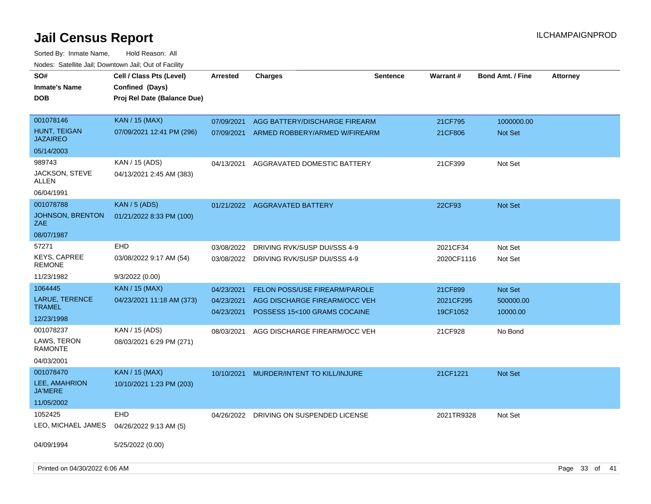Sorted By: Inmate Name, Hold Reason: All

| Nodes: Satellite Jail; Downtown Jail; Out of Facility |                             |                          |                                                               |                 |                       |                         |                 |  |
|-------------------------------------------------------|-----------------------------|--------------------------|---------------------------------------------------------------|-----------------|-----------------------|-------------------------|-----------------|--|
| SO#                                                   | Cell / Class Pts (Level)    | <b>Arrested</b>          | <b>Charges</b>                                                | <b>Sentence</b> | Warrant#              | <b>Bond Amt. / Fine</b> | <b>Attorney</b> |  |
| <b>Inmate's Name</b>                                  | Confined (Days)             |                          |                                                               |                 |                       |                         |                 |  |
| <b>DOB</b>                                            | Proj Rel Date (Balance Due) |                          |                                                               |                 |                       |                         |                 |  |
|                                                       |                             |                          |                                                               |                 |                       |                         |                 |  |
| 001078146                                             | <b>KAN</b> / 15 (MAX)       | 07/09/2021               | AGG BATTERY/DISCHARGE FIREARM                                 |                 | 21CF795               | 1000000.00              |                 |  |
| HUNT, TEIGAN<br><b>JAZAIREO</b>                       | 07/09/2021 12:41 PM (296)   | 07/09/2021               | ARMED ROBBERY/ARMED W/FIREARM                                 |                 | 21CF806               | Not Set                 |                 |  |
| 05/14/2003                                            |                             |                          |                                                               |                 |                       |                         |                 |  |
| 989743                                                | KAN / 15 (ADS)              | 04/13/2021               | AGGRAVATED DOMESTIC BATTERY                                   |                 | 21CF399               | Not Set                 |                 |  |
| JACKSON, STEVE<br>ALLEN                               | 04/13/2021 2:45 AM (383)    |                          |                                                               |                 |                       |                         |                 |  |
| 06/04/1991                                            |                             |                          |                                                               |                 |                       |                         |                 |  |
| 001078788                                             | <b>KAN / 5 (ADS)</b>        |                          | 01/21/2022 AGGRAVATED BATTERY                                 |                 | 22CF93                | <b>Not Set</b>          |                 |  |
| <b>JOHNSON, BRENTON</b><br>ZAE                        | 01/21/2022 8:33 PM (100)    |                          |                                                               |                 |                       |                         |                 |  |
| 08/07/1987                                            |                             |                          |                                                               |                 |                       |                         |                 |  |
| 57271                                                 | <b>EHD</b>                  | 03/08/2022               | DRIVING RVK/SUSP DUI/SSS 4-9                                  |                 | 2021CF34              | Not Set                 |                 |  |
| <b>KEYS, CAPREE</b><br><b>REMONE</b>                  | 03/08/2022 9:17 AM (54)     |                          | 03/08/2022 DRIVING RVK/SUSP DUI/SSS 4-9                       |                 | 2020CF1116            | Not Set                 |                 |  |
| 11/23/1982                                            | 9/3/2022 (0.00)             |                          |                                                               |                 |                       |                         |                 |  |
| 1064445                                               | <b>KAN</b> / 15 (MAX)       | 04/23/2021               | FELON POSS/USE FIREARM/PAROLE                                 |                 | 21CF899               | Not Set                 |                 |  |
| LARUE, TERENCE<br><b>TRAMEL</b>                       | 04/23/2021 11:18 AM (373)   | 04/23/2021<br>04/23/2021 | AGG DISCHARGE FIREARM/OCC VEH<br>POSSESS 15<100 GRAMS COCAINE |                 | 2021CF295<br>19CF1052 | 500000.00<br>10000.00   |                 |  |
| 12/23/1998                                            |                             |                          |                                                               |                 |                       |                         |                 |  |
| 001078237                                             | KAN / 15 (ADS)              | 08/03/2021               | AGG DISCHARGE FIREARM/OCC VEH                                 |                 | 21CF928               | No Bond                 |                 |  |
| LAWS, TERON<br><b>RAMONTE</b>                         | 08/03/2021 6:29 PM (271)    |                          |                                                               |                 |                       |                         |                 |  |
| 04/03/2001                                            |                             |                          |                                                               |                 |                       |                         |                 |  |
| 001078470                                             | <b>KAN / 15 (MAX)</b>       | 10/10/2021               | MURDER/INTENT TO KILL/INJURE                                  |                 | 21CF1221              | Not Set                 |                 |  |
| LEE, AMAHRION<br><b>JA'MERE</b>                       | 10/10/2021 1:23 PM (203)    |                          |                                                               |                 |                       |                         |                 |  |
| 11/05/2002                                            |                             |                          |                                                               |                 |                       |                         |                 |  |
| 1052425                                               | <b>EHD</b>                  | 04/26/2022               | DRIVING ON SUSPENDED LICENSE                                  |                 | 2021TR9328            | Not Set                 |                 |  |
| LEO, MICHAEL JAMES                                    | 04/26/2022 9:13 AM (5)      |                          |                                                               |                 |                       |                         |                 |  |
| 04/09/1994                                            | 5/25/2022 (0.00)            |                          |                                                               |                 |                       |                         |                 |  |
| Printed on 04/30/2022 6:06 AM                         |                             |                          |                                                               |                 |                       |                         | Page 33 of 41   |  |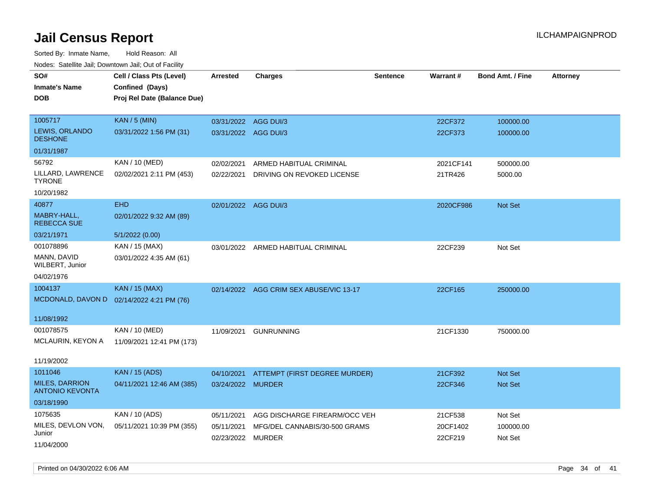| rougs. Calcing Jan, Downtown Jan, Out of Facility |                                           |                      |                                         |                 |           |                         |                 |
|---------------------------------------------------|-------------------------------------------|----------------------|-----------------------------------------|-----------------|-----------|-------------------------|-----------------|
| SO#                                               | Cell / Class Pts (Level)                  | <b>Arrested</b>      | <b>Charges</b>                          | <b>Sentence</b> | Warrant#  | <b>Bond Amt. / Fine</b> | <b>Attorney</b> |
| <b>Inmate's Name</b>                              | Confined (Days)                           |                      |                                         |                 |           |                         |                 |
| <b>DOB</b>                                        | Proj Rel Date (Balance Due)               |                      |                                         |                 |           |                         |                 |
|                                                   |                                           |                      |                                         |                 |           |                         |                 |
| 1005717                                           | <b>KAN / 5 (MIN)</b>                      | 03/31/2022 AGG DUI/3 |                                         |                 | 22CF372   | 100000.00               |                 |
| LEWIS, ORLANDO<br><b>DESHONE</b>                  | 03/31/2022 1:56 PM (31)                   | 03/31/2022 AGG DUI/3 |                                         |                 | 22CF373   | 100000.00               |                 |
| 01/31/1987                                        |                                           |                      |                                         |                 |           |                         |                 |
| 56792                                             | KAN / 10 (MED)                            | 02/02/2021           | ARMED HABITUAL CRIMINAL                 |                 | 2021CF141 | 500000.00               |                 |
| LILLARD, LAWRENCE<br><b>TYRONE</b>                | 02/02/2021 2:11 PM (453)                  | 02/22/2021           | DRIVING ON REVOKED LICENSE              |                 | 21TR426   | 5000.00                 |                 |
| 10/20/1982                                        |                                           |                      |                                         |                 |           |                         |                 |
| 40877                                             | <b>EHD</b>                                | 02/01/2022 AGG DUI/3 |                                         |                 | 2020CF986 | <b>Not Set</b>          |                 |
| MABRY-HALL,<br><b>REBECCA SUE</b>                 | 02/01/2022 9:32 AM (89)                   |                      |                                         |                 |           |                         |                 |
| 03/21/1971                                        | 5/1/2022 (0.00)                           |                      |                                         |                 |           |                         |                 |
| 001078896                                         | KAN / 15 (MAX)                            |                      | 03/01/2022 ARMED HABITUAL CRIMINAL      |                 | 22CF239   | Not Set                 |                 |
| MANN, DAVID<br>WILBERT, Junior                    | 03/01/2022 4:35 AM (61)                   |                      |                                         |                 |           |                         |                 |
| 04/02/1976                                        |                                           |                      |                                         |                 |           |                         |                 |
| 1004137                                           | <b>KAN / 15 (MAX)</b>                     |                      | 02/14/2022 AGG CRIM SEX ABUSE/VIC 13-17 |                 | 22CF165   | 250000.00               |                 |
|                                                   | MCDONALD, DAVON D 02/14/2022 4:21 PM (76) |                      |                                         |                 |           |                         |                 |
| 11/08/1992                                        |                                           |                      |                                         |                 |           |                         |                 |
| 001078575                                         | KAN / 10 (MED)                            | 11/09/2021           | <b>GUNRUNNING</b>                       |                 | 21CF1330  | 750000.00               |                 |
| MCLAURIN, KEYON A                                 | 11/09/2021 12:41 PM (173)                 |                      |                                         |                 |           |                         |                 |
| 11/19/2002                                        |                                           |                      |                                         |                 |           |                         |                 |
| 1011046                                           | <b>KAN / 15 (ADS)</b>                     | 04/10/2021           | ATTEMPT (FIRST DEGREE MURDER)           |                 | 21CF392   | <b>Not Set</b>          |                 |
| <b>MILES, DARRION</b><br><b>ANTONIO KEVONTA</b>   | 04/11/2021 12:46 AM (385)                 | 03/24/2022 MURDER    |                                         |                 | 22CF346   | <b>Not Set</b>          |                 |
| 03/18/1990                                        |                                           |                      |                                         |                 |           |                         |                 |
| 1075635                                           | KAN / 10 (ADS)                            | 05/11/2021           | AGG DISCHARGE FIREARM/OCC VEH           |                 | 21CF538   | Not Set                 |                 |
| MILES, DEVLON VON,                                | 05/11/2021 10:39 PM (355)                 | 05/11/2021           | MFG/DEL CANNABIS/30-500 GRAMS           |                 | 20CF1402  | 100000.00               |                 |
| Junior                                            |                                           | 02/23/2022 MURDER    |                                         |                 | 22CF219   | Not Set                 |                 |
| 11/04/2000                                        |                                           |                      |                                         |                 |           |                         |                 |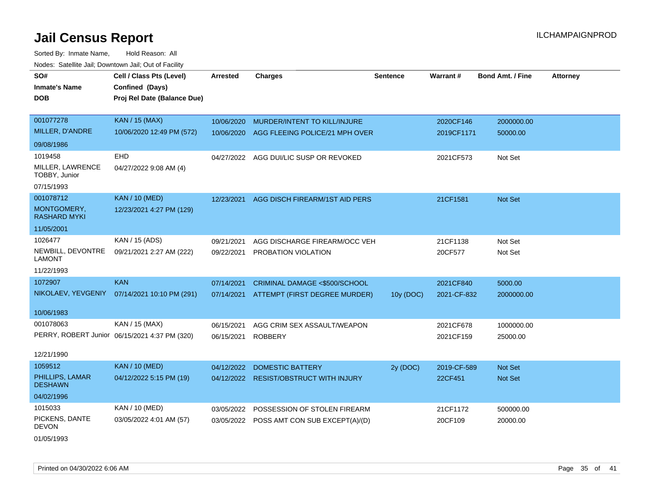Sorted By: Inmate Name, Hold Reason: All Nodes: Satellite Jail; Downtown Jail; Out of Facility

| SO#                                | Cell / Class Pts (Level)                      | <b>Arrested</b> | <b>Charges</b>                     | <b>Sentence</b> | Warrant#    | <b>Bond Amt. / Fine</b> | <b>Attorney</b> |
|------------------------------------|-----------------------------------------------|-----------------|------------------------------------|-----------------|-------------|-------------------------|-----------------|
| <b>Inmate's Name</b>               | Confined (Days)                               |                 |                                    |                 |             |                         |                 |
| <b>DOB</b>                         | Proj Rel Date (Balance Due)                   |                 |                                    |                 |             |                         |                 |
|                                    |                                               |                 |                                    |                 |             |                         |                 |
| 001077278                          | <b>KAN / 15 (MAX)</b>                         | 10/06/2020      | MURDER/INTENT TO KILL/INJURE       |                 | 2020CF146   | 2000000.00              |                 |
| MILLER, D'ANDRE                    | 10/06/2020 12:49 PM (572)                     | 10/06/2020      | AGG FLEEING POLICE/21 MPH OVER     |                 | 2019CF1171  | 50000.00                |                 |
| 09/08/1986                         |                                               |                 |                                    |                 |             |                         |                 |
| 1019458                            | <b>EHD</b>                                    | 04/27/2022      | AGG DUI/LIC SUSP OR REVOKED        |                 | 2021CF573   | Not Set                 |                 |
| MILLER, LAWRENCE<br>TOBBY, Junior  | 04/27/2022 9:08 AM (4)                        |                 |                                    |                 |             |                         |                 |
| 07/15/1993                         |                                               |                 |                                    |                 |             |                         |                 |
| 001078712                          | <b>KAN / 10 (MED)</b>                         | 12/23/2021      | AGG DISCH FIREARM/1ST AID PERS     |                 | 21CF1581    | Not Set                 |                 |
| MONTGOMERY,<br><b>RASHARD MYKI</b> | 12/23/2021 4:27 PM (129)                      |                 |                                    |                 |             |                         |                 |
| 11/05/2001                         |                                               |                 |                                    |                 |             |                         |                 |
| 1026477                            | KAN / 15 (ADS)                                | 09/21/2021      | AGG DISCHARGE FIREARM/OCC VEH      |                 | 21CF1138    | Not Set                 |                 |
| NEWBILL, DEVONTRE<br><b>LAMONT</b> | 09/21/2021 2:27 AM (222)                      | 09/22/2021      | PROBATION VIOLATION                |                 | 20CF577     | Not Set                 |                 |
| 11/22/1993                         |                                               |                 |                                    |                 |             |                         |                 |
| 1072907                            | <b>KAN</b>                                    | 07/14/2021      | CRIMINAL DAMAGE <\$500/SCHOOL      |                 | 2021CF840   | 5000.00                 |                 |
| NIKOLAEV, YEVGENIY                 | 07/14/2021 10:10 PM (291)                     | 07/14/2021      | ATTEMPT (FIRST DEGREE MURDER)      | 10y (DOC)       | 2021-CF-832 | 2000000.00              |                 |
| 10/06/1983                         |                                               |                 |                                    |                 |             |                         |                 |
| 001078063                          | KAN / 15 (MAX)                                | 06/15/2021      | AGG CRIM SEX ASSAULT/WEAPON        |                 | 2021CF678   | 1000000.00              |                 |
|                                    | PERRY, ROBERT Junior 06/15/2021 4:37 PM (320) | 06/15/2021      | <b>ROBBERY</b>                     |                 | 2021CF159   | 25000.00                |                 |
| 12/21/1990                         |                                               |                 |                                    |                 |             |                         |                 |
| 1059512                            | <b>KAN / 10 (MED)</b>                         | 04/12/2022      | <b>DOMESTIC BATTERY</b>            | 2y (DOC)        | 2019-CF-589 | <b>Not Set</b>          |                 |
| PHILLIPS, LAMAR<br><b>DESHAWN</b>  | 04/12/2022 5:15 PM (19)                       | 04/12/2022      | <b>RESIST/OBSTRUCT WITH INJURY</b> |                 | 22CF451     | Not Set                 |                 |
| 04/02/1996                         |                                               |                 |                                    |                 |             |                         |                 |
| 1015033                            | KAN / 10 (MED)                                | 03/05/2022      | POSSESSION OF STOLEN FIREARM       |                 | 21CF1172    | 500000.00               |                 |
| PICKENS, DANTE<br><b>DEVON</b>     | 03/05/2022 4:01 AM (57)                       | 03/05/2022      | POSS AMT CON SUB EXCEPT(A)/(D)     |                 | 20CF109     | 20000.00                |                 |

01/05/1993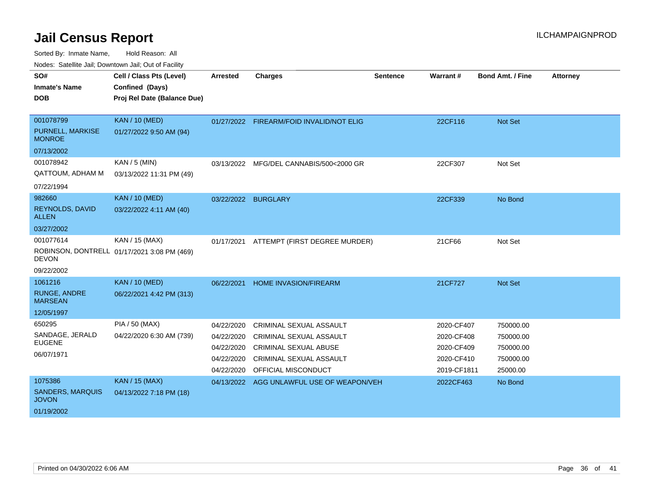Sorted By: Inmate Name, Hold Reason: All

Nodes: Satellite Jail; Downtown Jail; Out of Facility

| SO#                                     | Cell / Class Pts (Level)                    | Arrested   | <b>Charges</b>                            | <b>Sentence</b> | Warrant#    | <b>Bond Amt. / Fine</b> | <b>Attorney</b> |
|-----------------------------------------|---------------------------------------------|------------|-------------------------------------------|-----------------|-------------|-------------------------|-----------------|
| <b>Inmate's Name</b>                    | Confined (Days)                             |            |                                           |                 |             |                         |                 |
| <b>DOB</b>                              | Proj Rel Date (Balance Due)                 |            |                                           |                 |             |                         |                 |
|                                         |                                             |            |                                           |                 |             |                         |                 |
| 001078799                               | <b>KAN / 10 (MED)</b>                       |            | 01/27/2022 FIREARM/FOID INVALID/NOT ELIG  |                 | 22CF116     | Not Set                 |                 |
| PURNELL, MARKISE<br><b>MONROE</b>       | 01/27/2022 9:50 AM (94)                     |            |                                           |                 |             |                         |                 |
| 07/13/2002                              |                                             |            |                                           |                 |             |                         |                 |
| 001078942                               | KAN / 5 (MIN)                               | 03/13/2022 | MFG/DEL CANNABIS/500<2000 GR              |                 | 22CF307     | Not Set                 |                 |
| QATTOUM, ADHAM M                        | 03/13/2022 11:31 PM (49)                    |            |                                           |                 |             |                         |                 |
| 07/22/1994                              |                                             |            |                                           |                 |             |                         |                 |
| 982660                                  | <b>KAN / 10 (MED)</b>                       |            | 03/22/2022 BURGLARY                       |                 | 22CF339     | No Bond                 |                 |
| REYNOLDS, DAVID<br><b>ALLEN</b>         | 03/22/2022 4:11 AM (40)                     |            |                                           |                 |             |                         |                 |
| 03/27/2002                              |                                             |            |                                           |                 |             |                         |                 |
| 001077614                               | KAN / 15 (MAX)                              | 01/17/2021 | ATTEMPT (FIRST DEGREE MURDER)             |                 | 21CF66      | Not Set                 |                 |
| <b>DEVON</b>                            | ROBINSON, DONTRELL 01/17/2021 3:08 PM (469) |            |                                           |                 |             |                         |                 |
| 09/22/2002                              |                                             |            |                                           |                 |             |                         |                 |
| 1061216                                 | <b>KAN / 10 (MED)</b>                       | 06/22/2021 | HOME INVASION/FIREARM                     |                 | 21CF727     | Not Set                 |                 |
| <b>RUNGE, ANDRE</b><br><b>MARSEAN</b>   | 06/22/2021 4:42 PM (313)                    |            |                                           |                 |             |                         |                 |
| 12/05/1997                              |                                             |            |                                           |                 |             |                         |                 |
| 650295                                  | PIA / 50 (MAX)                              | 04/22/2020 | <b>CRIMINAL SEXUAL ASSAULT</b>            |                 | 2020-CF407  | 750000.00               |                 |
| SANDAGE, JERALD                         | 04/22/2020 6:30 AM (739)                    | 04/22/2020 | <b>CRIMINAL SEXUAL ASSAULT</b>            |                 | 2020-CF408  | 750000.00               |                 |
| <b>EUGENE</b>                           |                                             | 04/22/2020 | <b>CRIMINAL SEXUAL ABUSE</b>              |                 | 2020-CF409  | 750000.00               |                 |
| 06/07/1971                              |                                             | 04/22/2020 | CRIMINAL SEXUAL ASSAULT                   |                 | 2020-CF410  | 750000.00               |                 |
|                                         |                                             | 04/22/2020 | OFFICIAL MISCONDUCT                       |                 | 2019-CF1811 | 25000.00                |                 |
| 1075386                                 | <b>KAN / 15 (MAX)</b>                       |            | 04/13/2022 AGG UNLAWFUL USE OF WEAPON/VEH |                 | 2022CF463   | No Bond                 |                 |
| <b>SANDERS, MARQUIS</b><br><b>JOVON</b> | 04/13/2022 7:18 PM (18)                     |            |                                           |                 |             |                         |                 |
| 01/19/2002                              |                                             |            |                                           |                 |             |                         |                 |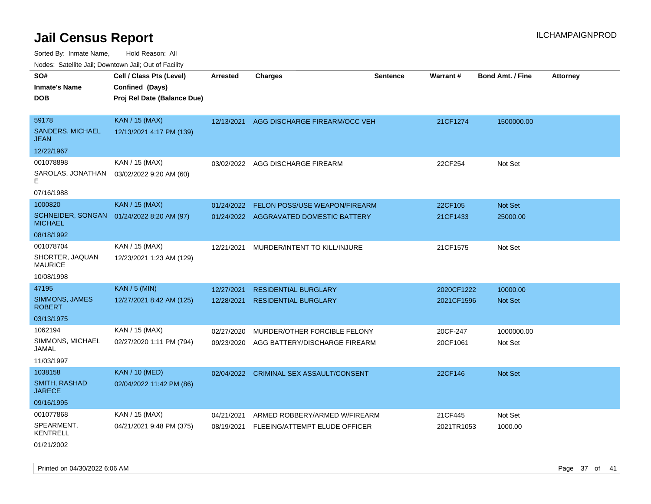Sorted By: Inmate Name, Hold Reason: All

| Nodes: Satellite Jail; Downtown Jail; Out of Facility |                             |                 |                                        |                 |                 |                  |                 |  |
|-------------------------------------------------------|-----------------------------|-----------------|----------------------------------------|-----------------|-----------------|------------------|-----------------|--|
| SO#                                                   | Cell / Class Pts (Level)    | <b>Arrested</b> | <b>Charges</b>                         | <b>Sentence</b> | <b>Warrant#</b> | Bond Amt. / Fine | <b>Attorney</b> |  |
| <b>Inmate's Name</b>                                  | Confined (Days)             |                 |                                        |                 |                 |                  |                 |  |
| <b>DOB</b>                                            | Proj Rel Date (Balance Due) |                 |                                        |                 |                 |                  |                 |  |
|                                                       |                             |                 |                                        |                 |                 |                  |                 |  |
| 59178                                                 | <b>KAN / 15 (MAX)</b>       | 12/13/2021      | AGG DISCHARGE FIREARM/OCC VEH          |                 | 21CF1274        | 1500000.00       |                 |  |
| <b>SANDERS, MICHAEL</b><br><b>JEAN</b>                | 12/13/2021 4:17 PM (139)    |                 |                                        |                 |                 |                  |                 |  |
| 12/22/1967                                            |                             |                 |                                        |                 |                 |                  |                 |  |
| 001078898                                             | KAN / 15 (MAX)              | 03/02/2022      | AGG DISCHARGE FIREARM                  |                 | 22CF254         | Not Set          |                 |  |
| SAROLAS, JONATHAN<br>F                                | 03/02/2022 9:20 AM (60)     |                 |                                        |                 |                 |                  |                 |  |
| 07/16/1988                                            |                             |                 |                                        |                 |                 |                  |                 |  |
| 1000820                                               | <b>KAN / 15 (MAX)</b>       | 01/24/2022      | FELON POSS/USE WEAPON/FIREARM          |                 | 22CF105         | Not Set          |                 |  |
| <b>SCHNEIDER, SONGAN</b><br><b>MICHAEL</b>            | 01/24/2022 8:20 AM (97)     |                 | 01/24/2022 AGGRAVATED DOMESTIC BATTERY |                 | 21CF1433        | 25000.00         |                 |  |
| 08/18/1992                                            |                             |                 |                                        |                 |                 |                  |                 |  |
| 001078704                                             | KAN / 15 (MAX)              | 12/21/2021      | MURDER/INTENT TO KILL/INJURE           |                 | 21CF1575        | Not Set          |                 |  |
| SHORTER, JAQUAN<br><b>MAURICE</b>                     | 12/23/2021 1:23 AM (129)    |                 |                                        |                 |                 |                  |                 |  |
| 10/08/1998                                            |                             |                 |                                        |                 |                 |                  |                 |  |
| 47195                                                 | <b>KAN / 5 (MIN)</b>        | 12/27/2021      | <b>RESIDENTIAL BURGLARY</b>            |                 | 2020CF1222      | 10000.00         |                 |  |
| SIMMONS, JAMES<br><b>ROBERT</b>                       | 12/27/2021 8:42 AM (125)    | 12/28/2021      | <b>RESIDENTIAL BURGLARY</b>            |                 | 2021CF1596      | Not Set          |                 |  |
| 03/13/1975                                            |                             |                 |                                        |                 |                 |                  |                 |  |
| 1062194                                               | KAN / 15 (MAX)              | 02/27/2020      | MURDER/OTHER FORCIBLE FELONY           |                 | 20CF-247        | 1000000.00       |                 |  |
| SIMMONS, MICHAEL<br>JAMAL                             | 02/27/2020 1:11 PM (794)    | 09/23/2020      | AGG BATTERY/DISCHARGE FIREARM          |                 | 20CF1061        | Not Set          |                 |  |
| 11/03/1997                                            |                             |                 |                                        |                 |                 |                  |                 |  |
| 1038158                                               | <b>KAN / 10 (MED)</b>       | 02/04/2022      | CRIMINAL SEX ASSAULT/CONSENT           |                 | 22CF146         | Not Set          |                 |  |
| SMITH, RASHAD<br><b>JARECE</b>                        | 02/04/2022 11:42 PM (86)    |                 |                                        |                 |                 |                  |                 |  |
| 09/16/1995                                            |                             |                 |                                        |                 |                 |                  |                 |  |
| 001077868                                             | KAN / 15 (MAX)              | 04/21/2021      | ARMED ROBBERY/ARMED W/FIREARM          |                 | 21CF445         | Not Set          |                 |  |
| SPEARMENT,<br><b>KENTRELL</b>                         | 04/21/2021 9:48 PM (375)    | 08/19/2021      | FLEEING/ATTEMPT ELUDE OFFICER          |                 | 2021TR1053      | 1000.00          |                 |  |
| 01/21/2002                                            |                             |                 |                                        |                 |                 |                  |                 |  |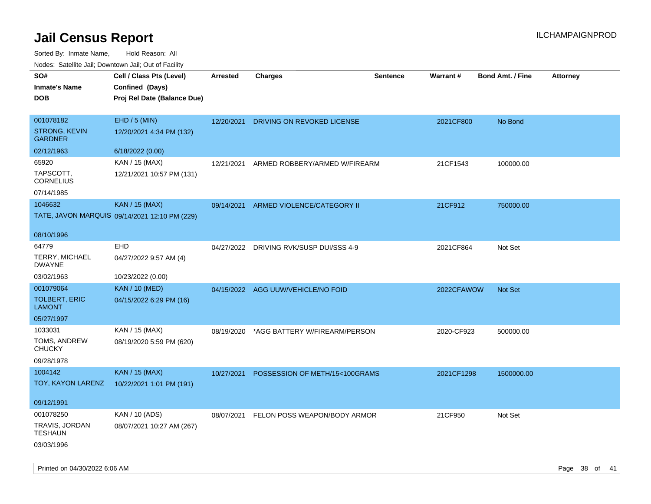| SO#<br><b>Inmate's Name</b><br><b>DOB</b>      | Cell / Class Pts (Level)<br>Confined (Days)<br>Proj Rel Date (Balance Due) | Arrested   | <b>Charges</b>                          | <b>Sentence</b> | Warrant#   | <b>Bond Amt. / Fine</b> | Attorney |
|------------------------------------------------|----------------------------------------------------------------------------|------------|-----------------------------------------|-----------------|------------|-------------------------|----------|
| 001078182<br>STRONG, KEVIN<br><b>GARDNER</b>   | EHD / 5 (MIN)<br>12/20/2021 4:34 PM (132)                                  | 12/20/2021 | DRIVING ON REVOKED LICENSE              |                 | 2021CF800  | No Bond                 |          |
| 02/12/1963                                     | 6/18/2022 (0.00)                                                           |            |                                         |                 |            |                         |          |
| 65920<br>TAPSCOTT,<br><b>CORNELIUS</b>         | KAN / 15 (MAX)<br>12/21/2021 10:57 PM (131)                                | 12/21/2021 | ARMED ROBBERY/ARMED W/FIREARM           |                 | 21CF1543   | 100000.00               |          |
| 07/14/1985                                     |                                                                            |            |                                         |                 |            |                         |          |
| 1046632                                        | <b>KAN / 15 (MAX)</b><br>TATE, JAVON MARQUIS 09/14/2021 12:10 PM (229)     | 09/14/2021 | ARMED VIOLENCE/CATEGORY II              |                 | 21CF912    | 750000.00               |          |
| 08/10/1996                                     |                                                                            |            |                                         |                 |            |                         |          |
| 64779<br>TERRY, MICHAEL<br><b>DWAYNE</b>       | EHD<br>04/27/2022 9:57 AM (4)                                              | 04/27/2022 | DRIVING RVK/SUSP DUI/SSS 4-9            |                 | 2021CF864  | Not Set                 |          |
| 03/02/1963                                     | 10/23/2022 (0.00)                                                          |            |                                         |                 |            |                         |          |
| 001079064                                      | <b>KAN / 10 (MED)</b>                                                      |            | 04/15/2022 AGG UUW/VEHICLE/NO FOID      |                 | 2022CFAWOW | <b>Not Set</b>          |          |
| <b>TOLBERT, ERIC</b><br><b>LAMONT</b>          | 04/15/2022 6:29 PM (16)                                                    |            |                                         |                 |            |                         |          |
| 05/27/1997                                     |                                                                            |            |                                         |                 |            |                         |          |
| 1033031<br>TOMS, ANDREW<br><b>CHUCKY</b>       | KAN / 15 (MAX)<br>08/19/2020 5:59 PM (620)                                 | 08/19/2020 | *AGG BATTERY W/FIREARM/PERSON           |                 | 2020-CF923 | 500000.00               |          |
| 09/28/1978                                     |                                                                            |            |                                         |                 |            |                         |          |
| 1004142                                        | <b>KAN / 15 (MAX)</b>                                                      | 10/27/2021 | POSSESSION OF METH/15<100GRAMS          |                 | 2021CF1298 | 1500000.00              |          |
| TOY, KAYON LARENZ                              | 10/22/2021 1:01 PM (191)                                                   |            |                                         |                 |            |                         |          |
| 09/12/1991                                     |                                                                            |            |                                         |                 |            |                         |          |
| 001078250                                      | KAN / 10 (ADS)                                                             |            | 08/07/2021 FELON POSS WEAPON/BODY ARMOR |                 | 21CF950    | Not Set                 |          |
| TRAVIS, JORDAN<br><b>TESHAUN</b><br>03/03/1996 | 08/07/2021 10:27 AM (267)                                                  |            |                                         |                 |            |                         |          |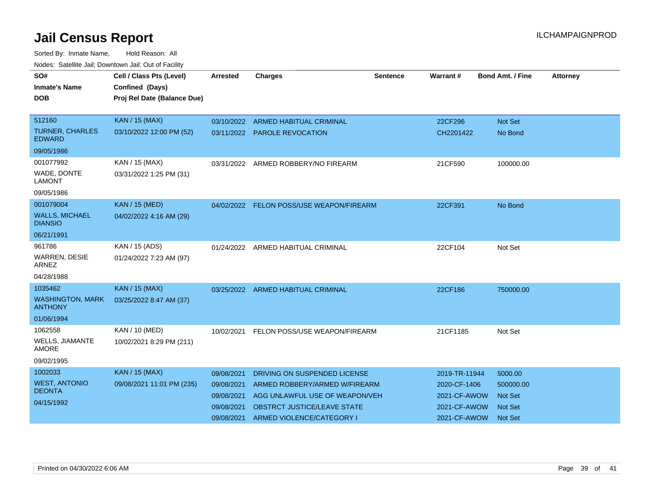| SO#<br><b>Inmate's Name</b><br><b>DOB</b> | Cell / Class Pts (Level)<br>Confined (Days)<br>Proj Rel Date (Balance Due) | <b>Arrested</b> | <b>Charges</b>                           | Sentence | Warrant#      | <b>Bond Amt. / Fine</b> | <b>Attorney</b> |
|-------------------------------------------|----------------------------------------------------------------------------|-----------------|------------------------------------------|----------|---------------|-------------------------|-----------------|
| 512160                                    | <b>KAN / 15 (MAX)</b>                                                      |                 | 03/10/2022 ARMED HABITUAL CRIMINAL       |          | 22CF296       | <b>Not Set</b>          |                 |
| <b>TURNER, CHARLES</b><br><b>EDWARD</b>   | 03/10/2022 12:00 PM (52)                                                   |                 | 03/11/2022 PAROLE REVOCATION             |          | CH2201422     | No Bond                 |                 |
| 09/05/1986                                |                                                                            |                 |                                          |          |               |                         |                 |
| 001077992                                 | KAN / 15 (MAX)                                                             |                 | 03/31/2022 ARMED ROBBERY/NO FIREARM      |          | 21CF590       | 100000.00               |                 |
| WADE, DONTE<br><b>LAMONT</b>              | 03/31/2022 1:25 PM (31)                                                    |                 |                                          |          |               |                         |                 |
| 09/05/1986                                |                                                                            |                 |                                          |          |               |                         |                 |
| 001079004                                 | <b>KAN / 15 (MED)</b>                                                      |                 | 04/02/2022 FELON POSS/USE WEAPON/FIREARM |          | 22CF391       | No Bond                 |                 |
| <b>WALLS, MICHAEL</b><br><b>DIANSIO</b>   | 04/02/2022 4:16 AM (29)                                                    |                 |                                          |          |               |                         |                 |
| 06/21/1991                                |                                                                            |                 |                                          |          |               |                         |                 |
| 961786                                    | KAN / 15 (ADS)                                                             |                 | 01/24/2022 ARMED HABITUAL CRIMINAL       |          | 22CF104       | Not Set                 |                 |
| <b>WARREN, DESIE</b><br><b>ARNEZ</b>      | 01/24/2022 7:23 AM (97)                                                    |                 |                                          |          |               |                         |                 |
| 04/28/1988                                |                                                                            |                 |                                          |          |               |                         |                 |
| 1035462                                   | <b>KAN / 15 (MAX)</b>                                                      |                 | 03/25/2022 ARMED HABITUAL CRIMINAL       |          | 22CF186       | 750000.00               |                 |
| <b>WASHINGTON, MARK</b><br><b>ANTHONY</b> | 03/25/2022 8:47 AM (37)                                                    |                 |                                          |          |               |                         |                 |
| 01/06/1994                                |                                                                            |                 |                                          |          |               |                         |                 |
| 1062558                                   | KAN / 10 (MED)                                                             | 10/02/2021      | FELON POSS/USE WEAPON/FIREARM            |          | 21CF1185      | Not Set                 |                 |
| <b>WELLS, JIAMANTE</b><br><b>AMORE</b>    | 10/02/2021 8:29 PM (211)                                                   |                 |                                          |          |               |                         |                 |
| 09/02/1995                                |                                                                            |                 |                                          |          |               |                         |                 |
| 1002033                                   | KAN / 15 (MAX)                                                             | 09/08/2021      | DRIVING ON SUSPENDED LICENSE             |          | 2019-TR-11944 | 5000.00                 |                 |
| <b>WEST, ANTONIO</b>                      | 09/08/2021 11:01 PM (235)                                                  | 09/08/2021      | ARMED ROBBERY/ARMED W/FIREARM            |          | 2020-CF-1406  | 500000.00               |                 |
| <b>DEONTA</b>                             |                                                                            | 09/08/2021      | AGG UNLAWFUL USE OF WEAPON/VEH           |          | 2021-CF-AWOW  | <b>Not Set</b>          |                 |
| 04/15/1992                                |                                                                            | 09/08/2021      | OBSTRCT JUSTICE/LEAVE STATE              |          | 2021-CF-AWOW  | <b>Not Set</b>          |                 |
|                                           |                                                                            | 09/08/2021      | ARMED VIOLENCE/CATEGORY I                |          | 2021-CF-AWOW  | <b>Not Set</b>          |                 |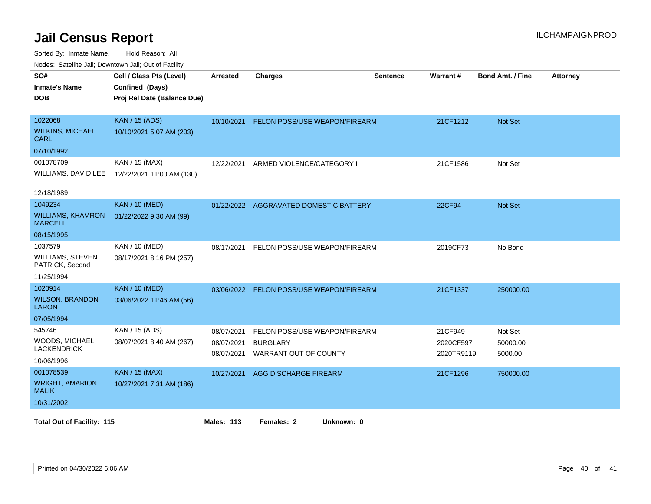| <b>HOUGO:</b> GUIGHING DUIN, DOWNTHOWN DUIN, OUI OF FUGHIN<br>SO# | Cell / Class Pts (Level)    | Arrested   | <b>Charges</b>                         | <b>Sentence</b> | <b>Warrant#</b> | <b>Bond Amt. / Fine</b> | <b>Attorney</b> |
|-------------------------------------------------------------------|-----------------------------|------------|----------------------------------------|-----------------|-----------------|-------------------------|-----------------|
| <b>Inmate's Name</b>                                              | Confined (Days)             |            |                                        |                 |                 |                         |                 |
| <b>DOB</b>                                                        | Proj Rel Date (Balance Due) |            |                                        |                 |                 |                         |                 |
|                                                                   |                             |            |                                        |                 |                 |                         |                 |
| 1022068                                                           | <b>KAN / 15 (ADS)</b>       | 10/10/2021 | <b>FELON POSS/USE WEAPON/FIREARM</b>   |                 | 21CF1212        | <b>Not Set</b>          |                 |
| <b>WILKINS, MICHAEL</b><br><b>CARL</b>                            | 10/10/2021 5:07 AM (203)    |            |                                        |                 |                 |                         |                 |
| 07/10/1992                                                        |                             |            |                                        |                 |                 |                         |                 |
| 001078709                                                         | KAN / 15 (MAX)              | 12/22/2021 | ARMED VIOLENCE/CATEGORY I              |                 | 21CF1586        | Not Set                 |                 |
| WILLIAMS, DAVID LEE                                               | 12/22/2021 11:00 AM (130)   |            |                                        |                 |                 |                         |                 |
| 12/18/1989                                                        |                             |            |                                        |                 |                 |                         |                 |
| 1049234                                                           | <b>KAN / 10 (MED)</b>       |            | 01/22/2022 AGGRAVATED DOMESTIC BATTERY |                 | 22CF94          | <b>Not Set</b>          |                 |
| <b>WILLIAMS, KHAMRON</b><br><b>MARCELL</b>                        | 01/22/2022 9:30 AM (99)     |            |                                        |                 |                 |                         |                 |
| 08/15/1995                                                        |                             |            |                                        |                 |                 |                         |                 |
| 1037579                                                           | KAN / 10 (MED)              | 08/17/2021 | FELON POSS/USE WEAPON/FIREARM          |                 | 2019CF73        | No Bond                 |                 |
| WILLIAMS, STEVEN<br>PATRICK, Second                               | 08/17/2021 8:16 PM (257)    |            |                                        |                 |                 |                         |                 |
| 11/25/1994                                                        |                             |            |                                        |                 |                 |                         |                 |
| 1020914                                                           | <b>KAN / 10 (MED)</b>       | 03/06/2022 | FELON POSS/USE WEAPON/FIREARM          |                 | 21CF1337        | 250000.00               |                 |
| <b>WILSON, BRANDON</b><br><b>LARON</b>                            | 03/06/2022 11:46 AM (56)    |            |                                        |                 |                 |                         |                 |
| 07/05/1994                                                        |                             |            |                                        |                 |                 |                         |                 |
| 545746                                                            | KAN / 15 (ADS)              | 08/07/2021 | FELON POSS/USE WEAPON/FIREARM          |                 | 21CF949         | Not Set                 |                 |
| WOODS, MICHAEL                                                    | 08/07/2021 8:40 AM (267)    | 08/07/2021 | <b>BURGLARY</b>                        |                 | 2020CF597       | 50000.00                |                 |
| <b>LACKENDRICK</b>                                                |                             | 08/07/2021 | WARRANT OUT OF COUNTY                  |                 | 2020TR9119      | 5000.00                 |                 |
| 10/06/1996                                                        |                             |            |                                        |                 |                 |                         |                 |
| 001078539                                                         | <b>KAN / 15 (MAX)</b>       | 10/27/2021 | AGG DISCHARGE FIREARM                  |                 | 21CF1296        | 750000.00               |                 |
| <b>WRIGHT, AMARION</b><br><b>MALIK</b>                            | 10/27/2021 7:31 AM (186)    |            |                                        |                 |                 |                         |                 |
| 10/31/2002                                                        |                             |            |                                        |                 |                 |                         |                 |
| <b>Total Out of Facility: 115</b>                                 |                             | Males: 113 | Females: 2<br>Unknown: 0               |                 |                 |                         |                 |